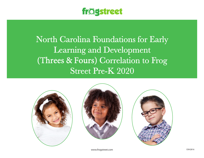

North Carolina Foundations for Early Learning and Development (Threes & Fours) Correlation to Frog Street Pre-K 2020







www.frogstreet.com exhibition is a series of the series of the series of the series of the series of the series of the series of the series of the series of the series of the series of the series of the series of the serie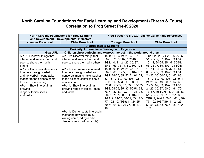## **North Carolina Foundations for Early Learning and Development (Threes & Fours) Correlation to Frog Street Pre-K 2020**

| <b>North Carolina Foundations for Early Learning</b><br>and Development - Developmental Indicators |                                 |                                    | Frog Street Pre-K 2020 Teacher Guide Page References |  |
|----------------------------------------------------------------------------------------------------|---------------------------------|------------------------------------|------------------------------------------------------|--|
| <b>Younger Preschool</b>                                                                           | <b>Older Preschool</b>          | <b>Younger Preschool</b>           | <b>Older Preschool</b>                               |  |
|                                                                                                    | <b>Approaches to Learning</b>   |                                    |                                                      |  |
| Curiosity, Information - Seeking, and Eagerness                                                    |                                 |                                    |                                                      |  |
| Goal APL – 1: Children show curiosity and express interest in the world around them.               |                                 |                                    |                                                      |  |
| APL-1j Discover things that                                                                        | APL-1m Discover things that     | TG1: 11, 23, 24-25, 36, 37,        | TG1: 11, 23, 24-25, 36, 37, 50-                      |  |
| interest and amaze them and                                                                        | interest and amaze them and     | 50-51, 76-77, 87, 102-103          | 51, 76-77, 87, 102-103 TG2:                          |  |
| seek to share them with                                                                            | seek to share them with others. | TG2: 10, 11, 24-25, 35, 37,        | 10, 11, 24-25, 35, 37, 50-51,                        |  |
| others.                                                                                            |                                 | 50-51, 63, 76-77, 89, 102-103      | 63, 76-77, 89, 102-103 TG3:                          |  |
| APL-1k Communicate interest                                                                        | APL-1n Communicate interest     | <b>TG3:</b> 10, 11, 24-25, 35, 37, | 10, 11, 24-25, 35, 37, 50-51,                        |  |
| to others through verbal                                                                           | to others through verbal and    | 50-51, 63, 76-77, 89, 102-103      | 63, 76-77, 89, 102-103 TG4:                          |  |
| and nonverbal means (take                                                                          | nonverbal means (take teacher   | TG4: 24-25, 35, 50-51, 61, 62,     | 24-25, 35, 50-51, 61, 62, 63,                        |  |
| teacher to the science center                                                                      | to the science center to see a  | 63, 76-77, 89, 102-103 TG5:        | 76-77, 89, 102-103 TG5: 9, 11,                       |  |
| to see a new animal).                                                                              | new animal).                    | 9, 11, 24-25, 35, 49, 50-51,       | 24-25, 35, 49, 50-51, 62, 63,                        |  |
| APL-1I Show interest in a                                                                          | APL-1o Show interest in a       | 62, 63, 76-77, 87, 89, 102-103     | 76-77, 87, 89, 102-103 TG6:                          |  |
| growing                                                                                            | growing range of topics, ideas, | TG6: 24-25, 35, 37, 50-51, 61,     | 24-25, 35, 37, 50-51, 61, 76-                        |  |
| range of topics, ideas,                                                                            | and tasks.                      | 76-77, 87, 89 TG7: 11, 24- 25,     | 77, 87, 89 TG7: 11, 24- 25, 50-                      |  |
| and tasks.                                                                                         |                                 | 50-51, 76-77, 89, 91, 102-103      | 51, 76-77, 89, 91, 102-103                           |  |
|                                                                                                    |                                 | TG8: 9, 24-25, 50-51, 63, , 76-    | TG8: 9, 24-25, 50-51, 63, , 76-                      |  |
|                                                                                                    |                                 | 77, 102-103 TG9: 11, 24-25,        | 77, 102-103 TG9: 11, 24-25,                          |  |
|                                                                                                    |                                 | 50-51, 61, 63, 76-77, 89, 102-     | 50-51, 61, 63, 76-77, 89, 102-                       |  |
|                                                                                                    |                                 | 103                                | 103                                                  |  |
|                                                                                                    | APL-1p Demonstrate interest in  |                                    |                                                      |  |
|                                                                                                    | mastering new skills (e.g.,     |                                    |                                                      |  |
|                                                                                                    | writing name, riding a bike,    |                                    |                                                      |  |
|                                                                                                    | dance moves, building skills).  |                                    |                                                      |  |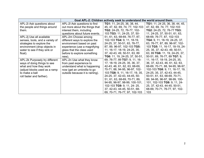|                                 |                                 | Goal APL-2: Children actively seek to understand the world around them. |                                        |
|---------------------------------|---------------------------------|-------------------------------------------------------------------------|----------------------------------------|
| APL-2i Ask questions about      | APL-2I Ask questions to find    | <b>TG1:</b> 11, 24-25, 36, 38, 44,                                      | <b>TG1:</b> 11, 24 25, 36, 38, 44, 45, |
| the people and things around    | out more about the things that  | 45, 47, 62, 69, 74, 77, 102-103                                         | 47, 62, 69, 74, 77, 102-103            |
| them.                           | interest them, including        | TG2: 24-25, 72, 76-77, 102-                                             | TG2: 24-25, 72, 76-77 TG3:             |
|                                 | questions about future events.  | 103 TG3: 11, 24-25, 37, 50-                                             | 11, 24-25, 37, 50-51, 61, 63,          |
| APL-2j Use all available        | APL-2m Choose among             | 51, 61, 63, 68-69, 76-77, 87,                                           | 68-69, 76-77, 87, 102-103              |
| senses, tools, and a variety of | different ways to explore the   | 102-103 TG4: 9, 11, 18-19,                                              | TG4: 9, 11, 18-19, 24-25, 37,          |
| strategies to explore the       | environment based on past       | 24-25, 37, 50-51, 63, 76-77,                                            | 63, 76-77, 87, 89, 96-97, 102-         |
| environment (drop objects in    | experience (use a magnifying    | 87, 89, 96-97, 102-103 TG5:                                             | 103 TG5: 11, 16-17, 18-19, 24-         |
| water to see if they sink or    | glass that the class used       | 11, 16-17, 18-19, 24-25, 35,                                            | 25, 35, 37, 42-43, 49, 50-51,          |
| float).                         | before to explore something     | 37, 42-43, 49, 50-51, 63, 89                                            | 63, 89 TG6: 11, 19, 24-25, 37,         |
|                                 | new).                           | TG6: 11, 19, 24-25, 37, 50-51,                                          | 50-51, 69, 76-77, 89 TG7: 9,           |
| APL-2k Purposely try different  | APL-2n Use what they know       | 69, 76-77, 89 TG7: 9, 11, 16-                                           | 11, 16-17, 18-19, 24-25, 35,           |
| ways of doing things to see     | from past experience to         | 17, 18-19, 24-25, 35, 36, 37,                                           | 36, 37, 42-43, 46, 61, 62, 63,         |
| what and how they work          | understand what is happening    | 42-43, 46, 61, 62, 63, 68-69,                                           | 68-69, 70-71, 88, 94-95, 96-97,        |
| (adjust blocks used as a ramp   | now (get an umbrella to go      | 70-71, 88, 94-95, 96-97, 102-                                           | 102-103 TG8: 9, 11, 16-17, 19,         |
| to make a ball                  | outside because it is raining). | 103 TG8: 9, 11, 16-17, 19, 35,                                          | 24-25, 35, 37, 42-43, 44-45,           |
| roll faster and farther).       |                                 | 24-25, 37, 42-43, 44-45, 50-                                            | 50-51, 61, 63, 68-69, 70-71,           |
|                                 |                                 | 51, 61, 63, 68-69, 70-71, 89,                                           | 89, 94-95, 96-97, 98-99, 100-          |
|                                 |                                 | 94-95, 96-97, 98-99, 100-101,                                           | 101, 102-103 TG9: 9, 11, 24-           |
|                                 |                                 | 102-103 TG9: 9, 11, 24- 25,                                             | 25, 37, 42-43, 44-45, 50-51,           |
|                                 |                                 | 37, 42-43, 44-45, 50-51, 68-                                            | 68-69, 70-71, 76-77, 97, 102-          |
|                                 |                                 | 69, 70-71, 76-77, 97, 102-103                                           | 103                                    |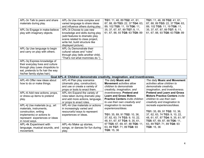| APL-3n Talk to peers and share<br>materials during play.<br>APL-3o Engage in make-believe<br>play with imaginary objects.                                                                      | APL-3s Use more complex and<br>varied language to share ideas<br>and influence others during play.<br>APL-3t Choose to use new<br>knowledge and skills during play<br>(add features to dramatic play<br>scene related to class project,<br>write list, build structure like<br>displayed picture). | TG1: 11, 46, 89 TG2: 41, 61,<br>87, 88, 89 TG3: 22, 37 TG4: 63,<br>89, 102 TG5: 11, 19 TG6: 11,<br>35, 37, 67, 87, 89 TG7: 8, 11,<br>61, 67, 88, 93 TG8: 63 TG9: 89                  | TG1: 11, 46, 89 TG2: 41, 61,<br>87, 88, 89 TG3: 22, 37 TG4: 63,<br>89, 102 TG5: 11, 19 TG6: 11,<br>35, 37, 67, 87, 89 TG7: 8, 11,<br>61, 67, 88, 93 TG8: 63 TG9: 89                              |
|------------------------------------------------------------------------------------------------------------------------------------------------------------------------------------------------|----------------------------------------------------------------------------------------------------------------------------------------------------------------------------------------------------------------------------------------------------------------------------------------------------|--------------------------------------------------------------------------------------------------------------------------------------------------------------------------------------|--------------------------------------------------------------------------------------------------------------------------------------------------------------------------------------------------|
| APL-3p Use language to begin<br>and carry on play with others.                                                                                                                                 | APL-3u Demonstrate their<br>cultural values and "rules"<br>through play (tells another child,<br>"That's not what mommies do.")                                                                                                                                                                    |                                                                                                                                                                                      |                                                                                                                                                                                                  |
| APL-3q Express knowledge of<br>their everyday lives and culture<br>through play (uses chopsticks to<br>eat, pretends to fix hair the way<br>his/her family styles hair).                       |                                                                                                                                                                                                                                                                                                    |                                                                                                                                                                                      |                                                                                                                                                                                                  |
|                                                                                                                                                                                                |                                                                                                                                                                                                                                                                                                    |                                                                                                                                                                                      |                                                                                                                                                                                                  |
|                                                                                                                                                                                                | Goal APL-4: Children demonstrate creativity, imagination, and inventiveness.                                                                                                                                                                                                                       |                                                                                                                                                                                      |                                                                                                                                                                                                  |
| APL-4h Offer new ideas about<br>how to do or make things.                                                                                                                                      | APL-4I Plan play scenarios<br>(dramatic play, construction),<br>and use or create a variety of                                                                                                                                                                                                     | The daily Music and<br><b>Movement</b> activities allow<br>children to demonstrate                                                                                                   | The daily Music and Movement<br>activities allow children to<br>demonstrate creativity,                                                                                                          |
| APL-4i Add new actions, props,<br>or dress-up items to pretend<br>play.                                                                                                                        | props or tools to enact them.<br>APL-4m Expand the variety of<br>roles taken during dramatic play<br>and add more actions, language,<br>or props to enact roles.                                                                                                                                   | creativity, imagination, and<br>inventiveness. Pretend and<br><b>Learn and Gross Motors</b><br><b>Practice Centers invite children</b><br>to use their own creativity and            | imagination, and inventiveness.<br><b>Pretend and Learn and Gross</b><br><b>Motors Practice Centers invite</b><br>children to use their own<br>creativity and imagination to                     |
| APL-4j Use materials (e.g., art<br>materials, instruments,<br>construction, writing<br>implements) or actions to<br>represent experiences or ideas<br>in novel ways.<br>APL-4k Experiment with | APL-4n Use materials or actions<br>in increasingly varied and<br>resourceful ways to represent<br>experiences or ideas.                                                                                                                                                                            | imagination to recreate<br>experiences/ideas.<br>TG1: 35, 89, 91 TG2: 10, 36,<br>37, 62, 63, 74 TG3: 9, 10, 22,<br>48, 61, 67, 87 TG4: 9, 35, 61,<br>97 TG5: 67, 69, 87, 88 TG6: 11, | recreate experiences/ideas.<br>TG1: 35, 89, 91 TG2: 10, 36,<br>37, 62, 63, 74 TG3: 9, 10, 22,<br>48, 61, 67, 87 TG4: 9, 35, 61, 97<br>TG5: 67, 69, 87, 88 TG6: 11,<br>63, 89 TG7: 71, 89 TG8: 93 |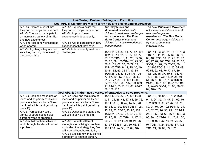|                                   | Risk-Taking, Problem-Solving, and Flexibility                            |                                    |                                    |  |
|-----------------------------------|--------------------------------------------------------------------------|------------------------------------|------------------------------------|--|
|                                   | Goal APL-5: Children are willing to try new and challenging experiences. |                                    |                                    |  |
| APL-5k Express a belief that      | APL-50 Express a belief that                                             | The daily Music and                | The daily Music and Movement       |  |
| they can do things that are hard. | they can do things that are hard.                                        | <b>Movement</b> activities invite  | activities invite children to seek |  |
| APL-5I Choose to participate in   | APL-5p Approach new                                                      | children to seek new challenges    | new challenges and                 |  |
| an increasing variety of familiar | experiences independently.                                               | and experiences. The Fine          | experiences. The Fine Motor        |  |
| and new experiences.              |                                                                          | <b>Motor Center encourages</b>     | Center encourages children to      |  |
| APL-5m Accept new challenges      | APL-5q Ask to participate in new                                         | children to try new experiences    | try new experiences                |  |
| when offered.                     | experiences that they have.                                              | independently.                     | independently.                     |  |
| APL-5n Try things they are not    | APL-5r Independently seek new                                            |                                    |                                    |  |
| sure they can do, while avoiding  | challenges.                                                              | TG1: 11, 23, 36, 51, 77, 87, 103   | TG1: 11, 23, 36, 51, 77, 87, 103   |  |
| dangerous risks.                  |                                                                          | TG2: 10, 11, 25, 35, 37, 63, 77,   | TG2: 10, 11, 25, 35, 37, 63, 77,   |  |
|                                   |                                                                          | 89, 103 TG3: 10, 11, 25, 35, 37,   | 89, 103 TG3: 10, 11, 25, 35, 37,   |  |
|                                   |                                                                          | 63, 77, 89, 103 TG4: 24, 25, 35,   | 63, 77, 89, 103 TG4: 24, 25, 35,   |  |
|                                   |                                                                          | 50-51, 61, 62, 63, 76-77, 89,      | 50-51, 61, 62, 63, 76-77, 89,      |  |
|                                   |                                                                          | 102-103 TG5: 9, 11, 25, 35, 49,    | 102-103 TG5: 9, 11, 25, 35, 49,    |  |
|                                   |                                                                          | 50-51, 62, 63, 76-77, 87, 89       | 50-51, 62, 63, 76-77, 87, 89       |  |
|                                   |                                                                          | TG6: 25, 35, 37, 50-51, 61, 76-    | TG6: 25, 35, 37, 50-51, 61, 76-    |  |
|                                   |                                                                          | 77, 87, 89 TG7: 11, 24-25, 50-     | 77, 87, 89 TG7: 11, 24-25, 50-     |  |
|                                   |                                                                          | 51, 76-77, 89, 91, 103 TG8: 9,     | 51, 76-77, 89, 91, 103 TG8: 9,     |  |
|                                   |                                                                          | 24-25, 50-51, 63, 102-103 TG9:     | 24-25, 50-51, 63, 102-103 TG9:     |  |
|                                   |                                                                          | 11, 24-25, 50-51, 61, 63, 76-77,   | 11, 24-25, 50-51, 61, 63, 76-77,   |  |
|                                   |                                                                          | 89, 102-103                        | 89, 102-103                        |  |
|                                   | Goal APL-6: Children use a variety                                       | of strategies to solve problems.   |                                    |  |
| APL-6k Seek and make use of       | APL-6n Seek and make use of                                              | TG1: 42, 50, 87, 97, 102 TG2:      | TG1: 42, 50, 87, 97, 102 TG2:      |  |
| ideas and help from adults and    | ideas and help from adults and                                           | 9, 11, 24, 35, 43, 47, 61, 69, 76, | 9, 11, 24, 35, 43, 47, 61, 69, 76, |  |
| peers to solve problems ("How     | peers to solve problems ("How                                            | 102 TG3: 9, 36, 42, 44, 50, 76,    | 102 TG3: 9, 36, 42, 44, 50, 76,    |  |
| can I make this paint get off my  | can I make this paint get off my                                         | 89, 94, 97, 99, 102 TG4: 17, 21,   | 89, 94, 97, 99, 102 TG4: 17, 21,   |  |
| pants?").                         | pants?").                                                                | 45, 62, 73, 76-77, 93, 95, 102     | 45, 62, 73, 76, 93, 95, 102 TG5:   |  |
| APL-6I Purposefully use a         | APL-60 Describe the steps they                                           |                                    |                                    |  |
| variety of strategies to solve    | will use to solve a problem.                                             | TG5: 24, 37, 50, 63, 69, 76, 89,   | 24, 37, 50, 63, 69, 76-77, 89, 93, |  |
| different types of problems.      |                                                                          | 93, 95, 98, 102 TG6: 11, 17, 24,   | 95, 98, 102 TG6: 11, 17, 24, 50,   |  |
| APL-6m Talk to themselves to      | APL-6p Evaluate different                                                | 50, 76, 89, 97 TG7: 19, 24, 76,    | 76, 89, 97 TG7: 19, 24, 76, 87,    |  |
| work through the steps to solve   | strategies for solving a problem                                         | 87, 97 TG8: 11, 24, 50, 63, 87,    | 97 TG8: 11, 24, 50, 63, 87, 102    |  |
| a problem.                        | and select the strategy they feel                                        | 102 TG9: 24, 50, 87, 89, 102       | TG9: 24, 50, 87, 89, 102           |  |
|                                   | will work without having to try it.                                      |                                    |                                    |  |
|                                   | APL-6q Explain how they solved                                           |                                    |                                    |  |
|                                   | a problem to another person.                                             |                                    |                                    |  |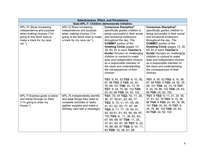|                                                                                                                                                         | <b>Attentiveness, Effort, and Persistence</b>                                                                                                                  |                                                                                                                                                                                                                                                                                                                                                                                                                                                                                                                   |                                                                                                                                                                                                                                                                                                                                                                                                                                                              |  |
|---------------------------------------------------------------------------------------------------------------------------------------------------------|----------------------------------------------------------------------------------------------------------------------------------------------------------------|-------------------------------------------------------------------------------------------------------------------------------------------------------------------------------------------------------------------------------------------------------------------------------------------------------------------------------------------------------------------------------------------------------------------------------------------------------------------------------------------------------------------|--------------------------------------------------------------------------------------------------------------------------------------------------------------------------------------------------------------------------------------------------------------------------------------------------------------------------------------------------------------------------------------------------------------------------------------------------------------|--|
|                                                                                                                                                         | Goal APL-7: Children demonstrate initiative.                                                                                                                   |                                                                                                                                                                                                                                                                                                                                                                                                                                                                                                                   |                                                                                                                                                                                                                                                                                                                                                                                                                                                              |  |
| APL-7h Show increasing<br>independence and purpose<br>when making choices ("I'm<br>going to the block area to<br>make a track for my race<br>$car.'$ ). | APL-7j Show increasing<br>independence and purpose<br>when making choices ("I'm<br>going to the block area to make<br>a track for my race car.").              | <b>Conscious Discipline®</b><br>specifically guides children in<br>being successful in their social<br>and emotional endeavors<br>throughout the day. The<br><b>COMMIT</b> portion of the<br>Greeting Circle (pages 13,<br>39, 65, 91 in each Teacher's<br><b>Guide</b> ) focuses on challenging<br>children to commit to make<br>wise and independent choices<br>as a responsible member of<br>the class and understanding<br>the consequences of their<br>choices.                                              | <b>Conscious Discipline®</b><br>specifically guides children in<br>being successful in their social<br>and emotional endeavors<br>throughout the day. The<br><b>COMMIT</b> portion of the<br>Greeting Circle (pages 13, 39,<br>65, 91 in each Teacher's<br>Guide) focuses on challenging<br>children to commit to make<br>wise and independent choices<br>as a responsible member of<br>the class and understanding<br>the consequences of their<br>choices. |  |
| APL-7i Express goals or plans<br>and follow through on them<br>("I'm going to draw my<br>house.").                                                      | APL-7k Independently identify<br>and seek things they need to<br>complete activities or tasks<br>(gather supplies and make a<br>birthday card with a message). | TG1: 9, 50, 52 TG2: 9, 10, 36,<br>87, 88 TG3: 8 TG5: 24, 50,<br>76, 99, 101 TG6: 24, 73, 76<br>TG7: 9, 24, 76, 86, 102 TG8:<br>24, 63, 89 TG9: 24, 50, 102<br>TG1: 70, 91 TG2: 10, 11, 25,<br>36, 37, 50-51, 63, 69, 77<br>TG3: 9, 10, 11, 41, 45, 48,<br>51, 61, 62, 63, 77, 87, 94<br>TG4: 9, 11, 17, 19, 35, 41,<br>43, 50-51, 61, 63, 69, 89, 97,<br>103 TG5: 9, 11, 38, 62, 63,<br>67, 69, 88, 97 TG6: 11, 35,<br>37, 61, 63, 87, 89 TG7: 9, 22,<br>74, 88, 89, 97 TG8: 9, 10, 11,<br>93 TG9: 15, 36, 61, 89 | TG1: 9, 50, 52 TG2: 9, 10, 36,<br>87, 88 TG3: 8 TG5: 24, 50, 76,<br>99, 101 TG6: 24, 73, 76 TG7:<br>9, 24, 76, 86, 102 TG8: 24, 63,<br>89 TG9: 24, 50, 102<br>TG1: 9 TG2: 9, 11, 21, 24, 35,<br>37, 61, 62, 76 TG3: 9, 10, 36,<br>88 TG4: 8 TG5: 24, 50, 76, 99,<br>101 TG6: 24, 60, 76 TG7: 8,<br>24, 76, 86, 102 TG8: 24, 63,<br>89 TG9: 24, 50, 102                                                                                                       |  |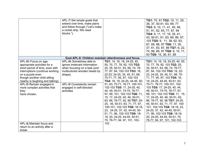|                                                                                                                                                                                                                                                                                                        | APL-7I Set simple goals that<br>extend over time, make plans<br>and follow through ("Let's make<br>a rocket ship. We need<br>blocks.").                                                                       |                                                                                                                                                                                                                                                                                                                                                                                                                                                                                                                                                                                                                                        | TG1: 70, 91 TG2: 10, 11, 25,<br>36, 37, 50-51, 63, 69, 77<br>TG3: 9, 10, 11, 41, 45, 48,<br>51, 61, 62, 63, 77, 87, 94<br>TG4: 9, 11, 17, 19, 35, 41,<br>43, 50-51, 61, 63, 69, 89, 97,<br>103 TG5: 9, 11, 38, 62, 63,<br>67, 69, 88, 97 TG6: 11, 35,<br>37, 61, 63, 87, 89 TG7: 9, 22,<br>74, 88, 89, 97 TG8: 9, 10, 11,<br>93 TG9: 15, 36, 61, 89                                                                                                                                                                                                                                                                                  |
|--------------------------------------------------------------------------------------------------------------------------------------------------------------------------------------------------------------------------------------------------------------------------------------------------------|---------------------------------------------------------------------------------------------------------------------------------------------------------------------------------------------------------------|----------------------------------------------------------------------------------------------------------------------------------------------------------------------------------------------------------------------------------------------------------------------------------------------------------------------------------------------------------------------------------------------------------------------------------------------------------------------------------------------------------------------------------------------------------------------------------------------------------------------------------------|--------------------------------------------------------------------------------------------------------------------------------------------------------------------------------------------------------------------------------------------------------------------------------------------------------------------------------------------------------------------------------------------------------------------------------------------------------------------------------------------------------------------------------------------------------------------------------------------------------------------------------------|
|                                                                                                                                                                                                                                                                                                        | Goal APL-8: Children maintain attentiveness and focus.                                                                                                                                                        |                                                                                                                                                                                                                                                                                                                                                                                                                                                                                                                                                                                                                                        |                                                                                                                                                                                                                                                                                                                                                                                                                                                                                                                                                                                                                                      |
| APL-8h Focus on age-<br>appropriate activities for a<br>short period of time, even with<br>interruptions (continue working<br>on a puzzle even<br>though another child sitting<br>nearby is laughing and talking).<br>APL-8i Remain engaged in<br>more complex activities that<br>they<br>have chosen. | APL-8k Sometimes able to<br>ignore irrelevant information<br>when focusing on a task (sort<br>multicolored wooden beads by<br>shape).<br>APL-8I Consistently remain<br>engaged in self-directed<br>activities | TG1: 14, 16, 18, 24-25, 40,<br>50, 70, 77, 78, 92, 103 TG2:<br>25, 35, 50-51, 63, 68, 74, 76-<br>77, 87, 94, 102-103 TG3: 16,<br>22-23, 24-25, 35, 45, 51, 68,<br>70-71, 77, 95, 97, 102-103<br>TG4: 16, 19, 24-25, 44-45, 50-<br>51, 63, 70-71, 76-77, 100-101,<br>102-103 TG5: 17, 24-25, 40,<br>44, 49, 50-51, 74-75, 76-77,<br>97, 99, 101, 102-103 TG6: 11,<br>15, 17, 24-25, 40, 46, 50-51,<br>63, 66, 76-77, 92, 96 TG7: 24-<br>25, 45, 50-51, 63, 71, 77, 97,<br>100-101, 102-103 TG8: 18-19,<br>23, 24-25, 37, 42, 44-45, 50-<br>51, 71, 96, 102-103 TG9: 18-<br>19, 20, 24-25, 44-45, 50-51,<br>70, 76-77, 94, 97, 101, 102- | TG1: 14, 16, 18, 24-25, 40, 50,<br>70, 77, 78, 92, 103 TG2: 25,<br>35, 50-51, 63, 68, 74, 76-77,<br>87, 94, 102-103 TG3: 16, 22-<br>23, 24-25, 35, 45, 51, 68, 70-<br>71, 77, 95, 97, 103 TG4: 16,<br>19, 24-25, 44-45, 50-51, 63,<br>70-71, 76-77, 100-101, 102-<br>103 TG5: 17, 24-25, 40, 44,<br>49, 50-51, 74-75, 76-77, 97,<br>99, 101, 102-103 TG6: 11, 15,<br>17, 24-25, 40, 46, 50-51, 63,<br>66, 76-77, 92, 96 TG7: 24-25,<br>45, 50-51, 63, 71, 77, 97, 100-<br>101, 102-103 TG8: 18-19, 23,<br>24-25, 37, 42, 44-45, 50-51,<br>71, 96, 102-103 TG9: 18-19,<br>20, 24-25, 44-45, 50-51, 70,<br>76-77, 94, 97, 101, 102-103 |
| APL-8j Maintain focus and<br>return to an activity after a<br>break.                                                                                                                                                                                                                                   |                                                                                                                                                                                                               | 103                                                                                                                                                                                                                                                                                                                                                                                                                                                                                                                                                                                                                                    |                                                                                                                                                                                                                                                                                                                                                                                                                                                                                                                                                                                                                                      |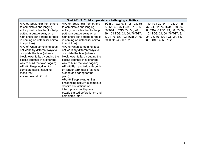|                                    |                                    | Goal APL-9: Children persist at challenging activities. |                                |
|------------------------------------|------------------------------------|---------------------------------------------------------|--------------------------------|
| APL-9e Seek help from others       | APL-9h Seek help from others       | <b>TG1: 9 TG2: 9, 11, 21, 24, 35,</b>                   | TG1: 9 TG2: 9, 11, 21, 24, 35, |
| to complete a challenging          | to complete a challenging          | 37, 61, 62, 76 TG3: 9, 10, 36,                          | 37, 61, 62, 76 TG3: 9, 10, 36, |
| activity (ask a teacher for help   | activity (ask a teacher for help   | 88 TG4: 8 TG5: 24, 50, 76,                              | 88 TG4: 8 TG5: 24, 50, 76, 99, |
| putting a puzzle away on a         | putting a puzzle away on a         | 99, 101 TG6: 24, 60, 76 TG7:                            | 101 TG6: 24, 60, 76 TG7: 8,    |
| high shelf; ask a friend for help  | high shelf; ask a friend for help  | 8, 24, 76, 86, 102 TG8: 24, 63,                         | 24, 76, 86, 102 TG8: 24, 63,   |
| in naming an unfamiliar animal     | in naming an unfamiliar animal     | 89 TG9: 24, 50, 102                                     | 89 TG9: 24, 50, 102            |
| in a picture).                     | in a picture).                     |                                                         |                                |
| APL-9f When something does         | APL-9i When something does         |                                                         |                                |
| not work, try different ways to    | not work, try different ways to    |                                                         |                                |
| complete the task (when a          | complete the task (when a          |                                                         |                                |
| block tower falls, try putting the | block tower falls, try putting the |                                                         |                                |
| blocks together in a different     | blocks together in a different     |                                                         |                                |
| way to build the tower again)      | way to build the tower again)      |                                                         |                                |
| APL-9g Keep working to             | APL-9j Plan and follow through     |                                                         |                                |
| complete tasks, including          | on longer-term tasks (planting     |                                                         |                                |
| those that                         | a seed and caring for the          |                                                         |                                |
| are somewhat difficult.            | plant).                            |                                                         |                                |
|                                    | APL-9k Keep trying until a         |                                                         |                                |
|                                    | challenging activity is complete   |                                                         |                                |
|                                    | despite distractions or            |                                                         |                                |
|                                    | interruptions (multi-piece         |                                                         |                                |
|                                    | puzzle started before lunch and    |                                                         |                                |
|                                    | completed later).                  |                                                         |                                |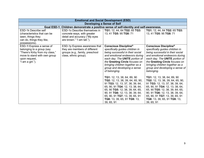|                                                                                                                                                               | <b>Emotional and Social Development (ESD)</b>                                                                               |                                                                                                                                                                                                                                                                                                                                                                                                                                                                                                                                                                                                     |                                                                                                                                                                                                                                                                                                                                                                                                                                                                                                                                                                                              |  |
|---------------------------------------------------------------------------------------------------------------------------------------------------------------|-----------------------------------------------------------------------------------------------------------------------------|-----------------------------------------------------------------------------------------------------------------------------------------------------------------------------------------------------------------------------------------------------------------------------------------------------------------------------------------------------------------------------------------------------------------------------------------------------------------------------------------------------------------------------------------------------------------------------------------------------|----------------------------------------------------------------------------------------------------------------------------------------------------------------------------------------------------------------------------------------------------------------------------------------------------------------------------------------------------------------------------------------------------------------------------------------------------------------------------------------------------------------------------------------------------------------------------------------------|--|
|                                                                                                                                                               |                                                                                                                             | Developing a Sense of Self                                                                                                                                                                                                                                                                                                                                                                                                                                                                                                                                                                          |                                                                                                                                                                                                                                                                                                                                                                                                                                                                                                                                                                                              |  |
|                                                                                                                                                               | Goal ESD-1: Children demonstrate a positive sense of self-identity and self-awareness.                                      |                                                                                                                                                                                                                                                                                                                                                                                                                                                                                                                                                                                                     |                                                                                                                                                                                                                                                                                                                                                                                                                                                                                                                                                                                              |  |
| <b>ESD-1k Describe self</b><br>(characteristics that can be<br>seen, things they<br>can do, things they like,<br>possessions).                                | ESD-10 Describe themselves in<br>concrete ways, with greater<br>detail and accuracy ("My eyes<br>are brown." "I am tall."). | TG1: 12, 44, 64 TG2: 65 TG3:<br>13, 41 TG5: 95 TG8: 71                                                                                                                                                                                                                                                                                                                                                                                                                                                                                                                                              | TG1: 12, 44, 64 TG2: 65 TG3:<br>13, 41 TG5: 95 TG8: 71                                                                                                                                                                                                                                                                                                                                                                                                                                                                                                                                       |  |
| ESD-1I Express a sense of<br>belonging to a group (say<br>"There's Kirby from my class,"<br>move to stand with own group<br>upon request,<br>"I am a girl."). | ESD-1p Express awareness that<br>they are members of different<br>groups (e.g., family, preschool<br>class, ethnic group).  | <b>Conscious Discipline®</b><br>specifically guides children in<br>being successful in their social<br>and emotional endeavors during<br>each day. The UNITE portion of<br>the Greeting Circle focuses on<br>bringing children together as a<br>group and developing a sense<br>of belonging.<br><b>TG1:</b> 12, 13, 38, 64, 89, 90<br>TG2: 12, 13, 38, 39, 64, 65, 90,<br>91 TG3: 12, 13, 37, 38, 39, 64,<br>65, 90, 91 TG4: 12, 13, 38, 64,<br>65, 90 TG5: 12, 38, 39, 64, 65,<br>90, 91 TG6: 12, 13, 38, 39, 64,<br>65, 90, 91 TG7: 13, 39, 65, 91<br>TG8: 13, 39, 65, 91 TG9: 13,<br>39, 65, 91 | <b>Conscious Discipline®</b><br>specifically guides children in<br>being successful in their social<br>and emotional endeavors during<br>each day. The UNITE portion of<br>the Greeting Circle focuses on<br>bringing children together as a<br>group and developing a sense of<br>belonging.<br>TG1: 12, 13, 38, 64, 89, 90<br>TG2: 12, 13, 38, 39, 64, 65, 90,<br>91 TG3: 12, 13, 37, 38, 39, 64,<br>65, 90, 91 TG4: 12, 13, 38, 64,<br>65, 90 TG5: 12, 38, 39, 64, 65,<br>90, 91 TG6: 12, 13, 38, 39, 64,<br>65, 90, 91 TG7: 13, 39, 65, 91<br>TG8: 13, 39, 65, 91 TG9: 13,<br>39, 65, 91 |  |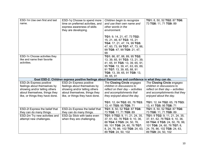| ESD-1m Use own first and last   | ESD-1q Choose to spend more                                                                         | Children begin to recognize       | TG1: 8, 50, 52 TG2: 87 TG6:       |
|---------------------------------|-----------------------------------------------------------------------------------------------------|-----------------------------------|-----------------------------------|
| name.                           | time on preferred activities, and                                                                   | and use their own name and        | 73 TG8: 11, 71 TG9: 89            |
|                                 | express awareness of skills                                                                         | other words in the                |                                   |
|                                 | they are developing.                                                                                | environment.                      |                                   |
|                                 |                                                                                                     | TG1: 9, 14, 21, 47, 73 TG2:       |                                   |
|                                 |                                                                                                     | 15, 21, 46, 67 TG3: 15, 21        |                                   |
|                                 |                                                                                                     | TG4: 17, 21, 47, 74, 99 TG5:      |                                   |
|                                 |                                                                                                     | 47, 60, 73, 99 TG7: 47, 73, 86,   |                                   |
|                                 |                                                                                                     | 99 TG8: 47, 99 TG9: 21, 47,       |                                   |
|                                 |                                                                                                     | 99                                |                                   |
| ESD-1n Choose activities they   |                                                                                                     | TG1: 86, 87, 88, 89, 95 TG2:      |                                   |
| like and name their favorite    |                                                                                                     | 13, 39, 65, 91 TG3: 13, 21, 39,   |                                   |
| activities.                     |                                                                                                     | 41, 65, 91 TG5: 13, 39, 65, 91,   |                                   |
|                                 |                                                                                                     | 95 TG6: 13, 39, 41, 63, 65, 89,   |                                   |
|                                 |                                                                                                     | 91 TG7: 13, 39, 65, 88, 91        |                                   |
|                                 |                                                                                                     | TG8: 13, 39, 65, 91 TG9: 13,      |                                   |
|                                 |                                                                                                     | 39, 65, 91                        |                                   |
|                                 | Goal ESD-2: Children express positive feelings about themselves and confidence in what they can do. |                                   |                                   |
| <b>ESD-2k Express positive</b>  | ESD-2n Express positive                                                                             | The Closing Circle engages        | The Closing Circle engages        |
| feelings about themselves by    | feelings about themselves by                                                                        | children in discussions to        | children in discussions to        |
| showing and/or telling others   | showing and/or telling others                                                                       | reflect on their day – activities | reflect on their day – activities |
| about themselves, things they   | about themselves, things they                                                                       | and accomplishments that          | and accomplishments that they     |
| like, or things they have done. | like, or things they have done.                                                                     | they enjoyed about the day.       | enjoyed about the day.            |
|                                 |                                                                                                     |                                   |                                   |
|                                 |                                                                                                     | TG1: 12, 64 TG2: 65, 78 TG3:      | TG1: 12, 64 TG2: 65, 78 TG3:      |
|                                 |                                                                                                     | 13, 41 TG5: 95 TG8: 71            | 13, 41 TG5: 95 TG8: 71            |
| ESD-2I Express the belief that  | ESD-2o Express the belief that                                                                      | TG1: 8, 50, 52 TG2: 87 TG6:       | TG1: 8, 50, 52 TG2: 87 TG6:       |
| they can do many things.        | they can do many things.                                                                            | 73 TG8: 11, 71 TG9: 89            | 73 TG8: 11, 71 TG9: 89            |
| ESD-2m Try new activities and   | ESD-2p Stick with tasks even                                                                        | TG1: 9 TG2: 9, 11, 21, 24, 35,    | TG1: 9 TG2: 9, 11, 21, 24, 35,    |
| attempt new challenges.         | when they are challenging.                                                                          | 37, 61, 62, 76 TG3: 9, 10, 36,    | 37, 61, 62, 76 TG3: 9, 10, 36,    |
|                                 |                                                                                                     | 88 TG4: 8 TG5: 24, 50, 76,        | 88 TG4: 8 TG5: 24, 50, 76, 99,    |
|                                 |                                                                                                     | 99, 101 TG6: 24, 60, 76 TG7:      | 101 TG6: 24, 60, 76 TG7: 8,       |
|                                 |                                                                                                     | 8, 24, 76, 86, 102 TG8: 24, 63,   | 24, 76, 86, 102 TG8: 24, 63,      |
|                                 |                                                                                                     | 89 TG9: 24, 50, 102               | 89 TG9: 24, 50, 102               |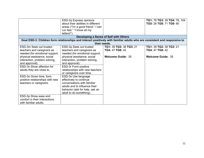|                                                                                                                                                                                                                                                                                                                              | ESD-2q Express opinions<br>about their abilities in different<br>areas ("I'm a good friend." I can<br>run fast." "I know all my<br>letters!").<br>Developing a Sense of Self with Others                                                                                                                                                                                                                                                        |                                                                        | TG1: 78 TG3: 39 TG4: 78, 104<br>TG5: 26 TG8: 71 TG9: 90                |
|------------------------------------------------------------------------------------------------------------------------------------------------------------------------------------------------------------------------------------------------------------------------------------------------------------------------------|-------------------------------------------------------------------------------------------------------------------------------------------------------------------------------------------------------------------------------------------------------------------------------------------------------------------------------------------------------------------------------------------------------------------------------------------------|------------------------------------------------------------------------|------------------------------------------------------------------------|
|                                                                                                                                                                                                                                                                                                                              | Goal ESD-3: Children form relationships and interact positively with familiar adults who are consistent and responsive to<br>their needs.                                                                                                                                                                                                                                                                                                       |                                                                        |                                                                        |
| ESD-3m Seek out trusted<br>teachers and caregivers as<br>needed (for emotional support,<br>physical assistance, social<br>interaction, problem solving,<br>and approval).<br>ESD-3n Show affection for<br>adults they are close to.<br>ESD-30 Given time, form<br>positive relationships with new<br>teachers or caregivers. | ESD-3q Seek out trusted<br>teachers and caregivers as<br>needed (for emotional support,<br>physical assistance, social<br>interaction, problem solving,<br>and approval).<br>ESD-3r Form positive<br>relationships with new teachers<br>or caregivers over time.<br>ESD-3s Use language<br>effectively to continue<br>conversations with familiar<br>adults and to influence their<br>behavior (ask for help, ask an<br>adult to do something). | TG1: 39 TG2: 38 TG3: 21<br>TG4: 47 TG8: 42<br><b>Welcome Guide: 35</b> | TG1: 39 TG2: 38 TG3: 21<br>TG4: 47 TG8: 42<br><b>Welcome Guide: 35</b> |
| ESD-3p Show ease and<br>comfort in their interactions<br>with familiar adults.                                                                                                                                                                                                                                               |                                                                                                                                                                                                                                                                                                                                                                                                                                                 |                                                                        |                                                                        |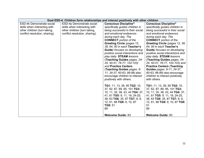|                                  |                                | Goal ESD-4: Children form relationships and interact positively with other children |                                                 |  |  |
|----------------------------------|--------------------------------|-------------------------------------------------------------------------------------|-------------------------------------------------|--|--|
| <b>ESD-4k Demonstrate social</b> | ESD-4p Demonstrate social      | <b>Conscious Discipline®</b>                                                        | <b>Conscious Discipline®</b>                    |  |  |
| skills when interacting with     | skills when interacting with   | specifically guides children in                                                     | specifically guides children in                 |  |  |
| other children (turn taking,     | other children (turn taking,   | being successful in their social                                                    | being successful in their social                |  |  |
| conflict resolution, sharing).   | conflict resolution, sharing). | and emotional endeavors                                                             | and emotional endeavors                         |  |  |
|                                  |                                | during each day. The                                                                | during each day. The                            |  |  |
|                                  |                                | <b>CONNECT</b> portion of the                                                       | <b>CONNECT</b> portion of the                   |  |  |
|                                  |                                | <b>Greeting Circle (pages 12,</b>                                                   | Greeting Circle (pages 12, 38,                  |  |  |
|                                  |                                | 38, 64, 90 in each Teacher's                                                        | 64, 90 in each Teacher's                        |  |  |
|                                  |                                | <b>Guide</b> ) focuses on developing                                                | <b>Guide</b> ) focuses on developing            |  |  |
|                                  |                                | positive social interactions and                                                    | positive social interactions and                |  |  |
|                                  |                                | play daily. STEAM lessons                                                           | play daily. STEAM lessons                       |  |  |
|                                  |                                | (Teaching Guides pages. 24-                                                         | (Teaching Guides pages. 24-                     |  |  |
|                                  |                                | 24, 50-51, 76-77, 102-103)                                                          | 24, 50-51, 76-77, 102-103) and                  |  |  |
|                                  |                                | and Practice Centers                                                                | <b>Practice Centers (Teaching</b>               |  |  |
|                                  |                                | (Teaching Guides pages. 8-                                                          | <b>Guides pages. 8-11, 34-37,</b>               |  |  |
|                                  |                                | 11, 34-37, 60-63, 86-89) also                                                       | 60-63, 86-89) also encourage                    |  |  |
|                                  |                                | encourage children to interact                                                      | children to interact positively<br>with others. |  |  |
|                                  |                                | positively with others.                                                             |                                                 |  |  |
|                                  |                                | TG1: 11, 13, 39, 95 TG2: 10,                                                        | TG1: 11, 13, 39, 95 TG2: 10,                    |  |  |
|                                  |                                | 37, 62, 87, 89, 95, 101 TG3:                                                        | 37, 62, 87, 89, 95, 101 TG3:                    |  |  |
|                                  |                                | 10, 11, 35, 38, 43, 44 TG4: 37,                                                     | 10, 11, 35, 38, 43, 44 TG4: 37,                 |  |  |
|                                  |                                | 41, 61 TG5: 9, 11, 19, 24-25,                                                       | 41, 61 TG5: 9, 11, 19, 24-25,                   |  |  |
|                                  |                                | 38, 63 TG6: 35, 87 TG7: 8, 9,                                                       | 38, 63 TG6: 35, 87 TG7: 8, 9,                   |  |  |
|                                  |                                | 12, 61, 88 TG8: 9, 10, 87                                                           | 12, 61, 88 TG8: 9, 10, 87 TG9:                  |  |  |
|                                  |                                | TG9: 51                                                                             | 51                                              |  |  |
|                                  |                                | 89                                                                                  | 89                                              |  |  |
|                                  |                                |                                                                                     |                                                 |  |  |
|                                  |                                | <b>Welcome Guide: 83</b>                                                            | <b>Welcome Guide: 83</b>                        |  |  |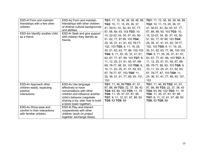| <b>ESD-4I Form and maintain</b> | ESD-4q Form and maintain                             | TG1: 11, 12, 36, 38, 39, 46, 89  | TG1: 11, 12, 36, 38, 39, 46, 89  |
|---------------------------------|------------------------------------------------------|----------------------------------|----------------------------------|
| friendships with a few other    | friendships with other children                      | TG2: 10, 11, 15, 25, 36, 37,     | TG2: 10, 11, 15, 25, 36, 37,     |
| children.                       | of diverse cultural backgrounds                      | 41, 50-51, 61, 62, 63, 67, 77,   | 41, 50-51, 61, 62, 63, 67, 77,   |
|                                 | and abilities.                                       | 87, 88, 89, 93, 103 TG3: 10,     | 87, 88, 89, 93, 103 TG3: 10,     |
| ESD-4m Identify another child   | ESD-4r Seek and give support                         | 15, 22-23, 34, 35, 37, 43, 50-   | 15, 22-23, 34, 35, 37, 43, 50-   |
| as a friend.                    | with children they identify as<br>friends.           | 51, 62, 77, 87 89, 103 TG4:      | 51, 62, 77, 87 89, 103 TG4:      |
|                                 |                                                      | 25, 35, 37, 41, 61, 63, 76-77,   | 25, 35, 37, 41, 61, 63, 76-77,   |
|                                 |                                                      | 102, 103 TG5: 9, 11, 19, 25,     | 102, 103 TG5: 9, 11, 19, 25,     |
|                                 |                                                      | 35, 51, 62, 63, 77, 88, 102-103  | 35, 51, 62, 63, 77, 88, 102-103  |
|                                 |                                                      | TG6: 9, 11, 25, 35, 37, 41, 61,  | TG6: 9, 11, 25, 35, 37, 41, 61,  |
|                                 |                                                      | 63, 67, 77, 87, 89, 103 TG7: 8,  | 63, 67, 77, 87, 89, 103 TG7: 8,  |
|                                 |                                                      | 11, 12, 25, 51, 61, 65, 67, 68-  | 11, 12, 25, 51, 61, 65, 67, 68-  |
|                                 |                                                      | 69, 76-77, 88, 93, 103 TG8: 9,   | 69, 76-77, 88, 93, 103 TG8: 9,   |
|                                 |                                                      | 10, 11, 23, 25, 41, 51, 62, 63,  | 10, 11, 23, 25, 41, 51, 62, 63,  |
|                                 |                                                      | 67, 76-77, 87, 103 TG9: 11,      | 67, 76-77, 87, 103 TG9: 11,      |
|                                 |                                                      | 25, 36, 51, 61, 77, 89, 93, 101, | 25, 36, 51, 61, 77, 89, 93, 101, |
|                                 |                                                      | 103                              | 103                              |
| ESD-4n Approach other           | ESD-4s Use language                                  | TG1: 11, 46, 89 TG2: 41, 61,     | TG1: 11, 46, 89 TG2: 41, 61,     |
| children easily, expecting      | effectively to have                                  | 87, 88, 89 TG3: 22, 37, 38, 43   | 87, 88, 89 TG3: 22, 37, 38, 43   |
| positive                        | conversations with other                             | TG4: 63, 89, 102 TG5: 11, 19     | TG4: 63, 89, 102 TG5: 11, 19     |
| interactions.                   | children and influence another                       | TG6: 11, 35, 37, 67, 87, 89      | TG6: 11, 35, 37, 67, 87, 89      |
|                                 | child's behavior (negotiate                          | TG7: 8, 11, 12, 61, 67, 88, 93   | TG7: 8, 11, 12, 61, 67, 88, 93   |
|                                 | sharing a toy, plan how to build                     | TG8: 63 TG9: 89                  | TG8: 63 TG9: 89                  |
| ESD-4o Show ease and            | a block tower together).<br>ESD-4t Play and interact |                                  |                                  |
| comfort in their interactions   | cooperatively with other                             |                                  |                                  |
| with familiar children.         | children (work on project                            |                                  |                                  |
|                                 | together, exchange ideas).                           |                                  |                                  |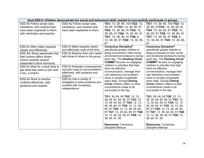|                                                                                                                                                                                                                                                                                                                                                                   |                                                                                                                                                                                                                                                                                                                                                                                 | Goal ESD-5: Children demonstrate the social and behavioral skills needed to successfully participate in groups.                                                                                                                                                                                                                                                                                                                                                                          |                                                                                                                                                                                                                                                                                                                                                                                                                                                                                          |  |  |
|-------------------------------------------------------------------------------------------------------------------------------------------------------------------------------------------------------------------------------------------------------------------------------------------------------------------------------------------------------------------|---------------------------------------------------------------------------------------------------------------------------------------------------------------------------------------------------------------------------------------------------------------------------------------------------------------------------------------------------------------------------------|------------------------------------------------------------------------------------------------------------------------------------------------------------------------------------------------------------------------------------------------------------------------------------------------------------------------------------------------------------------------------------------------------------------------------------------------------------------------------------------|------------------------------------------------------------------------------------------------------------------------------------------------------------------------------------------------------------------------------------------------------------------------------------------------------------------------------------------------------------------------------------------------------------------------------------------------------------------------------------------|--|--|
| ESD-5k Follow social rules,<br>transitions, and routines that<br>have been explained to them,<br>with reminders and practice.                                                                                                                                                                                                                                     | ESD-5q Follow social rules,<br>transitions, and routines that<br>have been explained to them.                                                                                                                                                                                                                                                                                   | TG1: 13, 39, 65, 104 TG2: 13,<br>39, 65, 91TG3: 13, 39, 65, 91<br>TG4: 13, 39, 65, 91 TG5: 13,<br>39, 65, 91 TG6: 13, 39, 65, 91<br>TG7: 13, 39, 65, 91 TG8: 8,<br>13, 39, 65, 91 TG9: 13, 39, 65,<br>91                                                                                                                                                                                                                                                                                 | TG1: 13, 39, 65, 104 TG2: 13,<br>39, 65, 91TG3: 13, 39, 65, 91<br>TG4: 13, 39, 65, 91 TG5: 13,<br>39, 65, 91 TG6: 13, 39, 65, 91<br>TG7: 13, 39, 65, 91 TG8: 8,<br>13, 39, 65, 91 TG9: 13, 39, 65,<br>91                                                                                                                                                                                                                                                                                 |  |  |
| ESD-5I Often make requests<br>clearly and effectively.<br><b>ESD-5m Show awareness that</b><br>their actions affect others<br>(move carefully around<br>classmate's block structure).<br>ESD-5n Wait for a short time to<br>get what they want (a turn with<br>a toy, a snack).<br>ESD-50 Work to resolve<br>conflicts effectively, with<br>guidance and support. | ESD-5r Make requests clearly<br>and effectively most of the time.<br>ESD-5s Balance their own needs<br>with those of others in the group.<br><b>ESD-5t Anticipate consequences</b><br>and plan ways to solve problems<br>effectively, with guidance and<br>support.<br>ESD-5u Use a variety of<br>strategies to solve problems and<br>conflicts with increasing<br>independence | <b>Conscious Discipline®</b><br>specifically guides children in<br>being successful in their social<br>and emotional endeavors during<br>each day. The Greeting Circle,<br><b>COMMIT</b> focuses on engaging<br>children in activities that help<br>them be effective<br>communicators, manage their<br>own behaviors and problem-<br>solve in socially acceptable<br>ways daily. During Closing<br>Circle children reflect on their<br>commitments made to be<br>successful in the day. | <b>Conscious Discipline®</b><br>specifically guides children in<br>being successful in their social<br>and emotional endeavors during<br>each day. The Greeting Circle,<br><b>COMMIT</b> focuses on engaging<br>children in activities that help<br>them be effective<br>communicators, manage their<br>own behaviors and problem-<br>solve in socially acceptable<br>ways daily. During Closing<br>Circle children reflect on their<br>commitments made to be<br>successful in the day. |  |  |
|                                                                                                                                                                                                                                                                                                                                                                   |                                                                                                                                                                                                                                                                                                                                                                                 | TG1: 38, 64, 90 TG2: 12, 13,<br>38, 39, 64, 65, 90, 91 TG3: 12,<br>13, 39, 64, 65, 91 TG4: 12, 13,<br>26, 39, 65, 91 TG5: 12, 13, 39,<br>65, 91 TG6: 12, 13, 38, 39, 65,<br>91 TG7: 13, 39, 64, 65, 91 TG8:<br>12, 13, 38, 39, 65, 91 TG9: 13,<br>39, 65, 91, 95<br><b>Resources: Conscious</b><br><b>Discipline Manual</b>                                                                                                                                                              | TG1: 38, 64, 90 TG2: 12, 13,<br>38, 39, 64, 65, 90, 91 TG3: 12,<br>13, 39, 64, 65, 91 TG4: 12, 13,<br>26, 39, 65, 91 TG5: 12, 13, 39,<br>65, 91 TG6: 12, 13, 38, 39, 65,<br>91 TG7: 13, 39, 64, 65, 91 TG8:<br>12, 13, 38, 39, 65, 91 TG9: 13,<br>39, 65, 91, 95<br><b>Resources: Conscious</b><br><b>Discipline Manual</b>                                                                                                                                                              |  |  |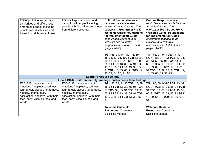| ESD-5p Notice and accept<br>similarities and differences<br>among all people, including<br>people with disabilities and | ESD-5v Express respect and<br>caring for all people, including<br>people with disabilities and those<br>from different cultures. | <b>Cultural Responsiveness</b><br>reminders are embedded<br>across all content areas of the<br>curriculum. Frog Street Pre-K                             | <b>Cultural Responsiveness</b><br>reminders are embedded across<br>all content areas of the<br>curriculum. Frog Street Pre-K                             |
|-------------------------------------------------------------------------------------------------------------------------|----------------------------------------------------------------------------------------------------------------------------------|----------------------------------------------------------------------------------------------------------------------------------------------------------|----------------------------------------------------------------------------------------------------------------------------------------------------------|
| those from different cultures.                                                                                          |                                                                                                                                  | <b>Welcome Guide: Foundations</b><br>for Implementation Guide<br>encourages teachers to be<br>inclusive and culturally<br>responsive as a habit of mind. | <b>Welcome Guide: Foundations</b><br>for Implementation Guide<br>encourages teachers to be<br>inclusive and culturally<br>responsive as a habit of mind. |
|                                                                                                                         |                                                                                                                                  | (pages 94-95)                                                                                                                                            | (pages 94-95)                                                                                                                                            |
|                                                                                                                         |                                                                                                                                  | TG1: 65, 91, 94 TG2: 13, 39,<br>65, 71, 87, 91, 102 TG3: 13, 34,                                                                                         | TG1: 65, 91, 94 TG2: 13, 39,<br>65, 71, 87, 91, 102 TG3: 13, 34,                                                                                         |
|                                                                                                                         |                                                                                                                                  | 39, 43, 50, 65, 91 TG4: 13, 39,                                                                                                                          | 39, 43, 50, 65, 91 TG4: 13, 39,                                                                                                                          |
|                                                                                                                         |                                                                                                                                  | 65, 91 TG5: 13, 39, 65, 91 TG6:                                                                                                                          | 65, 91 TG5: 13, 39, 65, 91 TG6:                                                                                                                          |
|                                                                                                                         |                                                                                                                                  | 13, 39, 65, 91 TG7: 13, 39, 65,                                                                                                                          | 13, 39, 65, 91 TG7: 13, 39, 65,                                                                                                                          |
|                                                                                                                         |                                                                                                                                  | 91 TG8: 13, 39, 65, 91 TG9: 12,                                                                                                                          | 91 TG8: 13, 39, 65, 91 TG9: 12,                                                                                                                          |
|                                                                                                                         |                                                                                                                                  | 13, 39, 64, 65, 91, 95                                                                                                                                   | 13, 39, 64, 65, 91, 95                                                                                                                                   |
|                                                                                                                         | <b>Learning About Feelings</b>                                                                                                   |                                                                                                                                                          |                                                                                                                                                          |
|                                                                                                                         | Goal ESD-6: Children identify, manage, and express their feelings.                                                               |                                                                                                                                                          |                                                                                                                                                          |
| ESD-6I Express a range of                                                                                               | ESD-60 Express a range of                                                                                                        | TG1: 86, 89, 94-95 TG2: 13, 39,                                                                                                                          | TG1: 86, 89, 94-95 TG2: 13, 39,                                                                                                                          |
| emotions (happiness, sadness,                                                                                           | emotions (happiness, sadness,                                                                                                    | 65, 91 TG3: 13, 39, 65, 91 TG4:                                                                                                                          | 65, 91 TG3: 13, 39, 65, 91 TG4:                                                                                                                          |
| fear, anger, disgust, tenderness,                                                                                       | fear, anger, disgust, tenderness,                                                                                                | 91 TG5: 39, 65, 91 TG6: 13, 39,                                                                                                                          | 91 TG5: 39, 65, 91 TG6: 13, 39,                                                                                                                          |
| hostility, shame, guilt,<br>satisfaction, and love) with their                                                          | hostility, shame, guilt,<br>satisfaction, and love) with their                                                                   | 65, 91 TG7: 13, 39, 65, 91 TG8:                                                                                                                          | 65, 91 TG7: 13, 39, 65, 91 TG8:                                                                                                                          |
| face, body, vocal sounds, and                                                                                           | face, body, vocal sounds, and                                                                                                    | 13, 39, 65, 91 TG9: 13, 39, 65,                                                                                                                          | 13, 39, 65, 91 TG9: 13, 39, 65,                                                                                                                          |
| words.                                                                                                                  | words.                                                                                                                           | 91                                                                                                                                                       | 91                                                                                                                                                       |
|                                                                                                                         |                                                                                                                                  | <b>Welcome Guide: 46</b>                                                                                                                                 | <b>Welcome Guide: 46</b>                                                                                                                                 |
|                                                                                                                         |                                                                                                                                  | <b>Resources: Conscious</b>                                                                                                                              | <b>Resources: Conscious</b>                                                                                                                              |
|                                                                                                                         |                                                                                                                                  | <b>Discipline Manual</b>                                                                                                                                 | <b>Discipline Manual</b>                                                                                                                                 |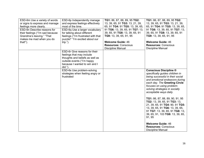| ESD-6m Use a variety of words<br>or signs to express and manage<br>feelings more clearly.<br>ESD-6n Describe reasons for<br>their feelings ("I'm sad because<br>Grandma's leaving." "That<br>makes me mad when you do<br>that!"). | ESD-6p Independently manage<br>and express feelings effectively<br>most of the time.<br>ESD-6q Use a larger vocabulary<br>for talking about different<br>feelings ("I'm frustrated with that<br>puzzle!" "I'm excited about our<br>trip.").<br>ESD-6r Give reasons for their<br>feelings that may include<br>thoughts and beliefs as well as<br>outside events ("I'm happy<br>because I wanted to win and I<br>$did.'$ ). | TG1: 86, 87, 88, 89, 95 TG2:<br>13, 39, 65, 91 TG3: 13, 21, 39,<br>65, 91 TG4: 91 TG5: 13, 39, 65,<br>91 TG6: 13, 39, 65, 91 TG7: 13,<br>39, 65, 91 TG8: 13, 39, 65, 91<br>TG9: 13, 39, 65, 91, 95<br><b>Welcome Guide: 46</b><br><b>Resources: Conscious</b><br>Discipline Manual | TG1: 86, 87, 88, 89, 95 TG2:<br>13, 39, 65, 91 TG3: 13, 21, 39,<br>65, 91 TG4: 91 TG5: 13, 39, 65,<br>91 TG6: 13, 39, 65, 91 TG7: 13,<br>39, 65, 91 TG8: 13, 39, 65, 91<br>TG9: 13, 39, 65, 91, 95<br><b>Welcome Guide: 46</b><br><b>Resources: Conscious</b><br><b>Discipline Manual</b>                                                                                                                                                                                                                                                                                         |
|-----------------------------------------------------------------------------------------------------------------------------------------------------------------------------------------------------------------------------------|---------------------------------------------------------------------------------------------------------------------------------------------------------------------------------------------------------------------------------------------------------------------------------------------------------------------------------------------------------------------------------------------------------------------------|------------------------------------------------------------------------------------------------------------------------------------------------------------------------------------------------------------------------------------------------------------------------------------|-----------------------------------------------------------------------------------------------------------------------------------------------------------------------------------------------------------------------------------------------------------------------------------------------------------------------------------------------------------------------------------------------------------------------------------------------------------------------------------------------------------------------------------------------------------------------------------|
|                                                                                                                                                                                                                                   | ESD-6s Use problem-solving<br>strategies when feeling angry or<br>frustrated                                                                                                                                                                                                                                                                                                                                              |                                                                                                                                                                                                                                                                                    | <b>Conscious Discipline ®</b><br>specifically guides children in<br>being successful in their social<br>and emotional endeavors during<br>each day. The Greeting Circle<br>focuses on using problem-<br>solving strategies in socially<br>acceptable ways daily.<br>TG1: 86, 87, 88, 89, 90, 91, 95<br>TG2: 13, 39, 65, 91 TG3: 13,<br>21, 39, 65, 91 TG4: 90, 91 TG5:<br>13, 39, 65, 91 TG6: 13, 39, 65,<br>91 TG7: 13, 39, 65, 91 TG8: 13,<br>39, 65, 91, 103 TG9: 13, 39, 65,<br>91, 95<br><b>Welcome Guide: 46</b><br><b>Resources: Conscious</b><br><b>Discipline Manual</b> |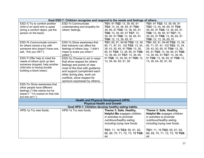|                                                                                                                                                                                                                                                    | Goal ESD-7: Children recognize and respond to the needs and feelings of others.                                                                                                                                                                                              |                                                                                                                                                                                                                                                                                                                                         |                                                                                                                                                                                                                                                                                                                                         |
|----------------------------------------------------------------------------------------------------------------------------------------------------------------------------------------------------------------------------------------------------|------------------------------------------------------------------------------------------------------------------------------------------------------------------------------------------------------------------------------------------------------------------------------|-----------------------------------------------------------------------------------------------------------------------------------------------------------------------------------------------------------------------------------------------------------------------------------------------------------------------------------------|-----------------------------------------------------------------------------------------------------------------------------------------------------------------------------------------------------------------------------------------------------------------------------------------------------------------------------------------|
| ESD-7j Try to comfort another<br>child or an adult who is upset<br>(bring a comfort object, pat the<br>person on the back).<br>ESD-7k Communicate concern<br>for others (share a toy with<br>someone who doesn't have one,<br>ask, "Are you OK?"). | ESD-7n Communicate<br>understanding and empathy for<br>others' feelings.<br>ESD-7o Show awareness that<br>their behavior can affect the<br>feelings of others (say, "I didn't<br>mean to scare you when I                                                                    | TG1: 91 TG2: 13, 39, 65, 91<br>TG3: 13, 34, 46, 65, 91 TG4:<br>39, 65, 91 TG5: 13, 39, 65, 91<br>TG6: 13, 39, 65, 91 TG7: 13,<br>39, 65, 91 TG8: 13, 39, 65, 91<br>TG9: 12, 13, 39, 65, 91<br>TG1: 65, 91, 94-95 TG2: 13, 39,<br>65, 71, 87, 91, 102 TG3: 13, 34,<br>39, 43, 50, 65, 91 TG4: 13, 39,<br>65, 91 TG5: 13, 39, 65, 91 TG6: | TG1: 91 TG2: 13, 39, 65, 91<br>TG3: 13, 34, 46, 65, 91 TG4:<br>39, 65, 91 TG5: 13, 39, 65, 91<br>TG6: 13, 39, 65, 91 TG7: 13,<br>39, 65, 91 TG8: 13, 39, 65, 91<br>TG9: 12, 13, 39, 65, 91<br>TG1: 65, 91, 94-95 TG2: 13, 39,<br>65, 71, 87, 91, 102 TG3: 13, 34,<br>39, 43, 50, 65, 91 TG4: 13, 39,<br>65, 91 TG5: 13, 39, 65, 91 TG6: |
| ESD-7I Offer help to meet the<br>needs of others (pick up item<br>someone dropped, help another<br>child who is having trouble<br>building a block tower).                                                                                         | yelled.").<br>ESD-7p Choose to act in ways<br>that show respect for others'<br>feelings and points of view<br>most of the time with guidance<br>and support (compliment each<br>other during play, work out<br>conflicts, show respect for<br>opinions expressed by others). | 13, 39, 65, 91 TG7: 13, 39, 65,<br>91 TG8: 13, 39, 65, 91 TG9: 12,<br>13, 39, 64, 65, 91, 95                                                                                                                                                                                                                                            | 13, 39, 65, 91 TG7: 13, 39, 65,<br>91 TG8: 13, 39, 65, 91 TG9: 12,<br>13, 39, 64, 65, 91, 95                                                                                                                                                                                                                                            |
| ESD-7m Show awareness that<br>other people have different<br>feelings ("I like raisins but he<br>doesn't." "I'm scared on that ride<br>but she isn't.").                                                                                           |                                                                                                                                                                                                                                                                              |                                                                                                                                                                                                                                                                                                                                         |                                                                                                                                                                                                                                                                                                                                         |
|                                                                                                                                                                                                                                                    | <b>Health and Physical Development (HPD)</b>                                                                                                                                                                                                                                 |                                                                                                                                                                                                                                                                                                                                         |                                                                                                                                                                                                                                                                                                                                         |
|                                                                                                                                                                                                                                                    | <b>Physical Health and Growth</b><br>Goal HPD-1: Children develop healthy eating habits.                                                                                                                                                                                     |                                                                                                                                                                                                                                                                                                                                         |                                                                                                                                                                                                                                                                                                                                         |
| HPD-1p Try new foods.                                                                                                                                                                                                                              | HPD-1s Try new foods.                                                                                                                                                                                                                                                        | Theme 3: Safe, Healthy,<br><b>Helpful Me engages children</b><br>in activities to promote<br>nutritious/healthy eating,<br>including trying new foods.<br>TG1: 11, 16 TG3: 55, 61, 62,<br>68, 69, 70, 71, 72, 73, 78 TG8:<br>44                                                                                                         | Theme 3: Safe, Healthy,<br><b>Helpful Me engages children</b><br>in activities to promote<br>nutritious/healthy eating,<br>including trying new foods.<br>TG1: 11, 16 TG3: 55, 61, 62,<br>68, 69, 70, 71, 72, 73, 78 TG8:<br>44                                                                                                         |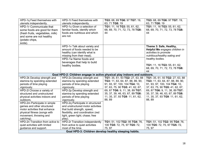| HPD-1q Feed themselves with                           | HPD-1t Feed themselves with                                               | TG3: 68, 69 TG6: 97 TG7: 19,     | TG3: 68, 69 TG6: 97 TG7: 19,     |
|-------------------------------------------------------|---------------------------------------------------------------------------|----------------------------------|----------------------------------|
| utensils independently.                               | utensils independently.                                                   | 63, 71 TG8: 19                   | 63, 71 TG8: 19                   |
| HPD-1r Communicate that                               | HPD-1u Given a selection of                                               | TG1: 11, 16 TG3: 55, 61, 62,     | TG1: 11, 16 TG3: 55, 61, 62,     |
| some foods are good for them                          | familiar foods, identify which                                            | 68, 69, 70, 71, 72, 73, 78 TG8:  | 68, 69, 70, 71, 72, 73, 78 TG8:  |
| (fresh fruits, vegetables, milk)                      | foods are nutritious and which                                            | 44                               | 44                               |
| and some are not healthy                              | are not.                                                                  |                                  |                                  |
| (potato chips,                                        |                                                                           |                                  |                                  |
| soda).                                                |                                                                           |                                  |                                  |
|                                                       | HPD-1v Talk about variety and                                             |                                  | Theme 3: Safe, Healthy,          |
|                                                       | amount of foods needed to be                                              |                                  | Helpful Me engages children in   |
|                                                       | healthy (can identify what is                                             |                                  | activities to promote            |
|                                                       | missing from their meal).                                                 |                                  | nutritious/healthy eating and    |
|                                                       | HPD-1w Name foods and                                                     |                                  | healthy bodies.                  |
|                                                       | beverages that help to build                                              |                                  |                                  |
|                                                       | healthy bodies.                                                           |                                  | TG1: 11, 16 TG3: 55, 61, 62,     |
|                                                       |                                                                           |                                  | 68, 69, 70, 71, 72, 73, 78 TG8:  |
|                                                       |                                                                           |                                  | 44                               |
|                                                       | Goal HPD-2: Children engage in active physical play indoors and outdoors. |                                  |                                  |
| HPD-2k Develop strength and                           | HPD-2o Develop strength and                                               | TG1: 35, 61, 93 TG2: 27, 63, 88  | TG1: 35, 61, 93 TG2: 27, 63, 88  |
| stamina by spending extended                          | stamina by spending extended                                              | TG3: 11, 63, 64, 87, 88, 89, 90, | TG3: 11, 63, 64, 87, 88, 89, 90, |
| periods of time playing                               | periods of time playing                                                   | 91, 93, 97, 100, 104 TG4: 10,    | 91, 93, 97, 100, 104 TG4: 10,    |
| vigorously.                                           | vigorously.                                                               | 37, 63, 75, 90 TG5: 41, 62, 67,  | 37, 63, 75, 90 TG5: 41, 62, 67,  |
| HPD-2I Choose a variety of                            | HPD-2p Develop strength and                                               | 69, 87 TG6: 9, 11, 38, 89 TG7:   | 69, 87 TG6: 9, 11, 38, 89 TG7:   |
| structured and unstructured                           | stamina by spending extended                                              | 35, 37, 39, 46, 63, 67, 89 TG8:  | 35, 37, 39, 46, 63, 67, 89 TG8:  |
| physical activities indoors and                       | periods of time playing                                                   | 11, 35, 37, 93 TG9: 11, 61, 62,  | 11, 35, 37, 93 TG9: 11, 61, 62,  |
| outdoors.                                             | vigorously.                                                               | 88, 89                           | 88, 89                           |
| HPD-2m Participate in simple                          | HPD-2q Participate in structured                                          |                                  |                                  |
| games and other structured                            | and unstructured motor activities                                         |                                  |                                  |
| motor activities that enhance                         | that build strength, speed,                                               |                                  |                                  |
| physical fitness (songs with                          | flexibility, and coordination (red                                        |                                  |                                  |
| movement, throwing and                                | light, green light; chase; free                                           |                                  |                                  |
| catching).                                            | play).                                                                    |                                  |                                  |
| HPD-2n Transition from active to                      | HPD-2r Transition independently                                           | TG1: 51, 102 TG2: 95 TG4: 76,    | TG1: 51, 102 TG2: 95 TG4: 76,    |
| quiet activities with limited                         | from active to quiet activities                                           | 100 TG5: 72, 75, 97 TG5: 72,     | 100 TG5: 72, 75, 97 TG5: 72,     |
| guidance and support.                                 | most of the time.                                                         | 75, 97                           | 75, 97                           |
| Goal HPD-3: Children develop healthy sleeping habits. |                                                                           |                                  |                                  |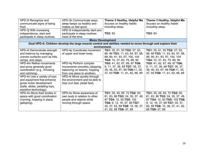| HPD-3i Recognize and<br>communicate signs of being<br>tired.<br>HPD-3j With increasing<br>independence, start and<br>participate in sleep routines.                                                                                                                                                                                                                        | HPD-3k Communicate ways<br>sleep keeps us healthy and<br>makes us feel good.<br>HPD-3I Independently start and<br>participate in sleep routines<br>most of the time.                                                                                                             | Theme 3 Healthy, Helpful Me<br>focuses on healthy habits<br>including sleep.<br>TG3: 93                                                                                                                                                                              | Theme 3 Healthy, Helpful Me<br>focuses on healthy habits<br>including sleep.<br>TG3: 93                                                                                                                                                                              |
|----------------------------------------------------------------------------------------------------------------------------------------------------------------------------------------------------------------------------------------------------------------------------------------------------------------------------------------------------------------------------|----------------------------------------------------------------------------------------------------------------------------------------------------------------------------------------------------------------------------------------------------------------------------------|----------------------------------------------------------------------------------------------------------------------------------------------------------------------------------------------------------------------------------------------------------------------|----------------------------------------------------------------------------------------------------------------------------------------------------------------------------------------------------------------------------------------------------------------------|
|                                                                                                                                                                                                                                                                                                                                                                            | <b>Motor Development</b><br>Goal HPD-4: Children develop the large muscle control and abilities needed to move through and explore their                                                                                                                                         |                                                                                                                                                                                                                                                                      |                                                                                                                                                                                                                                                                      |
|                                                                                                                                                                                                                                                                                                                                                                            | environment.                                                                                                                                                                                                                                                                     |                                                                                                                                                                                                                                                                      |                                                                                                                                                                                                                                                                      |
| HPD-4I Demonstrate strength<br>and balance by managing<br>uneven surfaces such as hills,<br>ramps, and steps.<br>HPD-4m Refine movements<br>and show generally good<br>coordination (e.g., throwing<br>and catching).<br>HPD-4n Use a variety of toys<br>and equipment that enhance<br>gross motor development<br>(balls, slides, pedaling toys,<br>assistive technology). | HPD-4p Coordinate movement<br>of upper and lower body.<br>HPD-4q Perform complex<br>movements smoothly (skipping,<br>balancing on beams, hopping<br>from one place to another).<br>HPD-4r Move quickly through<br>the environment and be able to<br>stop (run fast, pedal fast). | TG1: 35, 61, 93 TG2: 27, 63,<br>88, 89 TG3: 11, 63, 64, 87, 88,<br>89, 90, 91, 93, 97, 100, 104<br>TG4: 10, 37, 63, 75, 89, 90<br>TG5: 41, 62, 67, 69, 87 TG6:<br>9, 11, 37, 38, 89 TG7: 35, 37,<br>39, 46, 63, 67, 89 TG8:11, 35,<br>37, 93 TG9: 11, 61, 62, 88, 89 | TG1: 35, 61, 93 TG2: 27, 63,<br>88, 89 TG3: 11, 63, 64, 87, 88,<br>89, 90, 91, 93, 97, 100, 104<br>TG4: 10, 37, 63, 75, 89, 90<br>TG5: 41, 62, 67, 69, 87 TG6:<br>9, 11, 37, 38, 89 TG7: 35, 37,<br>39, 46, 63, 67, 89 TG8:11, 35,<br>37, 93 TG9: 11, 61, 62, 88, 89 |
| HPD-40 Move their bodies in<br>space with good coordination<br>(running, hopping in place,<br>galloping).                                                                                                                                                                                                                                                                  | <b>HPD-4s Show awareness of</b><br>own body in relation to other<br>people and objects while<br>moving through space.                                                                                                                                                            | TG1: 35, 49, 65, 72 TG2: 50,<br>61, 63, 88 TG3: 24, 35, 37, 49,<br>87 TG4: 12, 50 TG5: 102<br>TG6: 9, 12, 16, 37, 89 TG7:<br>35, 37, 62, 89 TG8: 10, 36, 37,<br>41, 62, 88 TG9: 37, 89                                                                               | TG1: 35, 49, 65, 72 TG2: 50,<br>61, 63, 88 TG3: 24, 35, 37, 49,<br>87 TG4: 12, 50 TG5: 102 TG6:<br>9, 12, 16, 37, 89 TG7: 35, 37,<br>62, 89 TG8: 10, 36, 37, 41, 62,<br>88 TG9: 37, 89                                                                               |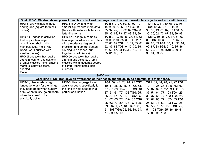|                                      | Goal HPD-5: Children develop small muscle control and hand-eye coordination to manipulate objects and work with tools. |                                           |                                 |  |
|--------------------------------------|------------------------------------------------------------------------------------------------------------------------|-------------------------------------------|---------------------------------|--|
| HPD-5j Draw simple shapes            | HPD-5m Draw and write                                                                                                  | TG1: 8, 9, 37, 60, 63, 92, 101            | TG1: 8, 9, 37, 60, 63, 92, 101  |  |
| and figures (square for block,       | smaller figures with more detail                                                                                       | <b>TG2:</b> 10, 37, 63, 87 <b>TG3:</b> 9, | TG2: 10, 37, 63, 87 TG3: 9,     |  |
| circles).                            | (faces with features, letters, or                                                                                      | 35, 37, 49, 61, 62, 89 TG4: 8,            | 35, 37, 49, 61, 62, 89 TG4: 8,  |  |
|                                      | letter-like forms).                                                                                                    | 35, 36, 62, 73, 87, 88, 89, 99            | 35, 36, 62, 73, 87, 88, 89, 99  |  |
| HPD-5k Engage in activities          | HPD-5n Engage in complex                                                                                               | TG5: 9, 10, 35, 36, 37, 61, 62,           | TG5: 9, 10, 35, 36, 37, 61, 62, |  |
| that require hand-eye                | hand-eye coordination activities                                                                                       | 89 TG6: 10, 35, 36, 61, 62, 73,           | 89 TG6: 10, 35, 36, 61, 62, 73, |  |
| coordination (build with             | with a moderate degree of                                                                                              | 87, 88, 89 TG7: 10, 11, 35, 61,           | 87, 88, 89 TG7: 10, 11, 35, 61, |  |
| manipulatives, mold Play-            | precision and control (fasten                                                                                          | 62, 87, 88 TG8: 9, 10, 35, 36,            | 62, 87, 88 TG8: 9, 10, 35, 36,  |  |
| Doh <sup>®</sup> , work puzzles with | clothing, cut shapes, put                                                                                              | 61, 62, 87, 88 TG9: 9, 10, 11,            | 61, 62, 87, 88 TG9: 9, 10, 11,  |  |
| smaller pieces).                     | together small pieces).                                                                                                | 35, 61, 63, 87                            | 35, 61, 63, 87                  |  |
| HPD-5I Use tools that require        | HPD-50 Use tools that require                                                                                          |                                           |                                 |  |
| strength, control, and dexterity     | strength and dexterity of small                                                                                        |                                           |                                 |  |
| of small muscles (forks, crayons,    | muscles with a moderate degree                                                                                         |                                           |                                 |  |
| markers, safety scissors,            | of control (spray bottle, hole                                                                                         |                                           |                                 |  |
| adapted                              | puncher).                                                                                                              |                                           |                                 |  |
| tools).                              |                                                                                                                        |                                           |                                 |  |
| <b>Self-Care</b>                     |                                                                                                                        |                                           |                                 |  |
|                                      | Goal HPD-6: Children develop awareness of their needs and the ability to communicate their needs.                      |                                           |                                 |  |
| HPD-6g Use words or sign             | HPD-6i Use language to ask                                                                                             | TG1: 39, 44, 78, 91, 97 TG2:              | TG1: 39, 44, 78, 91, 97 TG2:    |  |
| language to ask for the things       | adults or peers specifically for                                                                                       | 10, 11, 25, 37, 50-51 62, 63,             | 10, 11, 25, 37, 50-51 62, 63,   |  |
| they need (food when hungry,         | the kind of help needed in a                                                                                           | 77, 87, 89, 102-103 TG3: 10,              | 77, 87, 89, 102-103 TG3: 10,    |  |
| drink when thirsty, go outdoors      | particular situation.                                                                                                  | 37, 51, 61, 77, 103 TG4: 25,              | 37, 51, 61, 77, 103 TG4: 25,    |  |
| when they need to be                 |                                                                                                                        | 35, 37, 61, 77, 103 TG5: 25,              | 35, 37, 61, 77, 103 TG5: 25,    |  |
| physically active).                  |                                                                                                                        | 51, 62, 65, 77, 102-103 TG6:              | 51, 62, 65, 77, 102-103 TG6:    |  |
|                                      |                                                                                                                        | 25, 63, 77, 89, 103 TG7: 25,              | 25, 63, 77, 89, 103 TG7: 25,    |  |
|                                      |                                                                                                                        | 39, 50-51, 77, 103 TG8: 25,               | 39, 50-51, 77, 103 TG8: 25,     |  |
|                                      |                                                                                                                        | 51, 103 TG9: 25, 36, 39, 51,              | 51, 103 TG9: 25, 36, 39, 51,    |  |
|                                      |                                                                                                                        | 77, 89, 95, 103                           | 77, 89, 95, 103                 |  |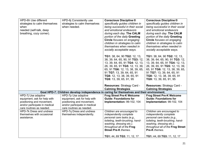| HPD-6h Use different<br>strategies to calm themselves<br>when<br>needed (self-talk, deep<br>breathing, cozy corner).                          | HPD-6j Consistently use<br>strategies to calm themselves<br>when needed.                                                                      | <b>Conscious Discipline ®</b><br>specifically guides children in<br>being successful in their social<br>and emotional endeavors<br>during each day. The CALM<br>portion of the daily Greeting<br>Circle focuses on engaging<br>children in strategies to calm<br>themselves when needed in<br>socially acceptable ways.     | <b>Conscious Discipline ®</b><br>specifically guides children in<br>being successful in their social<br>and emotional endeavors<br>during each day. The CALM<br>portion of the daily Greeting<br>Circle focuses on engaging<br>children in strategies to calm<br>themselves when needed in<br>socially acceptable ways.     |
|-----------------------------------------------------------------------------------------------------------------------------------------------|-----------------------------------------------------------------------------------------------------------------------------------------------|-----------------------------------------------------------------------------------------------------------------------------------------------------------------------------------------------------------------------------------------------------------------------------------------------------------------------------|-----------------------------------------------------------------------------------------------------------------------------------------------------------------------------------------------------------------------------------------------------------------------------------------------------------------------------|
|                                                                                                                                               |                                                                                                                                               | TG1: 38, 64, 90 TG2: 12, 13,<br>38, 39, 64, 65, 90, 91 TG3: 12,<br>13, 39, 64, 65, 91 TG4: 12, 13,<br>26, 39, 65, 91 TG5: 12, 13, 39,<br>65, 91 TG6: 12, 13, 38, 39, 65,<br>91 TG7: 13, 39, 64, 65, 91<br>TG8: 12, 13, 38, 39, 65, 91<br>TG9: 13, 39, 65, 91, 95<br>Resources: Strategy Card -<br><b>Calming Strategies</b> | TG1: 38, 64, 90 TG2: 12, 13,<br>38, 39, 64, 65, 90, 91 TG3: 12,<br>13, 39, 64, 65, 91 TG4: 12, 13,<br>26, 39, 65, 91 TG5: 12, 13, 39,<br>65, 91 TG6: 12, 13, 38, 39, 65,<br>91 TG7: 13, 39, 64, 65, 91<br>TG8: 12, 13, 38, 39, 65, 91<br>TG9: 13, 39, 65, 91, 95<br>Resources: Strategy Card -<br><b>Calming Strategies</b> |
|                                                                                                                                               | Goal HPD-7: Children develop independence in caring for themselves and their environment.                                                     |                                                                                                                                                                                                                                                                                                                             |                                                                                                                                                                                                                                                                                                                             |
| HPD-7j Use adaptive<br>equipment, ask for help with<br>positioning and movement,<br>and/or participate in medical<br>care routines as needed. | HPD-7p Use adaptive<br>equipment, ask for help with<br>positioning and movement,<br>and/or participate in medical<br>care routines as needed. | <b>Frog Street Pre-K Welcome</b><br><b>Guide: Foundations for</b><br>Implementation: 99-102, 104                                                                                                                                                                                                                            | <b>Frog Street Pre-K Welcome</b><br><b>Guide: Foundations for</b><br>Implementation: 99-102, 104                                                                                                                                                                                                                            |
| HPD-7k Dress and undress<br>themselves with occasional<br>assistance.                                                                         | HPD-7q Dress and undress<br>themselves independently.                                                                                         | Children are encouraged to<br>independently complete<br>personal care tasks (e.g.,<br>toileting, teeth-brushing, hand-<br>washing, dressing etc.).<br>throughout all of the Frog<br><b>Street Pre-K</b> themes.<br>TG1: 44, 69 TG3: 11, 12, 17                                                                              | Children are encouraged to<br>independently complete<br>personal care tasks (e.g.,<br>toileting, teeth-brushing, hand-<br>washing, dressing etc.).<br>throughout all of the Frog Street<br>Pre-K themes.<br>TG1: 44, 69 TG3: 11, 12, 17                                                                                     |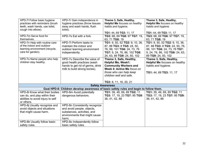| HPD-7I Follow basic hygiene       | HPD-7r Gain independence in                                                            | Theme 3, Safe, Healthy,              | Theme 3, Safe, Healthy,              |
|-----------------------------------|----------------------------------------------------------------------------------------|--------------------------------------|--------------------------------------|
| practices with reminders (brush   | hygiene practices (throw tissues                                                       | <b>Helpful Me</b> focuses on healthy | Helpful Me focuses on healthy        |
| teeth, wash hands, use toilet,    | away and wash hands, flush                                                             | habits and hygiene.                  | habits and hygiene.                  |
| cough into elbow).                | toilet).                                                                               |                                      |                                      |
|                                   |                                                                                        | TG1: 44, 69 TG3: 11, 17              | TG1: 44, 69 TG3: 11, 17              |
| HPD-7m Serve food for             | HPD-7s Eat with a fork.                                                                | TG3: 68, 69 TG6: 97 TG7: 19,         | TG3: 68, 69 TG6: 97 TG7: 19,         |
| themselves.                       |                                                                                        | 63, 71 TG8: 19                       | 63, 71 TG8: 19                       |
| HPD-7n Help with routine care     | HPD-7t Perform tasks to                                                                | TG1: 9, 50, 52 TG2: 9, 10, 36,       | TG1: 9, 50, 52 TG2: 9, 10, 36,       |
| of the indoor and outdoor         | maintain the indoor and                                                                | 87, 88 TG3: 8 TG5: 24, 50,           | 87, 88 TG3: 8 TG5: 24, 50, 76,       |
| learning environment (recycle,    | outdoor learning environment                                                           | 76, 99, 101 TG6: 24, 73, 76          | 99, 101 TG6: 24, 73, 76 TG7:         |
| care for garden).                 | independently.                                                                         | TG7: 9, 24, 76, 86, 102 TG8:         | 9, 24, 76, 86, 102 TG8: 24, 63,      |
|                                   |                                                                                        | 24, 63, 89 TG9: 24, 50, 102          | 89 TG9: 24, 50, 102                  |
| HPD-7o Name people who help       | HPD-7u Describe the value of                                                           | Theme 3, Safe, Healthy,              | Theme 3, Safe, Healthy,              |
| children stay healthy.            | good health practices (wash                                                            | <b>Helpful Me, Week1:</b>            | <b>Helpful Me focuses on healthy</b> |
|                                   | hands to get rid of germs, drink                                                       | <b>Community Workers and</b>         | habits and hygiene.                  |
|                                   | milk to build strong bones).                                                           | Week 4: Active Me focus on           |                                      |
|                                   |                                                                                        | those who can help keep              | TG1: 44, 69 TG3: 11, 17              |
|                                   |                                                                                        | children well and safe.              |                                      |
|                                   |                                                                                        |                                      |                                      |
|                                   |                                                                                        | TG3: 8, 11, 16, 20, 21               |                                      |
|                                   | <b>Safety Awareness</b>                                                                |                                      |                                      |
|                                   | Goal HPD-8: Children develop awareness of basic safety rules and begin to follow them. |                                      |                                      |
| HPD-8i Know what their bodies     | HPD-8m Avoid potentially                                                               | TG1: 39, 49, 69, 89 TG2: 11          | TG1: 39, 49, 69, 89 TG2: 11          |
| can do, and play within their     | dangerous behaviors.                                                                   | TG3: 17, 19, 23 TG7: 95 TG9:         | TG3: 17, 19, 23 TG7: 95 TG9:         |
| abilities to avoid injury to self |                                                                                        | 36, 41, 42, 88                       | 36, 41, 42, 88                       |
| or others.                        |                                                                                        |                                      |                                      |
| HPD-8j Usually recognize and      | HPD-8n Consistently recognize                                                          |                                      |                                      |
| avoid objects and situations      | and avoid people, objects,                                                             |                                      |                                      |
| that might cause harm.            | substances, activities, and                                                            |                                      |                                      |
|                                   | environments that might cause                                                          |                                      |                                      |
|                                   | harm.                                                                                  |                                      |                                      |
| HPD-8k Usually follow basic       | HPD-80 Independently follow                                                            |                                      |                                      |
| safety rules.                     | basic safety rules.                                                                    |                                      |                                      |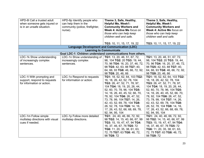| HPD-8I Call a trusted adult<br>when someone gets injured or | HPD-8p Identify people who<br>can help them in the          | Theme 3, Safe, Healthy,<br><b>Helpful Me, Week1:</b> | Theme 3, Safe, Healthy,<br><b>Helpful Me, Week1:</b> |
|-------------------------------------------------------------|-------------------------------------------------------------|------------------------------------------------------|------------------------------------------------------|
| is in an unsafe situation.                                  | community (police, firefighter,                             | <b>Community Workers and</b>                         | <b>Community Workers and</b>                         |
|                                                             | nurse).                                                     | Week 4: Active Me focus on                           | Week 4: Active Me focus on                           |
|                                                             |                                                             | those who can help keep                              | those who can help keep                              |
|                                                             |                                                             | children well and safe.                              | children well and safe.                              |
|                                                             |                                                             | TG3: 10, 11, 15, 17, 19, 22                          | TG3: 10, 11, 15, 17, 19, 22                          |
|                                                             |                                                             | <b>Language Development and Communication (LDC)</b>  |                                                      |
|                                                             |                                                             | <b>Learning to Communicate</b>                       |                                                      |
|                                                             | Goal LDC-1: Children understand communications from others. |                                                      |                                                      |
| LDC-1k Show understanding                                   | LDC-1n Show understanding of                                | TG1: 13, 20, 46, 51, 67, 72,                         | TG1: 13, 20, 46, 51, 67, 72,                         |
| of increasingly complex                                     | increasingly complex                                        | 98, 104 TG2: 20 TG3: 19, 44,                         | 98, 104 TG2: 20 TG3: 19, 44,                         |
| sentences.                                                  | sentences.                                                  | 70, 96 TG4: 16, 20, 37, 46, 72,                      | 70, 96 TG4: 16, 20, 37, 46, 72,                      |
|                                                             |                                                             | 98 TG5: 42, 63, 88 TG7: 40,                          | 98 TG5: 42, 63, 88 TG7: 40,                          |
|                                                             |                                                             | 64, 66, 93 TG8: 46, 66, 72, 92,                      | 64, 66, 93 TG8: 46, 66, 72, 92,                      |
|                                                             |                                                             | 98 TG9: 20, 46, 66                                   | 98 TG9: 20, 46, 66                                   |
| LDC-1I With prompting and                                   | LDC-1o Respond to requests                                  | TG1: 18, 52, 62, 64, 103 TG2:                        | TG1: 18, 52, 62, 64, 103 TG2:                        |
| support, respond to requests                                | for information or action.                                  | 16, 18, 26, 42, 52, 78, 104                          | 16, 18, 26, 42, 52, 78, 104                          |
| for information or action.                                  |                                                             | TG3: 26, 47, 52, 71, 78, 97,                         | TG3: 26, 47, 52, 71, 78, 97,                         |
|                                                             |                                                             | 104 TG4: 18, 19, 20, 26, 44,                         | 104 TG4: 18, 19, 20, 26, 44,                         |
|                                                             |                                                             | 52, 60, 70, 78, 96, 104 TG5:                         | 52, 60, 70, 78, 96, 104 TG5:                         |
|                                                             |                                                             | 14, 16, 26, 40, 45, 52, 66, 70,                      | 14, 16, 26, 40, 45, 52, 66, 70,                      |
|                                                             |                                                             | 78, 92, 104 TG6: 26, 47, 52,                         | 78, 92, 104 TG6: 26, 47, 52,                         |
|                                                             |                                                             | 73, 78, 99, 104 TG7: 14, 26,                         | 73, 78, 99, 104 TG7: 14, 26,                         |
|                                                             |                                                             | 42, 43, 52, 69, 78, 104 TG8:                         | 42, 43, 52, 69, 78, 104 TG8:                         |
|                                                             |                                                             | 26, 52, 78, 104 TG9: 14, 16,                         | 26, 52, 78, 104 TG9: 14, 16,                         |
|                                                             |                                                             | 17, 26, 43, 52, 66, 68, 69, 78,                      | 17, 26, 43, 52, 66, 68, 69, 78,                      |
|                                                             |                                                             | 92, 94, 95, 104                                      | 92, 94, 95, 104                                      |
| LDC-1m Follow simple                                        | LDC-1p Follow more detailed                                 | TG1: 24, 40, 46, 66, 72, 92,                         | TG1: 24, 40, 46, 66, 72, 92,                         |
| multistep directions with visual                            | multistep directions.                                       | 98 TG2: 14, 15, 40, 66, 67, 99                       | 98 TG2: 14, 15, 40, 66, 67, 99                       |
| cues if needed.                                             |                                                             | TG3: 15, 19, 47, 47, 94 TG4:                         | TG3: 15, 19, 47, 47, 94 TG4:                         |
|                                                             |                                                             | 16, 37, 46, 67, 76 TG5: 72                           | 16, 37, 46, 67, 76 TG5: 72                           |
|                                                             |                                                             | TG6: 11, 20, 35, 38, 61, 63,                         | TG6: 11, 20, 35, 38, 61, 63,                         |
|                                                             |                                                             | 72, 75 TG7: 63 TG8: 46, 72,                          | 72, 75 TG7: 63 TG8: 46, 72,                          |
|                                                             |                                                             | 98 TG9: 72                                           | 98 TG9: 72                                           |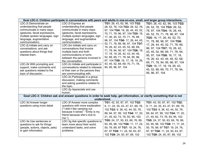|                                  | Goal LDC-2: Children participate in conversations with peers and adults in one-on-one, small, and larger group interactions. |                                    |                                    |  |
|----------------------------------|------------------------------------------------------------------------------------------------------------------------------|------------------------------------|------------------------------------|--|
| LDC-2i Demonstrate an            | LDC-2l Express an                                                                                                            | TG1: 26, 43, 62, 96, 103 TG2:      | TG1: 26, 43, 62, 96, 103 TG2:      |  |
| understanding that people        | understanding that people                                                                                                    | 26, 52, 78, 104 TG3: 26, 52, 78,   | 26, 52, 78, 104 TG3: 26, 52,       |  |
| communicate in many ways         | communicate in many ways                                                                                                     | 97, 104 TG4: 18, 26, 44, 45, 52,   | 78, 97, 104 TG4: 18, 26, 44,       |  |
| (gestures, facial expressions,   | (gestures, facial expressions,                                                                                               | 70, 71, 78, 96, 97, 104 TG5: 16,   | 45, 52, 70, 71, 78, 96, 97, 104    |  |
| multiple spoken languages, sign  | multiple spoken languages, sign                                                                                              | 17, 26, 45, 52, 70, 71, 78, 88,    | TG5: 16, 17, 26, 45, 52, 70,       |  |
| language, augmentative           | language, and augmentative                                                                                                   | 96, 97, 104 TG6: 17, 26, 44, 45,   | 71, 78, 88, 96, 97, 104 TG6:       |  |
| communication).                  | communication).                                                                                                              | 52, 71, 78, 89, 96, 97, 104 TG7:   |                                    |  |
| LDC-2j Initiate and carry on     | LDC-2m Initiate and carry on                                                                                                 | 19, 26, 42, 43, 45, 52, 68, 69,    | 17, 26, 44, 45, 52, 71, 78, 89,    |  |
| conversations, and ask           | conversations that involve                                                                                                   | 71, 78, 94, 95, 97, 104 TG8: 16,   | 96, 97, 104 TG7: 19, 26, 42,       |  |
| questions about things that      | multiple back and forth                                                                                                      | 17, 18, 19, 26, 42, 43, 44, 45,    | 43, 45, 52, 68, 69, 71, 78, 94,    |  |
| interest them.                   | communications or turns                                                                                                      | 52, 68, 69, 71, 78, 94, 95, 96,    | 95, 97, 104 TG8: 16, 17, 18,       |  |
|                                  | between the persons involved in                                                                                              | 97, 104 TG9: 16, 17, 18, 19, 26,   | 19, 26, 42, 43, 44, 45, 52, 68,    |  |
| LDC-2k With prompting and        | the conversation.<br>LDC-2n Initiate and participate in                                                                      | 43, 45, 52, 68, 69, 70, 71, 78,    | 69, 71, 78, 94, 95, 96, 97, 104    |  |
| support, make comments and       | conversations related to interests                                                                                           | 94, 95, 96, 97, 104                | TG9: 16, 17, 18, 19, 26, 43,       |  |
| ask questions related to the     | of their own or the persons they                                                                                             |                                    | 45, 52, 68, 69, 70, 71, 78, 94,    |  |
| topic of discussion.             | are communicating with.                                                                                                      |                                    | 95, 96, 97, 104                    |  |
|                                  | LDC-2o Participate in a group                                                                                                |                                    |                                    |  |
|                                  | discussion, making comments                                                                                                  |                                    |                                    |  |
|                                  | and asking questions related to                                                                                              |                                    |                                    |  |
|                                  | the topic.                                                                                                                   |                                    |                                    |  |
|                                  | LDC-2p Appreciate and use                                                                                                    |                                    |                                    |  |
|                                  | humor.                                                                                                                       |                                    |                                    |  |
|                                  | Goal LDC-3: Children ask and answer questions in order to seek help, get information, or clarify something that is not       |                                    |                                    |  |
|                                  | understood.                                                                                                                  |                                    |                                    |  |
| LDC-3d Answer longer             | LDC-3f Answer more complex                                                                                                   | TG1: 42, 50, 87, 97, 102 TG2:      | TG1: 42, 50, 87, 97, 102 TG2:      |  |
| questions using more detail.     | questions with more explanation                                                                                              | 9, 11, 24, 35, 43, 47, 61, 69, 76, | 9, 11, 24, 35, 43, 47, 61, 69, 76, |  |
|                                  | ("I didn't like camping out<br>because it rained." "Emily is my                                                              | 102 TG3: 9, 36, 42, 44, 50, 76,    | 102 TG3: 9, 36, 42, 44, 50, 76,    |  |
|                                  | friend because she's nice to                                                                                                 | 89, 94, 97, 99, 102 TG4: 17, 20,   | 89, 94, 97, 99, 102 TG4: 17, 20,   |  |
|                                  | me.").                                                                                                                       | 21, 45, 62, 73, 76, 93, 95, 102    | 21, 45, 62, 73, 76, 93, 95, 102    |  |
| LDC-3e Use sentences or          | LDC-3g Ask specific questions to                                                                                             | TG5: 24, 37, 50, 63, 69, 76, 89,   | TG5: 24, 37, 50, 63, 69, 76, 89,   |  |
| questions to ask for things      | learn more about their world,                                                                                                | 93, 95, 98, 102 TG6: 11, 17, 24,   | 93, 95, 98, 102 TG6: 11, 17, 24,   |  |
| (people, actions, objects, pets) | understand tasks, and solve                                                                                                  | 50, 76, 89, 97 TG7: 19, 24, 76,    | 50, 76, 89, 97 TG7: 19, 24, 76,    |  |
| or gain information.             | problems.                                                                                                                    | 87, 97 TG8: 11, 24, 50, 63, 87,    | 87, 97 TG8: 11, 24, 50, 63, 87,    |  |
|                                  |                                                                                                                              | 102 TG9: 24, 50, 87, 89, 102       | 102 TG9: 24, 50, 87, 89, 102       |  |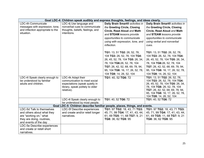|                                   |                                                                            | Goal LDC-4: Children speak audibly and express thoughts, feelings, and ideas clearly. |                                                 |  |  |
|-----------------------------------|----------------------------------------------------------------------------|---------------------------------------------------------------------------------------|-------------------------------------------------|--|--|
| LDC-4h Communicate                | LDC-4j Use language and                                                    | Daily Brain Smart <sup>®</sup> activities in                                          | Daily Brain Smart <sup>®</sup> activities in    |  |  |
| messages with expression, tone,   | nonverbal cues to communicate                                              | the Greeting Circle, Closing                                                          | the Greeting Circle, Closing                    |  |  |
| and inflection appropriate to the | thoughts, beliefs, feelings, and                                           | Circle, Read Aloud and Math                                                           | Circle, Read Aloud and Math                     |  |  |
| situation.                        | intentions.                                                                | and STEAM lessons provide                                                             | and STEAM lessons provide                       |  |  |
|                                   |                                                                            | opportunities to communicate                                                          | opportunities to communicate                    |  |  |
|                                   |                                                                            | using with expression, tone, and                                                      | using verbal and nonverbal                      |  |  |
|                                   |                                                                            |                                                                                       |                                                 |  |  |
|                                   |                                                                            | inflection.                                                                           | cues.                                           |  |  |
|                                   |                                                                            | TG1: 13, 51 TG2: 26, 52, 78,                                                          | TG1: 13, 51 TG2: 26, 52, 78,                    |  |  |
|                                   |                                                                            |                                                                                       |                                                 |  |  |
|                                   |                                                                            | 104 TG3: 26, 52, 78, 104 TG4:                                                         | 104 TG3: 26, 52, 78, 104 TG4:                   |  |  |
|                                   |                                                                            | 26, 45, 52, 78, 104 TG5: 26, 34,                                                      | 26, 45, 52, 78, 104 TG5: 26, 34,                |  |  |
|                                   |                                                                            | 78, 104 TG6:26, 52, 78, 104                                                           | 78, 104 TG6:26, 52, 78, 104                     |  |  |
|                                   |                                                                            | TG7: 26, 42, 52, 68, 69, 78, 94,                                                      | TG7: 26, 42, 52, 68, 69, 78, 94,                |  |  |
|                                   |                                                                            | 95, 104 TG8: 16, 17, 26, 52, 78,                                                      | 95, 104 TG8: 16, 17, 26, 52, 78,                |  |  |
|                                   |                                                                            | 104 TG9: 14, 26, 52, 104                                                              | 104 TG9: 14, 26, 52, 104                        |  |  |
| LDC-4I Speak clearly enough to    | LDC-4k Adapt their                                                         | TG1: 40, 52 TG6: 72                                                                   | TG1: 13, 51 TG2: 26, 52, 78,                    |  |  |
| be understood by familiar         | communication to meet social                                               |                                                                                       | 104 TG3: 26, 52, 78, 104 TG4:                   |  |  |
| adults and children.              | expectations (speak quietly in                                             |                                                                                       | 26, 45, 52, 78, 104 TG5: 26, 34,                |  |  |
|                                   | library, speak politely to older                                           |                                                                                       | 78, 104 TG6: 26, 52, 78, 104                    |  |  |
|                                   | relative).                                                                 |                                                                                       | TG7: 26, 42, 52, 68, 69, 78, 94,                |  |  |
|                                   |                                                                            |                                                                                       | 95, 104 TG8: 16, 17, 26, 52, 78,                |  |  |
|                                   | LDC-4I Speak clearly enough to                                             | TG1: 40, 52 TG6: 72                                                                   | 104 TG9: 14, 26, 52, 104<br>TG1: 40, 52 TG6: 72 |  |  |
|                                   | be understood by most people.                                              |                                                                                       |                                                 |  |  |
|                                   | Goal LDC-5: Children describe familiar people, places, things, and events. |                                                                                       |                                                 |  |  |
| LDC-5d Talk to themselves         | LDC-5f Describe experiences                                                | TG1: 97 TG2: 18, 43, 71 TG3:                                                          | TG1: 97 TG2: 18, 43, 71 TG3:                    |  |  |
| and others about what they        | and create and/or retell longer                                            | 45, 71, 99 TG4: 17, 41, 43, 44,                                                       | 45, 71, 99 TG4: 17, 41, 43, 44,                 |  |  |
| are "working on," what            | narratives.                                                                | 61, 69 TG5: 11, 68 TG7: 9, 21                                                         | 61, 69 TG5: 11, 68 TG7: 9, 21                   |  |  |
| they are doing, routines,         |                                                                            | TG8: 36, 62 TG9: 95                                                                   | TG8: 36, 62 TG9: 95                             |  |  |
| and events of the day             |                                                                            |                                                                                       |                                                 |  |  |
| LDC-5e Describe experiences       |                                                                            |                                                                                       |                                                 |  |  |
| and create or retell short        |                                                                            |                                                                                       |                                                 |  |  |
| narratives.                       |                                                                            |                                                                                       |                                                 |  |  |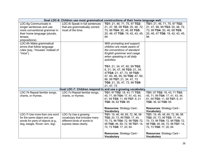| TG1: 21, 46, 71, 75, 97 TG2:<br>21, 47, 98, 99 TG3: 20, 46, 72,<br>73, 99 TG4: 20, 46, 68 TG5:<br>20, 46, 47 TG6: 19, 42, 43, 45,<br>With prompting and support,<br>children are made aware of<br>the conventions of standard | TG1: 21, 46, 71, 75, 97 TG2:<br>21, 47, 98, 99 TG3: 20, 46, 72,<br>73, 99 TG4: 20, 46, 68 TG5:<br>20, 46, 47 TG6: 19, 42, 43, 45,<br>94                                                       |
|-------------------------------------------------------------------------------------------------------------------------------------------------------------------------------------------------------------------------------|-----------------------------------------------------------------------------------------------------------------------------------------------------------------------------------------------|
|                                                                                                                                                                                                                               |                                                                                                                                                                                               |
|                                                                                                                                                                                                                               |                                                                                                                                                                                               |
| English grammar and usage<br>when speaking in all daily<br>activities.                                                                                                                                                        |                                                                                                                                                                                               |
| TG1: 21, 34, 47, 60, 99 TG2:<br>8, 21, 34, 47, 99 TG3: 21, 34,<br>47TG4: 21, 47, 73, 99 TG5:<br>47, 60, 86, 95, 99 TG6: 47, 60,<br>86, 99 TG7: 21, 34, 47, 73<br>TG8: 21, 35, 47, 73, 99 TG9:<br>21, 47, 73                   |                                                                                                                                                                                               |
|                                                                                                                                                                                                                               |                                                                                                                                                                                               |
| TG1: 97 TG2: 18, 43, 71 TG3:<br>45, 71, 99 TG4: 17, 41, 43, 44,<br>61, 69 TG5: 11, 68 TG7: 9, 21<br>TG8: 36, 62 TG9: 95                                                                                                       | TG1: 97 TG2: 18, 43, 71 TG3:<br>45, 71, 99 TG4: 17, 41, 43, 44,<br>61, 69 TG5: 11, 68 TG7: 9, 21<br>TG8: 36, 62 TG9: 95                                                                       |
| Resources: Strategy Card -<br><b>Vocabulary</b>                                                                                                                                                                               | Resources: Strategy Card -<br><b>Vocabulary</b>                                                                                                                                               |
| TG1: 19, 46, 48, 69, 72, 96, 98<br>TG2: 20, 73, 99 TG3: 17, 44,<br>70, 73, 96 TG4: 72, 98 TG5: 72,<br>98 TG6: 46, 69, 72, 98 TG7: 14,<br>72, 73 TG9: 17, 20, 64                                                               | TG1: 19, 46, 48, 69, 72, 96, 98<br>TG2: 20, 73, 99 TG3: 17, 44,<br>70, 73, 96 TG4: 72, 98 TG5: 72,<br>98 TG6: 46, 69, 72, 98 TG7: 14,<br>72, 73 TG9: 17, 20, 64<br>Resources: Strategy Card - |
|                                                                                                                                                                                                                               | Goal LDC-7: Children respond to and use a growing vocabulary.<br>Resources: Strategy Card -                                                                                                   |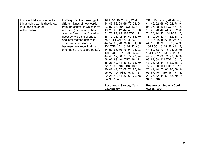| LDC-7m Make up names for<br>things using words they know<br>(e.g., dog doctor for<br>veterinarian). | LDC-7q Infer the meaning of<br>different kinds of new words<br>from the context in which they<br>are used (for example, hear<br>"sandals" and "boots" used to<br>describe two pairs of shoes,<br>and infer that the unfamiliar<br>shoes must be sandals<br>because they know that the<br>other pair of shoes are boots). | <b>TG1:</b> 18, 19, 20, 26, 42, 43,<br>44, 46, 52, 68, 69, 72, 78, 94,<br>96, 97, 98, 104 TG2: 16, 18,<br>19, 20, 26, 42, 44, 45, 52, 68,<br>71, 78, 94, 95, 104 TG3: 17,<br>18, 19, 26, 42, 44, 52, 68, 70,<br>78, 104 TG4: 16, 18, 26, 42,<br>44, 52, 68, 70, 78, 89, 94, 96,<br>104 TG5: 16, 18, 26, 42, 43,<br>44, 52, 68, 70, 78, 94, 96, 98,<br>104 TG6: 16, 18, 20, 26, 42,<br>44, 45, 52, 68, 71, 72, 78, 94,<br>96, 97, 98, 104 TG7: 16, 17,<br>18, 26, 42, 44, 46, 52, 68, 70,<br>72, 78, 96, 104 TG8: 16, 18,<br>26, 42, 44, 52, 68, 70, 78, 94,<br>96, 97, 104 TG9: 16, 17, 18,<br>22, 26, 42, 44, 52, 68, 70, 78,<br>94, 96, 104 | <b>TG1:</b> 18, 19, 20, 26, 42, 43,<br>44, 46, 52, 68, 69, 72, 78, 94,<br>96, 97, 98, 104 TG2: 16, 18,<br>19, 20, 26, 42, 44, 45, 52, 68,<br>71, 78, 94, 95, 104 TG3: 17,<br>18, 19, 26, 42, 44, 52, 68, 70,<br>78, 104 TG4: 16, 18, 26, 42,<br>44, 52, 68, 70, 78, 89, 94, 96,<br>104 TG5: 16, 18, 26, 42, 43,<br>44, 52, 68, 70, 78, 94, 96, 98,<br>104 TG6: 16, 18, 20, 26, 42,<br>44, 45, 52, 68, 71, 72, 78, 94,<br>96, 97, 98, 104 TG7: 16, 17,<br>18, 26, 42, 44, 46, 52, 68, 70,<br>72, 78, 96, 104 TG8: 16, 18,<br>26, 42, 44, 52, 68, 70, 78, 94,<br>96, 97, 104 TG9: 16, 17, 18,<br>22, 26, 42, 44, 52, 68, 70, 78,<br>94, 96, 104 |
|-----------------------------------------------------------------------------------------------------|--------------------------------------------------------------------------------------------------------------------------------------------------------------------------------------------------------------------------------------------------------------------------------------------------------------------------|-----------------------------------------------------------------------------------------------------------------------------------------------------------------------------------------------------------------------------------------------------------------------------------------------------------------------------------------------------------------------------------------------------------------------------------------------------------------------------------------------------------------------------------------------------------------------------------------------------------------------------------------------|-----------------------------------------------------------------------------------------------------------------------------------------------------------------------------------------------------------------------------------------------------------------------------------------------------------------------------------------------------------------------------------------------------------------------------------------------------------------------------------------------------------------------------------------------------------------------------------------------------------------------------------------------|
|                                                                                                     |                                                                                                                                                                                                                                                                                                                          | Resources: Strategy Card -<br><b>Vocabulary</b>                                                                                                                                                                                                                                                                                                                                                                                                                                                                                                                                                                                               | Resources: Strategy Card -<br><b>Vocabulary</b>                                                                                                                                                                                                                                                                                                                                                                                                                                                                                                                                                                                               |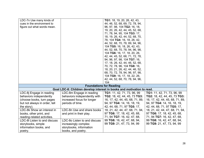| LDC-7n Use many kinds of      |                                                                        | TG1: 18, 19, 20, 26, 42, 43,       |                                    |
|-------------------------------|------------------------------------------------------------------------|------------------------------------|------------------------------------|
| cues in the environment to    |                                                                        | 44, 46, 52, 68, 69, 72, 78, 94,    |                                    |
| figure out what words mean.   |                                                                        | 96, 97, 98, 104 TG2: 16, 18,       |                                    |
|                               |                                                                        | 19, 20, 26, 42, 44, 45, 52, 68,    |                                    |
|                               |                                                                        | 71, 78, 94, 95, 104 TG3: 17,       |                                    |
|                               |                                                                        | 18, 19, 26, 42, 44, 52, 68, 70,    |                                    |
|                               |                                                                        | 78, 104 TG4: 16, 18, 26, 42,       |                                    |
|                               |                                                                        | 44, 52, 68, 70, 78, 89, 94, 96,    |                                    |
|                               |                                                                        | 104 TG5: 16, 18, 26, 42, 43,       |                                    |
|                               |                                                                        | 44, 52, 68, 70, 78, 94, 96, 98,    |                                    |
|                               |                                                                        | 104 TG6: 16, 17, 18, 20, 26,       |                                    |
|                               |                                                                        | 42, 44, 45, 52, 68, 71, 72, 78,    |                                    |
|                               |                                                                        | 94, 96, 97, 98, 104 TG7: 16,       |                                    |
|                               |                                                                        | 17, 18, 26, 42, 44, 46, 52, 68,    |                                    |
|                               |                                                                        | 70, 72, 78, 96, 104 TG8: 16,       |                                    |
|                               |                                                                        | 18, 20, 21, 26, 42, 44, 46, 52,    |                                    |
|                               |                                                                        | 68, 70, 72, 78, 94, 96, 97, 98,    |                                    |
|                               |                                                                        | 104 TG9: 16, 17, 18, 22, 26,       |                                    |
|                               |                                                                        | 42, 44, 52, 68, 70, 78, 94, 96,    |                                    |
|                               |                                                                        | 104                                |                                    |
|                               |                                                                        | <b>Foundations for Reading</b>     |                                    |
|                               | Goal LDC-8: Children develop interest in books and motivation to read. |                                    |                                    |
| LDC-8j Engage in reading      | LDC-8m Engage in reading                                               | <b>TG1:</b> 11, 42, 71, 73, 96, 99 | <b>TG1:</b> 11, 42, 71, 73, 96, 99 |
| behaviors independently       | behaviors independently with                                           | TG2: 18, 42, 44, 45, 73 TG3:       | TG2: 18, 42, 44, 45, 73 TG3:       |
| (choose books, turn pages     | increased focus for longer                                             | 16, 17, 42, 44, 45, 68, 71, 89,    | 16, 17, 42, 44, 45, 68, 71, 89,    |
| but not always in order, tell | periods of time.                                                       | 94, 97 TG4: 14, 16, 18, 19,        | 94, 97 TG4: 14, 16, 18, 19,        |
| the story).                   |                                                                        | 42, 44, 68, 71, 97 TG5: 17,        | 42, 44, 68, 71, 97 TG5: 17,        |
| LDC-8k Show an interest in    | LDC-8n Use and share books                                             | 18, 21, 42, 44, 47, 68, 71, 94,    | 18, 21, 42, 44, 47, 68, 71, 94,    |
| books, other print, and       | and print in their play.                                               | 97 TG6: 17, 18, 42, 45, 68,        | 97 TG6: 17, 18, 42, 45, 68,        |
| reading-related activities.   |                                                                        | 71, 94 TG7: 16, 42, 47, 68,        | 71, 94 TG7: 16, 42, 47, 68,        |
| LDC-8I Listen to and discuss  | LDC-80 Listen to and discuss                                           | 99 TG8: 16, 42, 47, 68, 94,        | 99 TG8: 16, 42, 47, 68, 94,        |
| storybooks, simple            | increasingly complex                                                   | 99 TG9: 21, 47, 73, 94, 99         | 99 TG9: 21, 47, 73, 94, 99         |
| information books, and        | storybooks, information                                                |                                    |                                    |
|                               |                                                                        |                                    |                                    |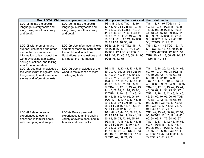|                                 | Goal LDC-9: Children comprehend and use information presented in books and other print media. |                                  |                                         |
|---------------------------------|-----------------------------------------------------------------------------------------------|----------------------------------|-----------------------------------------|
| LDC-9i Imitate the special      | LDC-9o Imitate the special                                                                    | TG1: 18, 71, 97 TG2: 18, 19,     | TG1: 18, 71, 97 TG2: 18, 19,            |
| language in storybooks and      | language in storybooks and                                                                    | 42, 43, 70, 71 TG3: 18, 19, 45,  | 42, 43, 70, 71 TG3: 18, 19, 45,         |
| story dialogue with accuracy    | story dialogue with accuracy                                                                  | 71, 95, 97, 99 TG4: 17, 19, 21,  | 71, 95, 97, 99 TG4: 17, 19, 21,         |
| and detail.                     | and detail.                                                                                   | 41, 43, 44, 45, 61, 69 TG5: 11,  | 41, 43, 44, 45, 61, 69 TG5: 11,         |
|                                 |                                                                                               | 68, 69, 71, 95 TG6: 19, 42, 69,  | 68, 69, 71, 95 TG6: 19, 42, 69,         |
|                                 |                                                                                               | 95, 96 TG7: 9, 17, 21, 45 TG8:   | 95, 96 TG7: 9, 17, 21, 45 TG8:          |
|                                 |                                                                                               | 36, 62 TG9: 16, 95, 96           | 36, 62 TG9: 16, 95, 96                  |
| LDC-9j With prompting and       | LDC-9p Use informational texts                                                                | TG1: 42, 44, 45 TG2: 16, 17,     | TG1: 42, 44, 45 TG2: 16, 17,            |
| support, use books and other    | and other media to learn about                                                                | 69 TG3: 16, 17, 43, 69 TG4:      | 69 TG3: 16, 17, 43, 69 TG4:             |
| media that communicate          | the world, and infer from                                                                     | 18 TG5: 42 TG6: 42 TG7: 18       | 18 TG5: 42 TG6: 42 TG7: 18              |
| information to learn about the  | illustrations, ask questions and                                                              | TG8: 16, 42, 43, 68, 69, 94, 95  | TG8: 16, 42, 43, 68, 69, 94, 95         |
| world by looking at pictures,   | talk about the information.                                                                   | TG9: 16, 42, 68                  | TG9: 16, 42, 68                         |
| asking questions, and talking   |                                                                                               |                                  |                                         |
| about the information.          |                                                                                               |                                  |                                         |
| LDC-9k Use their knowledge of   | LDC-9q Use knowledge of the                                                                   | TG1: 16, 18, 20, 42, 43, 44, 68, | TG1: 16, 18, 20, 42, 43, 44, 68,        |
| the world (what things are, how | world to make sense of more                                                                   | 69, 70, 72, 94, 95, 98 TG2: 16,  | 69, 70, 72, 94, 95, 98 TG2: 16,         |
| things work) to make sense of   | challenging texts.                                                                            | 17, 19, 21, 42, 44, 45, 60, 68,  | 17, 19, 21, 42, 44, 45, 60, 68,         |
| stories and information texts.  |                                                                                               | 69, 70, 71, 72, 94, 95, 96, 97   | 69, 70, 71, 72, 94, 95, 96, 97          |
|                                 |                                                                                               | TG3: 16, 17, 18, 19, 42, 43, 44, | <b>TG3:</b> 16, 17, 18, 19, 42, 43, 44, |
|                                 |                                                                                               | 45, 63, 68, 69, 71, 94, 95, 96,  | 45, 63, 68, 69, 71, 94, 95, 96, 97      |
|                                 |                                                                                               | 97 TG4: 16, 17, 18, 19, 42, 43,  | TG4: 16, 17, 18, 19, 42, 43, 44,        |
|                                 |                                                                                               | 44, 45, 68, 69, 71, 94, 95, 96,  | 45, 68, 69, 71, 94, 95, 96, 97          |
|                                 |                                                                                               | 97 TG5: 17, 18, 19, 42, 43, 44,  | TG5: 17, 18, 19, 42, 43, 44, 45,        |
|                                 |                                                                                               | 45, 46, 68, 69, 70, 95, 96, 97   | 46, 68, 69, 70, 95, 96, 97 TG6:         |
|                                 |                                                                                               | TG6: 17, 18, 19, 42, 43, 45, 68, | 17, 18, 19, 42, 43, 45, 68, 69,         |
|                                 |                                                                                               | 69, 94, 95, 97 TG7: 19, 42, 45,  | 94, 95, 97 TG7: 19, 42, 45, 68,         |
|                                 |                                                                                               | 68, 94 TG8: 16, 17, 44, 68, 71,  | 94 TG8: 16, 17, 44, 68, 71, 72,         |
|                                 |                                                                                               | 72, 94 TG9: 42, 68, 71, 73       | 94 TG9: 42, 68, 71, 73                  |
| LDC-9I Relate personal          | LDC-9r Relate personal                                                                        | TG1: 42, 43, 44, 68, 69, 72, 94, | TG1: 42, 43, 44, 68, 69, 72, 94,        |
| experiences to events           | experiences to an increasing                                                                  | 95, 98 TG2: 16, 17, 19, 44, 45,  | 95, 98 TG2: 16, 17, 19, 44, 45,         |
| described in familiar books,    | variety of events described in                                                                | 60, 68, 69, 71, 72, 94, 95, 97   | 60, 68, 69, 71, 72, 94, 95, 97          |
| with prompting and support.     | familiar and new books.                                                                       | TG3: 16, 17, 18, 42, 43, 45, 68, | <b>TG3:</b> 16, 17, 18, 42, 43, 45, 68, |
|                                 |                                                                                               | 69, 71 TG4: 16, 18, 19, 45, 71,  | 69, 71 TG4: 16, 18, 19, 45, 71,         |
|                                 |                                                                                               | 94, 95, 96, 97 TG5: 17, 42, 43,  | 94, 95, 96, 97 TG5: 17, 42, 43,         |
|                                 |                                                                                               | 44, 45, 46, 96, 97 TG6: 42, 43,  | 44, 45, 46, 96, 97 TG6: 42, 43,         |
|                                 |                                                                                               | 45 TG7: 19, 42, 94 TG8: 17, 68,  | 45 TG7: 19, 42, 94 TG8: 17, 68,         |
|                                 |                                                                                               | 72 TG9: 42, 68, 71, 73           | 72 TG9: 42, 68, 71, 73                  |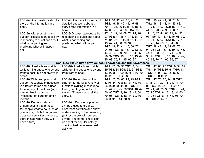| LDC-9m Ask questions about a<br>story or the information in a<br>book.<br>LDC-9n With prompting and<br>support, discuss storybooks by<br>responding to questions about<br>what is happening and<br>predicting what will happen<br>next. | LDC-9s Ask more focused and<br>detailed questions about a<br>story or the information in a<br>book.<br>LDC-9t Discuss storybooks by<br>responding to questions about<br>what is happening and<br>predicting what will happen<br>next.                                       | TG1: 18, 42, 44, 68, 71, 96<br>TG2: 16, 18, 42, 44, 45, 68,<br>70, 71, 94, 96 TG3: 16, 18, 42,<br>44, 68, 70, 94, 96 TG4: 16,<br>17, 18, 42, 44, 68, 71, 94, 96,<br>97 TG5: 17, 18, 44, 45, 68, 70,<br>71, 94, 96, 97 TG6: 16, 17, 18,<br>19, 42, 44, 68, 70, 94, 96<br>TG7: 18, 42, 44, 45, 68, 70,<br>94, 96 TG8: 16, 18, 19, 42, 43, | TG1: 18, 42, 44, 68, 71, 96<br>TG2: 16, 18, 42, 44, 45, 68,<br>70, 71, 94, 96 TG3: 16, 18, 42,<br>44, 68, 70, 94, 96 TG4: 16,<br>17, 18, 42, 44, 68, 71, 94, 96,<br>97 TG5: 17, 18, 44, 45, 68, 70,<br>71, 94, 96, 97 TG6: 16, 17, 18,<br>19, 42, 44, 68, 70, 94, 96<br>TG7: 18, 42, 44, 45, 68, 70,<br>94, 96 TG8: 16, 18, 19, 42, 43, |
|-----------------------------------------------------------------------------------------------------------------------------------------------------------------------------------------------------------------------------------------|-----------------------------------------------------------------------------------------------------------------------------------------------------------------------------------------------------------------------------------------------------------------------------|-----------------------------------------------------------------------------------------------------------------------------------------------------------------------------------------------------------------------------------------------------------------------------------------------------------------------------------------|-----------------------------------------------------------------------------------------------------------------------------------------------------------------------------------------------------------------------------------------------------------------------------------------------------------------------------------------|
|                                                                                                                                                                                                                                         |                                                                                                                                                                                                                                                                             | 44, 45, 68, 69, 70, 71, 94, 95,<br>96, 97 TG9: 16, 13, 18, 19, 42,<br>45, 68, 70, 71, 95, 96, 97                                                                                                                                                                                                                                        | 44, 45, 68, 69, 70, 71, 94, 95,<br>96, 97 TG9: 16, 13, 18, 19, 42,<br>45, 68, 70, 71, 95, 96, 97                                                                                                                                                                                                                                        |
|                                                                                                                                                                                                                                         | Goal LDC-10: Children develop book knowledge and print awareness.                                                                                                                                                                                                           |                                                                                                                                                                                                                                                                                                                                         |                                                                                                                                                                                                                                                                                                                                         |
| LDC-10h Hold a book upright<br>while turning pages one by one<br>front to back, but not always in<br>order.<br>LDC-10i With prompting and                                                                                               | LDC-10k Hold a book upright<br>while turning pages one by one<br>from front to back.<br>LDC-10I Recognize print in                                                                                                                                                          | TG1: 47, 86, 95 TG2: 8, 34,<br>89 TG3: 34 TG4: 35, 61 TG5:<br>43 TG6: 21, 99 TG7: 8, 16, 60<br>TG8: 8, 60 TG9: 8<br>TG1: 47, 73, 86, 94, 99 TG2:                                                                                                                                                                                        | TG1: 47, 86, 95 TG2: 8, 34, 89<br>TG3: 34 TG4: 35, 61 TG5: 43<br>TG6: 21, 99 TG7: 8, 16, 60<br>TG8: 8, 60 TG9: 8<br>TG1: 47, 73, 86, 94, 99 TG2:                                                                                                                                                                                        |
| support, recognize print occurs<br>in different forms and is used<br>for a variety of functions (sign<br>naming block structure,<br>"message" on card for family<br>member).                                                            | different forms for a variety of<br>functions (writing message to<br>friend, pointing to print and<br>saying, "Those words tell the<br>story.").                                                                                                                            | 8, 16, 34 TG3: 18, 34, 44, 70,<br>96 TG4: 18, 44, 96 TG5: 16,<br>21, 44, 70, 95, 96 TG6: 16, 44,<br>70, 96 TG7: 8, 16, 18, 44, 60,<br>70, 96 TG8: 8, 18, 44, 60, 70,<br>96 TG9: 8, 44, 70, 96                                                                                                                                           | 8, 16, 34 TG3: 18, 34, 44, 70,<br>96 TG4: 18, 44, 96 TG5: 16,<br>21, 44, 70, 95, 96 TG6: 16, 44,<br>70, 96 TG7: 8, 16, 18, 44, 60,<br>70, 96 TG8: 8, 18, 44, 60, 70,<br>96 TG9: 8, 44, 70, 96                                                                                                                                           |
| LDC-10j Demonstrate an<br>understanding that print can<br>tell people what to do (such as<br>print and symbols to organize<br>classroom activities-where to<br>store things, when they will<br>have a turn).                            | LDC-10m Recognize print and<br>symbols used to organize<br>classroom activities and show<br>understanding of their meaning<br>(put toys in box with correct<br>symbol and name; check sign-<br>up sheet for popular activity;<br>check schedule to learn next<br>activity). |                                                                                                                                                                                                                                                                                                                                         |                                                                                                                                                                                                                                                                                                                                         |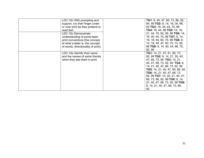| read text. | LDC-10n With prompting and<br>support, run their finger under<br>or over print as they pretend to<br>LDC-10o Demonstrate<br>understanding of some basic<br>print conventions (the concept<br>of what a letter is, the concept<br>of words, directionality of print). | TG1: 9, 40, 47, 66, 73, 86, 92,<br>94, 99 TG2: 8, 14, 16, 34, 66,<br>92 TG3: 18, 34, 44, 70, 96<br>TG4: 18, 44, 96 TG5: 14, 16,<br>21, 44, 70, 92, 95, 96 TG6: 14,<br>16, 40, 44, 70, 96 TG7: 8, 14,<br>16, 18, 44, 60, 70, 96 TG8: 8,<br>14, 18, 44, 47, 60, 70, 73, 92,<br>96 TG9: 8, 14, 40, 44, 66, 70,<br>92, 96                                                                |
|------------|----------------------------------------------------------------------------------------------------------------------------------------------------------------------------------------------------------------------------------------------------------------------|--------------------------------------------------------------------------------------------------------------------------------------------------------------------------------------------------------------------------------------------------------------------------------------------------------------------------------------------------------------------------------------|
|            | LDC-10p Identify their name<br>and the names of some friends<br>when they see them in print.                                                                                                                                                                         | TG1: 14, 21, 47, 61, 66, 73,<br>92, 99 TG2: 9, 14, 21, 35, 40,<br>47, 66, 73, 99 TG3: 14, 21,<br>40, 47, 66, 73, 92, 99 TG4: 8,<br>14, 21, 40, 47, 66, 73, 92, 99<br>TG5: 14, 21, 40, 47, 60, 66, 92<br>TG6: 14, 21, 40, 47, 66, 73,<br>92, 99 TG7: 14, 20, 21, 40, 47,<br>66, 73, 86, 92, 99 TG8: 8, 14,<br>21, 40, 47, 66, 73, 92, 99 TG9:<br>8, 14, 21, 40, 47, 66, 73, 86,<br>92 |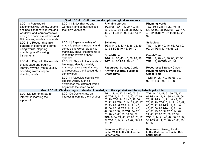|                                   | Goal LDC-11: Children develop phonological awareness.                                          |                                                                    |                                                                    |  |
|-----------------------------------|------------------------------------------------------------------------------------------------|--------------------------------------------------------------------|--------------------------------------------------------------------|--|
| LDC-11f Participate in            | LDC-11i Enjoy rhymes and                                                                       | <b>Rhyming words:</b>                                              | <b>Rhyming words:</b>                                              |  |
| experiences with songs, poems,    | wordplay, and sometimes add                                                                    | TG3: 95 TG4: 14, 20, 40, 46,                                       | TG3: 95 TG4: 14, 20, 40, 46,                                       |  |
| and books that have rhyme and     | their own variations.                                                                          | 66, 72, 92, 98 TG5: 98 TG6: 17,                                    | 66, 72, 92, 98 TG5: 98 TG6: 17,                                    |  |
| wordplay, and learn words well    |                                                                                                | 43, 72 TG8: 71, 92 TG9: 14, 20,                                    | 43, 72 TG8: 71, 92 TG9: 14, 20,                                    |  |
| enough to complete refrains and   |                                                                                                | 97                                                                 | 97                                                                 |  |
| fill in missing words and sounds. |                                                                                                |                                                                    |                                                                    |  |
| LDC-11g Repeat rhythmic           | LDC-11j Repeat a variety of                                                                    | <b>Syllables:</b>                                                  | <b>Syllables:</b>                                                  |  |
| patterns in poems and songs       | rhythmic patterns in poems and                                                                 | TG3: 14, 35, 40, 46, 66, 72, 89,                                   | TG3: 14, 35, 40, 46, 66, 72, 89,                                   |  |
| using words, clapping,            | songs using words, clapping,                                                                   | 92, 98 TG8: 40, 46, 66, 72                                         | 92, 98 TG8: 40, 46, 66, 72                                         |  |
| marching, and/or using            | marching, and/or instruments to                                                                |                                                                    |                                                                    |  |
| instruments.                      | repeat the rhythm or beat                                                                      | <b>Onset-Rime</b>                                                  | <b>Onset-Rime</b>                                                  |  |
|                                   | syllables.                                                                                     | TG6: 14, 20, 40, 46, 66, 92, 98                                    | TG6: 14, 20, 40, 46, 66, 92, 98                                    |  |
| LDC-11h Play with the sounds      | LDC-11k Play with the sounds of                                                                | TG7: 14, 20 TG9: 40, 46                                            | TG7: 14, 20 TG9: 40, 46                                            |  |
| of language and begin to          | language, identify a variety of                                                                |                                                                    |                                                                    |  |
| identify rhymes (make up silly-   | rhymes, create some rhymes,                                                                    | <b>Resources: Strategy Cards -</b>                                 | <b>Resources: Strategy Cards -</b>                                 |  |
| sounding words, repeat            | and recognize the first sounds in                                                              | <b>Rhyming Words, Syllables,</b>                                   | <b>Rhyming Words, Syllables,</b>                                   |  |
| rhyming words.                    | some words.                                                                                    | <b>Onset-Rime</b>                                                  | <b>Onset-Rime</b>                                                  |  |
|                                   | LDC-11I Associate sounds with                                                                  |                                                                    | TG5: 14, 20, 40, 46, 66, 72,                                       |  |
|                                   | specific words, such as                                                                        |                                                                    | 92, 98 TG9: 92, 96, 98                                             |  |
|                                   | awareness that different words                                                                 |                                                                    |                                                                    |  |
|                                   | begin with the same sound.                                                                     |                                                                    |                                                                    |  |
|                                   | Goal LDC-12: Children begin to develop knowledge of the alphabet and the alphabetic principle. |                                                                    |                                                                    |  |
| LDC-12b Demonstrate an            | LDC-12e Demonstrate an                                                                         | TG1: 14, 21, 47, 61, 66, 73, 92,                                   | TG1: 14, 21, 47, 61, 66, 73, 92,                                   |  |
| interest in learning the          | interest in learning the alphabet.                                                             | 99 TG2: 9, 14, 21, 35, 40, 47, 66,                                 | 99 TG2: 9, 14, 21, 35, 40, 47, 66,                                 |  |
| alphabet.                         |                                                                                                | 73, 99 TG3: 14, 21, 40, 47, 66,                                    | 73, 99 TG3: 14, 21, 40, 47, 66,                                    |  |
|                                   |                                                                                                | 73, 92, 99 TG4: 8, 14, 21, 40, 47,                                 | 73, 92, 99 TG4: 8, 14, 21, 40, 47,                                 |  |
|                                   |                                                                                                | 66, 73, 92, 99 TG5: 14, 21, 40,                                    | 66, 73, 92, 99 TG5: 14, 21, 40,                                    |  |
|                                   |                                                                                                | 47, 60, 66, 92 TG6: 14, 21, 40,<br>47, 66, 73, 92, 99 TG7: 14, 20, | 47, 60, 66, 92 TG6: 14, 21, 40,<br>47, 66, 73, 92, 99 TG7: 14, 20, |  |
|                                   |                                                                                                | 21, 40, 47, 66, 73, 86, 92, 99                                     | 21, 40, 47, 66, 73, 86, 92, 99                                     |  |
|                                   |                                                                                                | TG8: 8, 14, 21, 40, 47, 66, 73, 92,                                | TG8: 8, 14, 21, 40, 47, 66, 73, 92,                                |  |
|                                   |                                                                                                | 99 TG9: 8, 14, 21, 40, 47, 66, 73,                                 | 99 TG9: 8, 14, 21, 40, 47, 66, 73,                                 |  |
|                                   |                                                                                                | 86, 92                                                             | 86, 92                                                             |  |
|                                   |                                                                                                |                                                                    |                                                                    |  |
|                                   |                                                                                                | <b>Resources: Strategy Card -</b>                                  | Resources: Strategy Card -                                         |  |
|                                   |                                                                                                | Letter Wall, Letter Builder Set,                                   | Letter Wall, Letter Builder Set,                                   |  |
|                                   |                                                                                                | <b>Letter Cards</b>                                                | <b>Letter Cards</b>                                                |  |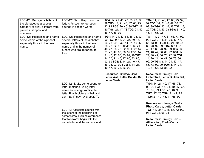| LDC-12c Recognize letters of<br>the alphabet as a special<br>category of print, different from<br>pictures, shapes, and<br>numerals. | LDC-12f Show they know that<br>letters function to represent<br>sounds in spoken words.                                                                               | TG4: 14, 21, 40, 47, 66, 73, 92,<br>99 TG5: 14, 21, 40, 47, 66, 73,<br>92, 99 TG6: 20, 46, 98 TG7: 17,<br>20 TG8: 21, 47, 73 TG9: 21, 40,<br>46, 47, 66, 92                                                                                                                                                                                                                                                     | TG4: 14, 21, 40, 47, 66, 73, 92,<br>99 TG5: 14, 21, 40, 47, 66, 73,<br>92, 99 TG6: 20, 46, 98 TG7: 17,<br>20 TG8: 21, 47, 73 TG9: 21, 40,<br>46, 47, 66, 92                                                                                                                                                                                                                                                            |
|--------------------------------------------------------------------------------------------------------------------------------------|-----------------------------------------------------------------------------------------------------------------------------------------------------------------------|-----------------------------------------------------------------------------------------------------------------------------------------------------------------------------------------------------------------------------------------------------------------------------------------------------------------------------------------------------------------------------------------------------------------|------------------------------------------------------------------------------------------------------------------------------------------------------------------------------------------------------------------------------------------------------------------------------------------------------------------------------------------------------------------------------------------------------------------------|
| LDC-12d Recognize and name<br>some letters of the alphabet,<br>especially those in their own<br>name.                                | LDC-12g Recognize and name<br>several letters of the alphabet,<br>especially those in their own<br>name and in the names of<br>others who are important to<br>them.   | TG1: 14, 21, 47, 61, 66, 73, 92,<br>99 TG2: 9, 14, 21, 35, 40, 47,<br>66, 73, 99 TG3: 14, 21, 40, 47,<br>66, 73, 92, 99 TG4: 8, 14, 21,<br>40, 47, 66, 73, 92, 99 TG5: 14,<br>21, 40, 47, 60, 66, 92 TG6: 14,<br>21, 40, 47, 66, 73, 92, 99 TG7:<br>14, 20, 21, 40, 47, 66, 73, 86,<br>92, 99 TG8: 8, 14, 21, 40, 47,<br>66, 73, 92, 99 TG9: 8, 14, 21,<br>40, 47, 66, 73, 86, 92<br>Resources: Strategy Card - | TG1: 14, 21, 47, 61, 66, 73, 92,<br>99 TG2: 9, 14, 21, 35, 40, 47,<br>66, 73, 99 TG3: 14, 21, 40, 47,<br>66, 73, 92, 99 TG4: 8, 14, 21,<br>40, 47, 66, 73, 92, 99 TG5: 14,<br>21, 40, 47, 60, 66, 92 TG6: 14,<br>21, 40, 47, 66, 73, 92, 99 TG7:<br>14, 20, 21, 40, 47, 66, 73, 86,<br>92, 99 TG8: 8, 14, 21, 40, 47,<br>66, 73, 92, 99 TG9: 8, 14, 21,<br>40, 47, 66, 73, 86, 92<br><b>Resources: Strategy Card -</b> |
|                                                                                                                                      |                                                                                                                                                                       |                                                                                                                                                                                                                                                                                                                                                                                                                 |                                                                                                                                                                                                                                                                                                                                                                                                                        |
|                                                                                                                                      |                                                                                                                                                                       | Letter Wall, Letter Builder Set,<br><b>Letter Cards</b>                                                                                                                                                                                                                                                                                                                                                         | Letter Wall, Letter Builder Set,<br><b>Letter Cards</b>                                                                                                                                                                                                                                                                                                                                                                |
|                                                                                                                                      | LDC-12h Make some sound-to-<br>letter matches, using letter<br>name knowledge (notice the<br>letter B with picture of ball and<br>say, "Ball"; say, "A-a-apple.").    |                                                                                                                                                                                                                                                                                                                                                                                                                 | TG4: 14, 21, 40, 47, 66, 73,<br>92, 99 TG5: 14, 21, 40, 47, 66,<br>73, 92, 99 TG6: 20, 46, 98<br>TG7: 17, 20 TG8: 21, 47, 73<br>TG9: 21, 40, 46, 47, 66, 92                                                                                                                                                                                                                                                            |
|                                                                                                                                      |                                                                                                                                                                       |                                                                                                                                                                                                                                                                                                                                                                                                                 | <b>Resources: Strategy Card -</b><br><b>Photo Cards, Letter Cards</b>                                                                                                                                                                                                                                                                                                                                                  |
|                                                                                                                                      | LDC-12i Associate sounds with<br>the letters at the beginning of<br>some words, such as awareness<br>that two words begin with the<br>same letter and the same sound. |                                                                                                                                                                                                                                                                                                                                                                                                                 | TG5: 14, 20, 40, 46, 66, 72, 92,<br>98 TG9: 92, 96, 98<br><b>Resources: Strategy Card -</b><br><b>Alliteration, Photo Cards,</b>                                                                                                                                                                                                                                                                                       |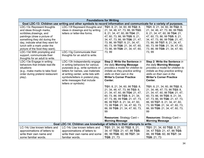|                                                                                                                                                                                                                                                                                                                                                          | <b>Foundations for Writing</b>                                                                                                                                                                                                                                            |                                                                                                                                                                                                                                                                                                                                                                                                                                                                                                                                               |                                                                                                                                                                                                                                                                                                                                                                                                                                                                                                                                        |
|----------------------------------------------------------------------------------------------------------------------------------------------------------------------------------------------------------------------------------------------------------------------------------------------------------------------------------------------------------|---------------------------------------------------------------------------------------------------------------------------------------------------------------------------------------------------------------------------------------------------------------------------|-----------------------------------------------------------------------------------------------------------------------------------------------------------------------------------------------------------------------------------------------------------------------------------------------------------------------------------------------------------------------------------------------------------------------------------------------------------------------------------------------------------------------------------------------|----------------------------------------------------------------------------------------------------------------------------------------------------------------------------------------------------------------------------------------------------------------------------------------------------------------------------------------------------------------------------------------------------------------------------------------------------------------------------------------------------------------------------------------|
|                                                                                                                                                                                                                                                                                                                                                          | Goal LDC-13: Children use writing and other symbols to record information and communicate for a variety of purposes.                                                                                                                                                      |                                                                                                                                                                                                                                                                                                                                                                                                                                                                                                                                               |                                                                                                                                                                                                                                                                                                                                                                                                                                                                                                                                        |
| LDC-13c Represent thoughts<br>and ideas through marks,<br>scribbles, drawings, and<br>paintings (draw a picture of<br>something they did during the<br>day, indicate what they want for<br>lunch with a mark under the<br>picture of the food they want).<br>LDC-13d With prompting and<br>support, communicate their<br>thoughts for an adult to write. | LDC-13f Represent thoughts and<br>ideas in drawings and by writing<br>letters or letter-like forms.<br>LDC-13g Communicate their<br>thoughts for an adult to write.                                                                                                       | TG1: 8, 21, 34, 60, 86 TG2: 8,<br>21, 34, 46, 47, 73, 86, 99 TG3:<br>8, 21, 34, 47, 60, 86 TG4: 21,<br>47, 60, 73, 86, 99 TG5: 8, 21,<br>34, 47, 73, 86, 99 TG6: 21, 47,<br>73, 86, 99 TG7: 8, 21, 34, 47,<br>60, 73, 99 TG8: 21, 34, 47, 60,<br>73, 86, 99 TG9: 21, 34, 47, 60,<br>73, 99                                                                                                                                                                                                                                                    | TG1: 8, 21, 34, 60, 86 TG2: 8,<br>21, 34, 46, 47, 73, 86, 99 TG3:<br>8, 21, 34, 47, 60, 86 TG4: 21,<br>47, 60, 73, 86, 99 TG5: 8, 21,<br>34, 47, 73, 86, 99 TG6: 21, 47,<br>73, 86, 99 TG7: 8, 21, 34, 47,<br>60, 73, 99 TG8: 21, 34, 47, 60,<br>73, 86, 99 TG9: 21, 34, 47, 60,<br>73, 99                                                                                                                                                                                                                                             |
| LDC-13e Engage in writing<br>behaviors that imitate real-life<br>situations<br>(e.g., make marks to take food<br>order during pretend restaurant<br>play).                                                                                                                                                                                               | LDC-13h Independently engage<br>in writing behaviors for various<br>purposes (e.g., write symbols or<br>letters for names, use materials<br>at writing center, write lists with<br>symbols/letters in pretend play,<br>write messages that include<br>letters or symbols) | Step 2: Write the Sentence in<br>the daily Morning Message<br>provides a model for children to<br>imitate as they practice writing<br>skills on their own in the<br><b>Writer's Corner Practice</b><br>Center.<br>TG1: 8, 21, 34, 60, 86 TG2: 8,<br>21, 34, 46, 47, 73, 86 TG3: 8,<br>21, 34, 47, 60, 86 TG4: 21, 47,<br>60, 73, 86, 99 TG5: 8, 21, 34,<br>47, 73, 86, 99 TG6: 21, 47, 73,<br>86, 99 TG7: 8, 21, 34, 47, 60,<br>73, 99 TG8: 21, 34, 47, 60, 73,<br>86, 99 TG9: 21, 34, 47, 60, 73,<br>99<br><b>Resources: Strategy Card -</b> | Step 2: Write the Sentence in<br>the daily Morning Message<br>provides a model for children to<br>imitate as they practice writing<br>skills on their own in the<br><b>Writer's Corner Practice</b><br>Center.<br>TG1: 8, 21, 34, 60, 86 TG2: 8,<br>21, 34, 46, 47, 73, 86 TG3: 8,<br>21, 34, 47, 60, 86 TG4: 21, 47,<br>60, 73, 86, 99 TG5: 8, 21, 34,<br>47, 73, 86, 99 TG6: 21, 47, 73,<br>86, 99 TG7: 8, 21, 34, 47, 60,<br>73, 99 TG8: 21, 34, 47, 60, 73,<br>86, 99 TG9: 21, 34, 47, 60, 73,<br>99<br>Resources: Strategy Card - |
|                                                                                                                                                                                                                                                                                                                                                          | Goal LDC-14: Children use knowledge of letters in their attempts to write.                                                                                                                                                                                                | <b>Morning Message</b>                                                                                                                                                                                                                                                                                                                                                                                                                                                                                                                        | <b>Morning Message</b>                                                                                                                                                                                                                                                                                                                                                                                                                                                                                                                 |
| LC-14c Use known letters and                                                                                                                                                                                                                                                                                                                             | LC-14c Use known letters and                                                                                                                                                                                                                                              |                                                                                                                                                                                                                                                                                                                                                                                                                                                                                                                                               |                                                                                                                                                                                                                                                                                                                                                                                                                                                                                                                                        |
| approximations of letters to                                                                                                                                                                                                                                                                                                                             | approximations of letters to                                                                                                                                                                                                                                              | TG1: 21, 34, 60 TG2: 8, 21,<br>34, 47 TG3: 21, 47, 86 TG5:                                                                                                                                                                                                                                                                                                                                                                                                                                                                                    | TG1: 21, 34, 60 TG2: 8, 21,<br>34, 47 TG3: 21, 47, 86 TG5:                                                                                                                                                                                                                                                                                                                                                                                                                                                                             |
| write their own name and                                                                                                                                                                                                                                                                                                                                 | write their own name and some                                                                                                                                                                                                                                             | 86, 99 TG6: 60, 86 TG7: 34                                                                                                                                                                                                                                                                                                                                                                                                                                                                                                                    | 86, 99 TG6: 60, 86 TG7: 34                                                                                                                                                                                                                                                                                                                                                                                                                                                                                                             |
| some familiar words.                                                                                                                                                                                                                                                                                                                                     | familiar words.                                                                                                                                                                                                                                                           | TG9: 21, 73                                                                                                                                                                                                                                                                                                                                                                                                                                                                                                                                   | TG9: 21, 73                                                                                                                                                                                                                                                                                                                                                                                                                                                                                                                            |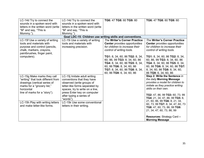| LC-14d Try to connect the<br>sounds in a spoken word with<br>letters in the written word (write<br>"M" and say, "This is<br>Mommy.").                                                                                                              | LC-14d Try to connect the<br>sounds in a spoken word with<br>letters in the written word (write<br>"M" and say, "This is<br>Mommy.").                                                                                                                                                             | TG6: 47 TG8: 60 TG9: 60                                                                                                                                                                                                                                                                                                                     | TG6: 47 TG8: 60 TG9: 60                                                                                                                                                                                                                                                                                                                                                                                                              |
|----------------------------------------------------------------------------------------------------------------------------------------------------------------------------------------------------------------------------------------------------|---------------------------------------------------------------------------------------------------------------------------------------------------------------------------------------------------------------------------------------------------------------------------------------------------|---------------------------------------------------------------------------------------------------------------------------------------------------------------------------------------------------------------------------------------------------------------------------------------------------------------------------------------------|--------------------------------------------------------------------------------------------------------------------------------------------------------------------------------------------------------------------------------------------------------------------------------------------------------------------------------------------------------------------------------------------------------------------------------------|
|                                                                                                                                                                                                                                                    |                                                                                                                                                                                                                                                                                                   | Goal LDC-15: Children use writing skills and conventions.                                                                                                                                                                                                                                                                                   |                                                                                                                                                                                                                                                                                                                                                                                                                                      |
| LC-15f Use a variety of writing<br>tools and materials with<br>purpose and control (pencils,<br>chalk, markers, crayons,<br>paintbrushes, finger paint,<br>computers).                                                                             | LC-15i Use a variety of writing<br>tools and materials with<br>increasing precision.                                                                                                                                                                                                              | <b>The Writer's Corner Practice</b><br><b>Center</b> provides opportunities<br>for children to increase their<br>control of writing tools.<br>TG1: 8, 34, 60, 86 TG2: 8, 34,<br>60, 86, 99 TG3: 8, 34, 60, 86<br>TG4: 8, 34, 60, 86 TG5: 8, 34,<br>60, 86 TG6: 8, 34, 60, 86<br>TG7: 8, 34, 60, 86 TG8: 8, 34,<br>60, 86 TG9: 6, 34, 60, 86 | <b>The Writer's Corner Practice</b><br><b>Center</b> provides opportunities<br>for children to increase their<br>control of writing tools.<br>TG1: 8, 34, 60, 86 TG2: 8, 34,<br>60, 86, 99 TG3: 8, 34, 60, 86<br>TG4: 8, 34, 60, 86 TG5: 8, 34,<br>60, 86 TG6: 8, 34, 60, 86 TG7:<br>8, 34, 60, 86 TG8: 8, 34, 60,<br>86 TG9: 6, 34, 60, 86                                                                                          |
| LC-15g Make marks they call<br>"writing" that look different from<br>drawings (vertical series of<br>marks for a "grocery list,"<br>horizontal<br>line of marks for a "story").<br>LC-15h Play with writing letters<br>and make letter-like forms. | LC-15j Imitate adult writing<br>conventions that they have<br>observed (write groups of<br>letter-like forms separated by<br>spaces, try to write on a line,<br>press Enter key on computer<br>after typing a series of<br>"words").<br>LC-15k Use some conventional<br>letters in their writing. |                                                                                                                                                                                                                                                                                                                                             | Step 2: Write the Sentence in<br>the daily Morning Message<br>provides a model for children to<br>imitate as they practice writing<br>skills on their own.<br>TG2: 47, 86, 99 TG3: 60, 73, 99<br>TG4: 21, 34, 47, 86, 99 TG5: 8,<br>21, 60, 86, 99 TG6: 8, 21, 34,<br>60, 73, 99 TG7: 8, 34, 47, 60, 73<br>TG8: 47, 60, 73, 86, 99 TG9:<br>21, 34, 47, 60, 73, 86, 99<br><b>Resources: Strategy Card -</b><br><b>Morning Message</b> |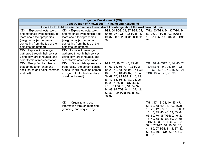|                                                                                                                                                                                                                                                                                                                          | <b>Cognitive Development (CD)</b>                                                                                                                                                                                                                                                                                        |                                                                                                                                                                                                                                                                                                                                                    |                                                                                                                                                                                                                                                                                                                                                    |
|--------------------------------------------------------------------------------------------------------------------------------------------------------------------------------------------------------------------------------------------------------------------------------------------------------------------------|--------------------------------------------------------------------------------------------------------------------------------------------------------------------------------------------------------------------------------------------------------------------------------------------------------------------------|----------------------------------------------------------------------------------------------------------------------------------------------------------------------------------------------------------------------------------------------------------------------------------------------------------------------------------------------------|----------------------------------------------------------------------------------------------------------------------------------------------------------------------------------------------------------------------------------------------------------------------------------------------------------------------------------------------------|
|                                                                                                                                                                                                                                                                                                                          | <b>Construction of Knowledge: Thinking and Reasoning</b>                                                                                                                                                                                                                                                                 |                                                                                                                                                                                                                                                                                                                                                    |                                                                                                                                                                                                                                                                                                                                                    |
| Goal CD-1: Children use their senses to construct knowledge about the world around them.                                                                                                                                                                                                                                 |                                                                                                                                                                                                                                                                                                                          |                                                                                                                                                                                                                                                                                                                                                    |                                                                                                                                                                                                                                                                                                                                                    |
| CD-1h Explore objects, tools,<br>and materials systematically to<br>learn about their properties<br>(weigh an object, observe<br>something from the top of the<br>object to the bottom).<br>CD-1i Express knowledge<br>gathered through their senses<br>using play, art, language, and<br>other forms of representation. | CD-1k Explore objects, tools,<br>and materials systematically to<br>learn about their properties<br>(weigh an object, observe<br>something from the top of the<br>object to the bottom).<br>CD-1I Express knowledge<br>gathered through their senses<br>using play, art, language, and<br>other forms of representation. | TG2: 50 TG3: 24, 37 TG4: 24,<br>50, 96, 97 TG5: 102 TG6: 11,<br>19, 37 TG7: 11 TG8: 88 TG9:<br>76                                                                                                                                                                                                                                                  | TG2: 50 TG3: 24, 37 TG4: 24,<br>50, 96, 97 TG5: 102 TG6: 11,<br>19, 37 TG7: 11 TG8: 88 TG9:<br>76                                                                                                                                                                                                                                                  |
| CD-1j Group familiar objects<br>that go together (shoe and<br>sock, brush and paint, hammer<br>and nail).                                                                                                                                                                                                                | CD-1m Distinguish appearance<br>from reality (the person behind<br>a mask is still the same person;<br>recognize that a fantasy story<br>could not be real).                                                                                                                                                             | TG1: 17, 18, 23, 40, 45, 47,<br>61, 62, 68, 69, 77, 103 TG2:<br>19, 23, 42, 68, 70, 96, 97 TG3:<br>16, 18, 19, 40, 43, 62, 63, 64,<br>66, 69, 70, 95 TG4: 9, 16, 23,<br>48, 49, 68, 86, 87, 89, 94, 95<br>TG5: 17, 35, 89 TG6: 43, 68,<br>97, 102 TG7: 10, 16, 34, 37,<br>44, 89, 97 TG8: 8, 11, 37, 42,<br>63, 89, 100 TG9: 36, 45, 62,<br>88, 97 | TG1:18, 44 TG2: 8, 44, 45, 70<br>TG4:18, 61, 94, 96, 104 TG5:<br>42 TG7: 16, 18, 42, 45, 68, 94<br>TG8: 16, 45, 70, 71, 96                                                                                                                                                                                                                         |
|                                                                                                                                                                                                                                                                                                                          | CD-1n Organize and use<br>information through matching,<br>grouping, and sequencing.                                                                                                                                                                                                                                     |                                                                                                                                                                                                                                                                                                                                                    | TG1: 17, 18, 23, 40, 45, 47,<br>61, 62, 68, 69, 77, 103 TG2:<br>19, 23, 42, 68, 70, 96, 97 TG3:<br>16, 18, 19, 40, 43, 62, 63, 64,<br>66, 69, 70, 95 TG4: 9, 16, 23,<br>48, 49, 68, 86, 87, 89, 94, 95<br>TG5: 17, 35, 89 TG6: 43, 68,<br>97, 102 TG7: 10, 16, 34, 37,<br>44, 89, 97 TG8: 8, 11, 37, 42,<br>63, 89, 100 TG9: 36, 45, 62,<br>88, 97 |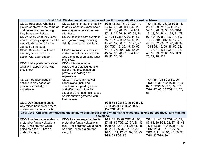|                                                                                                                                                                                                                                                | Goal CD-2: Children recall information and use it for new situations and problems.                                                                                                                               |                                                                                                                                                                                                                                                                    |                                                                                                                                                                                                                                                                    |  |
|------------------------------------------------------------------------------------------------------------------------------------------------------------------------------------------------------------------------------------------------|------------------------------------------------------------------------------------------------------------------------------------------------------------------------------------------------------------------|--------------------------------------------------------------------------------------------------------------------------------------------------------------------------------------------------------------------------------------------------------------------|--------------------------------------------------------------------------------------------------------------------------------------------------------------------------------------------------------------------------------------------------------------------|--|
| CD-20 Recognize whether a<br>picture or object is the same as<br>or different from something<br>they have seen before.<br>CD-2p Apply what they know<br>about everyday experiences to<br>new situations (look for the<br>seatbelt on the bus). | CD-2u Demonstrate their ability<br>to apply what they know about<br>everyday experiences to new<br>situations.<br>CD-2v Describe past events in<br>an organized way, including<br>details or personal reactions. | TG1: 18, 52, 76, 92 TG2: 14,<br>26, 52, 69, 78, 104 TG3: 26,<br>52, 68, 70, 78, 95, 104 TG4:<br>17, 18, 24, 26, 44, 52, 71, 78,<br>97, 104 TG5: 17, 26, 44, 52,<br>75, 78, 104 TG6: 14, 17, 26,<br>44, 45, 52, 66, 71, 78, 96, 97,<br>104 TG7: 19, 26, 45, 50, 52, | TG1: 18, 52, 76, 92 TG2: 14,<br>26, 52, 69, 78, 104 TG3: 26,<br>52, 68, 70, 78, 95, 104 TG4:<br>17, 18, 24, 26, 44, 52, 71, 78,<br>97, 104 TG5: 17, 26, 44, 52,<br>75, 78, 104 TG6: 14, 17, 26,<br>44, 45, 52, 66, 71, 78, 96, 97,<br>104 TG7: 19, 26, 45, 50, 52, |  |
| CD-2q Describe or act out a<br>memory of a situation or<br>action, with adult support.                                                                                                                                                         | CD-2w Improve their ability to<br>make predictions and explain<br>why things happen using what<br>they know.                                                                                                     | 71, 78, 97, 104 TG8: 19, 26,<br>45, 52, 63, 78, 89, 104 TG9:<br>26, 52, 78, 104                                                                                                                                                                                    | 71, 78, 97, 104 TG8: 19, 26,<br>45, 52, 63, 78, 89, 104 TG9:<br>26, 52, 78, 104                                                                                                                                                                                    |  |
| CD-2r Make predictions about<br>what will happen using what<br>they know.                                                                                                                                                                      | CD-2x Introduce more<br>elaborate or detailed ideas or<br>actions into play based on<br>previous knowledge or<br>experience.                                                                                     |                                                                                                                                                                                                                                                                    |                                                                                                                                                                                                                                                                    |  |
| CD-2s Introduce ideas or<br>actions in play based on<br>previous knowledge or<br>experience.                                                                                                                                                   | CD-2y Try to reach logical<br>conclusions (including<br>conclusions regarding cause<br>and effect) about familiar<br>situations and materials, based<br>on information gathered with<br>their senses.            |                                                                                                                                                                                                                                                                    | TG1: 88, 103 TG2: 50, 95<br>TG3: 24, 37, 102 TG4: 37, 50,<br>62, 87 TG5: 35, 68, 69, 102<br>TG6: 47, 63, 68 TG9: 11, 37,<br>63                                                                                                                                     |  |
| CD-2t Ask questions about<br>why things happen and try to<br>understand cause and effect.                                                                                                                                                      |                                                                                                                                                                                                                  | TG1: 88 TG2: 50, 95 TG3: 24,<br>37 TG4: 50, 62 TG5: 68, 69,<br>102 TG6: 63, 68                                                                                                                                                                                     |                                                                                                                                                                                                                                                                    |  |
| Goal CD-3: Children demonstrate the ability to think about their own thinking: reasoning, taking perspectives, and making<br>decisions.                                                                                                        |                                                                                                                                                                                                                  |                                                                                                                                                                                                                                                                    |                                                                                                                                                                                                                                                                    |  |
| CD-3f Use language to identify<br>pretend or fantasy situations<br>(say, "Let's pretend we're<br>going on a trip." "That's a<br>pretend story.").                                                                                              | CD-3i Use language to identify<br>pretend or fantasy situations<br>(say, "Let's pretend we're going<br>on a trip." "That's a pretend<br>story.").                                                                | TG1: 11, 46, 89 TG2: 41, 61,<br>87, 88, 89 TG3: 22, 37, 38, 43<br>TG4: 63, 89, 102 TG5: 11, 19<br>TG6: 11, 35, 37, 67, 87, 89<br>TG7: 8, 11, 12, 61, 67, 88, 93<br>TG8: 63 TG9: 89                                                                                 | TG1: 11, 46, 89 TG2: 41, 61,<br>87, 88, 89 TG3: 22, 37, 38, 43<br>TG4: 63, 89, 102 TG5: 11, 19<br>TG6: 11, 35, 37, 67, 87, 89<br>TG7: 8, 11, 12, 61, 67, 88, 93<br>TG8: 63 TG9: 89                                                                                 |  |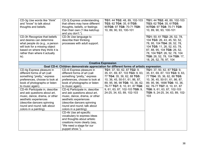| CD-3g Use words like "think"<br>and "know" to talk about<br>thoughts and beliefs.                                                                                                                                                                                                                                                                                                                  | CD-3j Express understanding<br>that others may have different<br>thoughts, beliefs, or feelings<br>than their own ("I like ketchup<br>and you don't.").                                                                                                                                                                                                                                                                                                                                                                                                                   | TG1: 44 TG2: 48, 89, 102-103<br>TG3: 62 TG4: 35, 61TG5:<br>90TG6: 97 TG8: 70-71 TG9:<br>10, 89, 90, 93, 100-101                                                                                                                                                     | TG1: 44 TG2: 48, 89, 102-103<br>TG3: 62 TG4: 35, 61TG5:<br>90TG6: 97 TG8: 70-71 TG9:<br>10, 89, 90, 93, 100-101                                                                                                                                                           |
|----------------------------------------------------------------------------------------------------------------------------------------------------------------------------------------------------------------------------------------------------------------------------------------------------------------------------------------------------------------------------------------------------|---------------------------------------------------------------------------------------------------------------------------------------------------------------------------------------------------------------------------------------------------------------------------------------------------------------------------------------------------------------------------------------------------------------------------------------------------------------------------------------------------------------------------------------------------------------------------|---------------------------------------------------------------------------------------------------------------------------------------------------------------------------------------------------------------------------------------------------------------------|---------------------------------------------------------------------------------------------------------------------------------------------------------------------------------------------------------------------------------------------------------------------------|
| CD-3h Recognize that beliefs<br>and desires can determine<br>what people do (e.g., a person<br>will look for a missing object<br>based on where they think it is<br>rather than where it actually<br>is).                                                                                                                                                                                          | CD-3k Use language to<br>describe their thinking<br>processes with adult support.                                                                                                                                                                                                                                                                                                                                                                                                                                                                                         |                                                                                                                                                                                                                                                                     | TG1: 50, 61 TG2: 26, 52, 78,<br>104 TG3: 26, 43, 45, 50, 52,<br>78, 95, 104 TG4: 26, 52, 78,<br>104 TG5: 11, 26, 52, 63, 78,<br>87, 88, 95, 104 TG6: 26, 52,<br>78, 104 TG7: 26, 52, 78, 104<br>TG8: 26, 52, 78, 104 TG9: 17,<br>18, 26, 52, 78, 97, 104                  |
|                                                                                                                                                                                                                                                                                                                                                                                                    | <b>Creative Expression</b>                                                                                                                                                                                                                                                                                                                                                                                                                                                                                                                                                |                                                                                                                                                                                                                                                                     |                                                                                                                                                                                                                                                                           |
|                                                                                                                                                                                                                                                                                                                                                                                                    | Goal CD-4: Children demonstrate appreciation for different forms of artistic expression.                                                                                                                                                                                                                                                                                                                                                                                                                                                                                  |                                                                                                                                                                                                                                                                     |                                                                                                                                                                                                                                                                           |
| CD-4g Express pleasure in<br>different forms of art (call<br>something "pretty," express<br>preferences, choose to look at<br>book of photographs or listen<br>to music again).<br>CD-4h Participate in, describe<br>and ask questions about art,<br>music, dance, drama, or other<br>aesthetic experiences<br>(describe dancers spinning<br>round and round; talk about<br>colors in a painting). | CD-4i Express pleasure in<br>different forms of art (call<br>something "pretty," express<br>preferences, choose to look at<br>book of photographs or listen<br>to music again).<br>CD-4j Participate in, describe<br>and ask questions about art,<br>music, dance, drama, or other<br>aesthetic experiences<br>(describe dancers spinning<br>round and round; talk about<br>colors in a painting).<br>CD-4k Use art-specific<br>vocabulary to express ideas<br>and thoughts about artistic<br>creations more clearly (say,<br>"We need a stage for our<br>puppet show."). | TG1: 37, 50, 62, 87 TG2: 9,<br>35, 61, 69, 87, 103 TG3: 9, 63,<br>77 TG4: 35, 36, 62, 88 TG5:<br>10, 36, 45, 50-51, 61, 86, 87,<br>89, 95, 96, 98 TG6: 10, 36, 62,<br>76-77 TG7: 8, 10, 61, 87 TG8:<br>9, 61, 63, 87, 102-103 TG9: 9,<br>24-25, 34, 63, 89, 102-103 | TG1: 37, 50, 62, 87 TG2: 9,<br>35, 61, 69, 87, 103 TG3: 9, 63,<br>77 TG4: 35, 36, 62, 88 TG5:<br>10, 36, 45, 50-51, 61, 86, 87,<br>89, 95, 96, 1698 TG6: 10, 36,<br>62, 76-77 TG7: 8, 10, 61, 87<br>TG8: 9, 61, 63, 87, 102-103<br>TG9: 9, 24-25, 34, 63, 89, 102-<br>103 |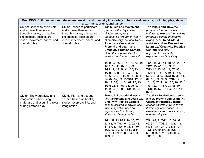| Goal CD-5: Children demonstrate self-expression and creativity in a variety of forms and contexts, including play, visual                                            |                                                                                                                                                                      |                                                                                                                                                                                                                                                                                                                                                                                                               |                                                                                                                                                                                                                                                                                                                                                                                                               |
|----------------------------------------------------------------------------------------------------------------------------------------------------------------------|----------------------------------------------------------------------------------------------------------------------------------------------------------------------|---------------------------------------------------------------------------------------------------------------------------------------------------------------------------------------------------------------------------------------------------------------------------------------------------------------------------------------------------------------------------------------------------------------|---------------------------------------------------------------------------------------------------------------------------------------------------------------------------------------------------------------------------------------------------------------------------------------------------------------------------------------------------------------------------------------------------------------|
|                                                                                                                                                                      | arts, music, drama, and dance.                                                                                                                                       |                                                                                                                                                                                                                                                                                                                                                                                                               |                                                                                                                                                                                                                                                                                                                                                                                                               |
| CD-5m Choose to participate<br>and express themselves<br>through a variety of creative<br>experiences, such as art,<br>music, movement, dance, and<br>dramatic play. | CD-5r Choose to participate<br>and express themselves<br>through a variety of creative<br>experiences, such as art,<br>music, movement, dance, and<br>dramatic play. | <b>The Music and Movement</b><br>portion of the day invites<br>children to express<br>themselves through a variety<br>of creative experiences. Read-<br>Aloud activities and the<br><b>Pretend and Learn and</b><br><b>Creativity Practice Centers</b><br>also offer opportunities for<br>self-expression and creativity.                                                                                     | <b>The Music and Movement</b><br>portion of the day invites<br>children to express themselves<br>through a variety of creative<br>experiences. Read-Aloud<br>activities and the Pretend and<br><b>Learn and Creativity Practice</b><br>Centers also offer<br>opportunities for self-<br>expression and creativity.                                                                                            |
|                                                                                                                                                                      |                                                                                                                                                                      | TG1: 15, 38, 41, 48, 64, 93, 97<br>TG2: 15, 41, 67, 69, 93<br>TG3:12, 15, 38, 41, 67, 93<br>TG4: 11, 15, 17, 19, 41, 43,<br>67, 69, 93, 97 TG5: 15, 38, 41,<br>64, 67, 69, 89, 93 TG6: 12, 15,<br>16, 17, 37, 41, 64, 67, 90, 93<br>TG7: 22, 41, 67, 93, 95, 97<br>TG8: 15, 67, 93 TG9: 15, 41,<br>67, 93                                                                                                     | TG1: 15, 38, 41, 48, 64, 93, 97<br>TG2: 15, 41, 67, 69, 93<br><b>TG3:</b> 12, 15, 38, 41, 67, 93<br><b>TG4:</b> 11, 15, 17, 19, 41, 43,<br>67, 69, 93, 97 TG5: 15, 38, 41,<br>64, 67, 69, 89, 93 TG6: 12, 15,<br>16, 17, 37, 41, 64, 67, 90, 93<br>TG7: 22, 41, 67, 93, 95, 97<br>TG8: 15, 67, 93 TG9: 15, 41,<br>67, 93                                                                                      |
| CD-5n Show creativity and<br>imagination when using<br>materials and assuming roles<br>during pretend play.                                                          | CD-5s Plan and act out<br>scenes based on books,<br>stories, everyday life, and<br>imagination.                                                                      | Two daily Read-Aloud lessons<br>and the Pretend and Learn and<br><b>Creativity Practice Centers</b><br>engage children in ways to use<br>their imagination based on<br>experiences from books,<br>stories, and everyday life.<br>TG1: 89, 91 TG2: 10, 36, 37,<br>62, 63, 74 TG3: 9, 10, 22, 48,<br>61, 67, 87 TG4: 9, 35, 61, 97<br>TG5: 67, 69, 87, 88 TG6: 11,<br>63, 89 TG7: 71, 89 TG8: 93<br>TG9: 15, 36 | Two daily Read-Aloud lessons<br>and the Pretend and Learn and<br><b>Creativity Practice Centers</b><br>engage children in ways to use<br>their imagination based on<br>experiences from books, stories,<br>and everyday life.<br>TG1: 89, 91 TG2: 10, 36, 37,<br>62, 63, 74 TG3: 9, 10, 22, 48,<br>61, 67, 87 TG4: 9, 35, 61, 97<br>TG5: 67, 69, 87, 88 TG6: 11,<br>63, 89 TG7: 71, 89 TG8: 93<br>TG9: 15, 36 |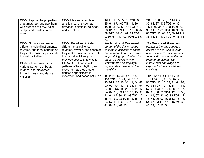| CD-50 Explore the properties<br>of art materials and use them<br>with purpose to draw, paint,<br>sculpt, and create in other<br>ways.                                                                         | CD-5t Plan and complete<br>artistic creations such as<br>drawings, paintings, collages,<br>and sculptures                                                                                                                                            | TG1: 51, 63, 77, 87 TG2: 9,<br>35, 61, 87, 102 TG3: 9, 89<br><b>TG4:</b> 35, 36, 62, 88 <b>TG5:</b> 10,<br>36, 61, 87, 89 TG6: 10, 36, 62,<br>88 TG7: 10, 61, 87, 89 TG8:<br>9, 35, 61, 87, 102 TG9: 9, 35,<br>63                                                                                                                                      | TG1: 51, 63, 77, 87 TG2: 9,<br>35, 61, 87, 102 TG3: 9, 89<br><b>TG4:</b> 35, 36, 62, 88 <b>TG5:</b> 10,<br>36, 61, 87, 89 TG6: 10, 36, 62,<br>88 TG7: 10, 61, 87, 89 TG8: 9,<br>35, 61, 87, 102 TG9: 9, 35, 63                                                                                                                                         |
|---------------------------------------------------------------------------------------------------------------------------------------------------------------------------------------------------------------|------------------------------------------------------------------------------------------------------------------------------------------------------------------------------------------------------------------------------------------------------|--------------------------------------------------------------------------------------------------------------------------------------------------------------------------------------------------------------------------------------------------------------------------------------------------------------------------------------------------------|--------------------------------------------------------------------------------------------------------------------------------------------------------------------------------------------------------------------------------------------------------------------------------------------------------------------------------------------------------|
| CD-5p Show awareness of<br>different musical instruments,<br>rhythms, and tonal patterns as<br>they make music or participate<br>in music activities.<br>CD-5q Show awareness of<br>various patterns of beat, | CD-5u Recall and imitate<br>different musical tones,<br>rhythms, rhymes, and songs as<br>they make music or participate<br>in musical activities (clap<br>previous beat to a new song).<br>CD-5v Recall and imitate<br>patterns of beat, rhythm, and | <b>The Music and Movement</b><br>portion of the day engages<br>children in activities to listen<br>and respond to music as well<br>as providing opportunities for<br>them to participate with<br>instruments and singing to<br>express their own individual                                                                                            | <b>The Music and Movement</b><br>portion of the day engages<br>children in activities to listen<br>and respond to music as well<br>as providing opportunities for<br>them to participate with<br>instruments and singing to<br>express their own individual                                                                                            |
| rhythm, and movement<br>through music and dance<br>activities.                                                                                                                                                | movement as they create<br>dances or participate in<br>movement and dance activities.                                                                                                                                                                | creativity.<br>TG1: 12, 14, 41, 47, 67, 90,<br>101 TG2: 15, 41, 64, 67, 75,<br>93 TG3: 12, 15, 38, 41, 64, 67,<br>90, 93 TG4: 12, 15, 38, 41, 64,<br>67, 93 TG5: 15, 21, 38, 41, 47,<br>64, 67, 90, 93 TG6: 12, 15, 38,<br>41, 64, 67, 90, 93, 99 TG7: 12,<br>15, 41, 90, 93 TG8: 12, 15, 18,<br>64, 67, 93 TG9: 12, 15, 24, 38,<br>41, 64, 67, 90, 93 | creativity.<br>TG1: 12, 14, 41, 47, 67, 90,<br>101 TG2: 15, 41, 64, 67, 75,<br>93 TG3: 12, 15, 38, 41, 64, 67,<br>90, 93 TG4: 12, 15, 38, 41, 64,<br>67, 93 TG5: 15, 21, 38, 41, 47,<br>64, 67, 90, 93 TG6: 12, 15, 38,<br>41, 64, 67, 90, 93, 99 TG7: 12,<br>15, 41, 90, 93 TG8: 12, 15, 18,<br>64, 67, 93 TG9: 12, 15, 24, 38,<br>41, 64, 67, 90, 93 |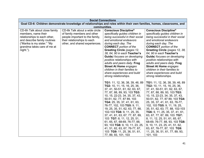|                                                                                                                                                                                                 | <b>Social Connections</b>                                                                                                                                         |                                                                                                                                                                                                                                                                                                                                                                                                                                                                                                                                                                                            |                                                                                                                                                                                                                                                                                                                                                                                                                                                                                                                                                                                            |  |
|-------------------------------------------------------------------------------------------------------------------------------------------------------------------------------------------------|-------------------------------------------------------------------------------------------------------------------------------------------------------------------|--------------------------------------------------------------------------------------------------------------------------------------------------------------------------------------------------------------------------------------------------------------------------------------------------------------------------------------------------------------------------------------------------------------------------------------------------------------------------------------------------------------------------------------------------------------------------------------------|--------------------------------------------------------------------------------------------------------------------------------------------------------------------------------------------------------------------------------------------------------------------------------------------------------------------------------------------------------------------------------------------------------------------------------------------------------------------------------------------------------------------------------------------------------------------------------------------|--|
|                                                                                                                                                                                                 | Goal CD-6: Children demonstrate knowledge of relationships and roles within their own families, homes, classrooms, and                                            |                                                                                                                                                                                                                                                                                                                                                                                                                                                                                                                                                                                            |                                                                                                                                                                                                                                                                                                                                                                                                                                                                                                                                                                                            |  |
|                                                                                                                                                                                                 | communities.                                                                                                                                                      |                                                                                                                                                                                                                                                                                                                                                                                                                                                                                                                                                                                            |                                                                                                                                                                                                                                                                                                                                                                                                                                                                                                                                                                                            |  |
| CD-6h Talk about close family<br>members, name their<br>relationships to each other,<br>and describe family routines<br>("Marika is my sister." "My<br>grandma takes care of me at<br>night."). | CD-6k Talk about a wide circle<br>of family members and other<br>people important to the family,<br>their relationships to each<br>other, and shared experiences. | <b>Conscious Discipline®</b><br>specifically guides children in<br>being successful in their social<br>and emotional endeavors<br>during each day. The<br><b>CONNECT</b> portion of the<br><b>Greeting Circle (pages 12,</b><br>38, 64, 90 in each Teacher's<br><b>Guide</b> ) focuses on developing<br>positive relationships with<br>adults and peers daily. Frog<br><b>Street At Home engages</b><br>children in their families to<br>share experiences and build                                                                                                                       | <b>Conscious Discipline®</b><br>specifically guides children in<br>being successful in their social<br>and emotional endeavors<br>during each day. The<br><b>CONNECT</b> portion of the<br>Greeting Circle (pages 12, 38,<br>64, 90 in each Teacher's<br><b>Guide</b> ) focuses on developing<br>positive relationships with<br>adults and peers daily. Frog<br><b>Street At Home engages</b><br>children in their families to<br>share experiences and build                                                                                                                              |  |
|                                                                                                                                                                                                 |                                                                                                                                                                   | strong relationships.<br>TG1: 11, 12, 36, 38, 39, 46, 89<br>TG2: 10, 11, 15, 16, 25, 36,<br>37, 41, 50-51, 61, 62, 63, 67,<br>77, 87, 88, 89, 93, 103 TG3:<br>10, 15, 22-23, 34, 35, 37, 43,<br>50-51, 62, 77, 87 89, 103<br>TG4: 25, 35, 37, 41, 61, 63,<br>76-77, 102, 103 TG5: 9, 11,<br>19, 25, 35, 51, 62, 63, 77, 88,<br>102-103 TG6: 9, 11, 25, 35,<br>37, 41, 61, 63, 67, 77, 87, 89,<br>103 TG7: 8, 11, 12, 25, 51,<br>61, 65, 67, 68-69, 76-77, 88,<br>93, 103 TG8: 9, 10, 11, 23, 25,<br>41, 51, 62, 63, 67, 76-77, 87,<br>103 TG9: 11, 25, 36, 51, 61,<br>77, 89, 93, 101, 103 | strong relationships.<br>TG1: 11, 12, 36, 38, 39, 46, 89<br>TG2: 10, 11, 15, 16, 25, 36,<br>37, 41, 50-51, 61, 62, 63, 67,<br>77, 87, 88, 89, 93, 103 TG3:<br>10, 15, 22-23, 34, 35, 37, 43,<br>50-51, 62, 77, 87 89, 103 TG4:<br>25, 35, 37, 41, 61, 63, 76-77,<br>102, 103 TG5: 9, 11, 19, 25,<br>35, 51, 62, 63, 77, 88, 102-103<br>TG6: 9, 11, 25, 35, 37, 41, 61,<br>63, 67, 77, 87, 89, 103 TG7:<br>8, 11, 12, 25, 51, 61, 65, 67,<br>68-69, 76-77, 88, 93, 103 TG8:<br>9, 10, 11, 23, 25, 41, 51, 62,<br>63, 67, 76-77, 87, 103 TG9:<br>11, 25, 36, 51, 61, 77, 89, 93,<br>101, 103 |  |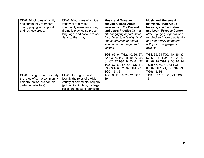| CD-6i Adopt roles of family<br>and community members<br>during play, given support<br>and realistic props.             | CD-6I Adopt roles of a wide<br>variety of family and<br>community members during<br>dramatic play, using props,<br>language, and actions to add<br>detail to their play. | <b>Music and Movement</b><br>activities, Read-Aloud<br>lessons, and the Pretend<br>and Learn Practice Center<br>offer engaging opportunities<br>for children to role play family<br>and community members<br>with props, language, and<br>actions.<br>TG1: 89, 91 TG2: 10, 36, 37,<br>62, 63, 74 TG3: 9, 10, 22, 48, | <b>Music and Movement</b><br>activities, Read-Aloud<br>lessons, and the Pretend<br>and Learn Practice Center<br>offer engaging opportunities<br>for children to role play family<br>and community members<br>with props, language, and<br>actions.<br>TG1: 89, 91 TG2: 10, 36, 37,<br>62, 63, 74 TG3: 9, 10, 22, 48, |
|------------------------------------------------------------------------------------------------------------------------|--------------------------------------------------------------------------------------------------------------------------------------------------------------------------|----------------------------------------------------------------------------------------------------------------------------------------------------------------------------------------------------------------------------------------------------------------------------------------------------------------------|----------------------------------------------------------------------------------------------------------------------------------------------------------------------------------------------------------------------------------------------------------------------------------------------------------------------|
|                                                                                                                        |                                                                                                                                                                          | 61, 67, 87 TG4: 9, 35, 61, 97<br>TG5: 67, 69, 87, 88 TG6: 11,<br>63, 89 TG7: 71, 89 TG8: 93<br>TG9: 15, 36                                                                                                                                                                                                           | 61, 67, 87 TG4: 9, 35, 61, 97<br>TG5: 67, 69, 87, 88 TG6: 11,<br>63, 89 TG7: 71, 89 TG8: 93<br>TG9: 15, 36                                                                                                                                                                                                           |
| CD-6j Recognize and identify<br>the roles of some community<br>helpers (police, fire fighters,<br>garbage collectors). | CD-6m Recognize and<br>identify the roles of a wide<br>variety of community helpers<br>(police, fire fighters, garbage<br>collectors, doctors, dentists).                | TG3: 8, 11, 16, 20, 21 TG5:<br>19                                                                                                                                                                                                                                                                                    | TG3: 8, 11, 16, 20, 21 TG5:<br>19                                                                                                                                                                                                                                                                                    |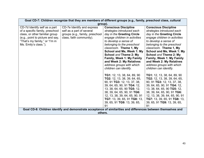|                                                                                                                                                                                                   | Goal CD-7: Children recognize that they are members of different groups (e.g., family, preschool class, cultural<br>group). |                                                                                                                                                                                                                                                                                                                                                                                         |                                                                                                                                                                                                                                                                                                                                                                                  |  |
|---------------------------------------------------------------------------------------------------------------------------------------------------------------------------------------------------|-----------------------------------------------------------------------------------------------------------------------------|-----------------------------------------------------------------------------------------------------------------------------------------------------------------------------------------------------------------------------------------------------------------------------------------------------------------------------------------------------------------------------------------|----------------------------------------------------------------------------------------------------------------------------------------------------------------------------------------------------------------------------------------------------------------------------------------------------------------------------------------------------------------------------------|--|
| CD-7d Identify self as a part<br>of a specific family, preschool<br>class, or other familiar group<br>(e.g., point to picture and say,<br>"That's my family," or "I'm in<br>Ms. Emily's class."). | CD-7e Identify and express<br>self as a part of several<br>groups (e.g., family, preschool<br>class, faith community).      | <b>Conscious Discipline</b><br>strategies introduced each<br>day in the Greeting Circle<br>engage children in activities<br>to develop a sense of<br>belonging to the preschool<br>classroom. Theme 1, My<br>School and Me, Week 1: My<br>School and Theme 2: My<br><b>Family, Week 1: My Family</b><br>and Week 2: My Relatives<br>address groups with which<br>children can identify. | <b>Conscious Discipline</b><br>strategies introduced each<br>day in the Greeting Circle<br>engage children in activities<br>to develop a sense of<br>belonging to the preschool<br>classroom. Theme 1, My<br>School and Me, Week 1: My<br>School and Theme 2: My<br>Family, Week 1: My Family<br>and Week 2: My Relatives<br>address groups with which<br>children can identify. |  |
|                                                                                                                                                                                                   |                                                                                                                             | <b>TG1:</b> 12, 13, 38, 64, 89, 90<br>TG2: 12, 13, 38, 39, 64, 65,<br>90, 91 TG3: 12, 13, 37, 38,<br>39, 64, 65, 90, 91 TG4: 12,<br>13, 38, 64, 65, 90 TG5: 12,<br>38, 39, 64, 65, 90, 91 TG6:<br>12, 13, 38, 39, 64, 65, 90, 91<br>TG7: 13, 39, 65, 91 TG8: 13,<br>39, 65, 91 TG9: 13, 39, 65,<br>91                                                                                   | <b>TG1:</b> 12, 13, 38, 64, 89, 90<br>TG2: 12, 13, 38, 39, 64, 65,<br>90, 91 TG3: 12, 13, 37, 38,<br>39, 64, 65, 90, 91 TG4: 12,<br>13, 38, 64, 65, 90 TG5: 12,<br>38, 39, 64, 65, 90, 91 TG6:<br>12, 13, 38, 39, 64, 65, 90, 91<br>TG7: 13, 39, 65, 91 TG8: 13,<br>39, 65, 91 TG9: 13, 39, 65,<br>91                                                                            |  |
| Goal CD-8: Children identify and demonstrate acceptance of similarities and differences between themselves and<br>others.                                                                         |                                                                                                                             |                                                                                                                                                                                                                                                                                                                                                                                         |                                                                                                                                                                                                                                                                                                                                                                                  |  |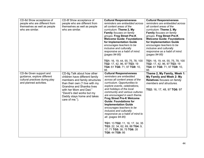| CD-8d Show acceptance of<br>people who are different from<br>themselves as well as people<br>who are similar.       | CD-8f Show acceptance of<br>people who are different from<br>themselves as well as people<br>who are similar.                                                                                                                                                        | <b>Cultural Responsiveness</b><br>reminders are embedded across<br>all content areas of the<br>curriculum. Theme 2, My<br>Family focuses on family<br>groups. Frog Street Pre-K<br><b>Welcome Guide: Foundations</b><br>for Implementation Guide<br>encourages teachers to be<br>inclusive and culturally<br>responsive as a habit of mind.<br>(pages 94-95)<br>TG1: 16, 19, 44, 55, 75, 78, 100<br>TG2: 17, 42, 96, 97 TG3: 19<br>TG4: 61 TG6: 71, 97 TG9: 10,                                                                                                                                                  | <b>Cultural Responsiveness</b><br>reminders are embedded across<br>all content areas of the<br>curriculum. Theme 2, My<br>Family focuses on family<br>groups. Frog Street Pre-K<br><b>Welcome Guide: Foundations</b><br>for Implementation Guide<br>encourages teachers to be<br>inclusive and culturally<br>responsive as a habit of mind.<br>(pages 94-95)<br>TG1: 16, 19, 44, 55, 75, 78, 100<br>TG2: 17, 42, 96, 97 TG3: 19<br>TG4: 61 TG6: 71, 97 TG9: 10, |
|---------------------------------------------------------------------------------------------------------------------|----------------------------------------------------------------------------------------------------------------------------------------------------------------------------------------------------------------------------------------------------------------------|------------------------------------------------------------------------------------------------------------------------------------------------------------------------------------------------------------------------------------------------------------------------------------------------------------------------------------------------------------------------------------------------------------------------------------------------------------------------------------------------------------------------------------------------------------------------------------------------------------------|-----------------------------------------------------------------------------------------------------------------------------------------------------------------------------------------------------------------------------------------------------------------------------------------------------------------------------------------------------------------------------------------------------------------------------------------------------------------|
| CD-8e Given support and<br>guidance, explore different<br>cultural practices during play<br>and planned activities. | CD-8g Talk about how other<br>children have different family<br>members and family structures<br>than their own ("I live with my<br>Grandma and Shanika lives<br>with her Mom and Dad."<br>"David's dad works but my<br>Daddy stays home and takes<br>care of me."). | 95<br><b>Cultural Responsiveness</b><br>reminders are embedded<br>across all content areas of the<br>curriculum. Opportunities to<br>explore events, celebrations,<br>and holidays of the local<br>community and various cultures<br>are encouraged in each theme.<br><b>Frog Street Pre-K Welcome</b><br><b>Guide: Foundations for</b><br><b>Implementation Guide</b><br>encourages teachers to be<br>inclusive and culturally<br>responsive as a habit of mind to<br>all. (pages 94-95)<br>TG1: 13 TG2: 11, 16, 17, 34, 35<br>TG3: 22, 34, 62, 69, 88 TG4: 9,<br>17, 71 TG5: 38, 75 TG6: 35<br>TG8: 44 TG9: 95 | 95<br>Theme 2, My Family, Week 1:<br>My Family and Week 2: My<br>Relatives focuses on family<br>members and structures.<br>TG2: 16, 17, 48, 97 TG6: 97                                                                                                                                                                                                                                                                                                          |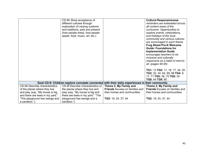|                                                 | CD-8h Show acceptance of<br>different cultures through<br>exploration of varying customs<br>and traditions, past and present<br>(how people dress, how people<br>speak, food, music, art, etc.). |                                        | <b>Cultural Responsiveness</b><br>reminders are embedded across<br>all content areas of the<br>curriculum. Opportunities to<br>explore events, celebrations,<br>and holidays of the local<br>community and various cultures<br>are encouraged in each theme.<br><b>Frog Street Pre-K Welcome</b><br><b>Guide: Foundations for</b><br><b>Implementation Guide</b><br>encourages teachers to be<br>inclusive and culturally<br>responsive as a habit of mind to<br>all. (pages 94-95)<br>TG1: 13 TG2: 11, 16, 17, 34, 35<br>TG3: 22, 34, 62, 69, 88 TG4: 9,<br>17, 71 TG5: 38, 75 TG6: 35<br>TG8: 44 TG9: 95 |
|-------------------------------------------------|--------------------------------------------------------------------------------------------------------------------------------------------------------------------------------------------------|----------------------------------------|------------------------------------------------------------------------------------------------------------------------------------------------------------------------------------------------------------------------------------------------------------------------------------------------------------------------------------------------------------------------------------------------------------------------------------------------------------------------------------------------------------------------------------------------------------------------------------------------------------|
|                                                 | Goal CD-9: Children explore concepts connected with their daily experiences in their community.                                                                                                  |                                        |                                                                                                                                                                                                                                                                                                                                                                                                                                                                                                                                                                                                            |
| CD-9b Describe characteristics                  | CD-9f Describe characteristics of                                                                                                                                                                | Theme 2, My Family and                 | Theme 2, My Family and                                                                                                                                                                                                                                                                                                                                                                                                                                                                                                                                                                                     |
| of the places where they live                   | the places where they live and                                                                                                                                                                   | <b>Friends</b> focuses on families and | Friends focuses on families and                                                                                                                                                                                                                                                                                                                                                                                                                                                                                                                                                                            |
| and play (say, "My house is big                 | play (say, "My house is big and                                                                                                                                                                  | their homes and communities.           | their homes and communities.                                                                                                                                                                                                                                                                                                                                                                                                                                                                                                                                                                               |
| and there are trees in my yard."                | there are trees in my yard." "The                                                                                                                                                                |                                        |                                                                                                                                                                                                                                                                                                                                                                                                                                                                                                                                                                                                            |
| "The playground has swings and<br>a sandbox."). | playground has swings and a<br>sandbox.").                                                                                                                                                       | TG2: 19, 24, 37, 44                    | TG2: 19, 24, 37, 44                                                                                                                                                                                                                                                                                                                                                                                                                                                                                                                                                                                        |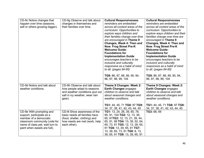| CD-9c Notice changes that<br>happen over time (seasons,<br>self or others growing bigger).                                                                                          | CD-9g Observe and talk about<br>changes in themselves and<br>their families over time.                                                         | <b>Cultural Responsiveness</b><br>reminders are embedded<br>across all content areas of the<br>curriculum. Opportunities to<br>explore ways children and<br>their families change over time<br>are encouraged in Theme 9<br>Changes, Week 4: Then and<br>Now. Frog Street Pre-K<br><b>Welcome Guide:</b><br><b>Foundations for</b><br><b>Implementation Guide</b><br>encourages teachers to be<br>inclusive and culturally<br>responsive as a habit of mind<br>to all. (pages 94-95)<br>TG9: 86, 87, 88, 89, 90, 94,<br>96, 97, 98, 99, 104 | <b>Cultural Responsiveness</b><br>reminders are embedded<br>across all content areas of the<br>curriculum. Opportunities to<br>explore ways children and their<br>families change over time are<br>encouraged in Theme 9<br>Changes, Week 4: Then and<br>Now. Frog Street Pre-K<br><b>Welcome Guide:</b><br><b>Foundations for</b><br><b>Implementation Guide</b><br>encourages teachers to be<br>inclusive and culturally<br>responsive as a habit of mind<br>to all. (pages 94-95)<br>TG9: 86, 87, 88, 89, 90, 94,<br>96, 97, 98, 99, 104 |
|-------------------------------------------------------------------------------------------------------------------------------------------------------------------------------------|------------------------------------------------------------------------------------------------------------------------------------------------|---------------------------------------------------------------------------------------------------------------------------------------------------------------------------------------------------------------------------------------------------------------------------------------------------------------------------------------------------------------------------------------------------------------------------------------------------------------------------------------------------------------------------------------------|---------------------------------------------------------------------------------------------------------------------------------------------------------------------------------------------------------------------------------------------------------------------------------------------------------------------------------------------------------------------------------------------------------------------------------------------------------------------------------------------------------------------------------------------|
| CD-9d Notice and talk about<br>weather conditions.                                                                                                                                  | CD-9h Observe and talk about<br>how people adapt to seasons<br>and weather conditions (put out<br>salt in icy weather, wear rain<br>gear).     | Theme 9 Changes: Week 2:<br>Earth Changes engages<br>children to observe and talk<br>about seasonal changes and<br>weather conditions.<br>TG1: 44, 45, 71 TG8: 97 TG9:<br>34, 37, 38, 41, 42, 43, 44, 45                                                                                                                                                                                                                                                                                                                                    | Theme 9 Changes: Week 2:<br>Earth Changes engages<br>children to observe and talk<br>about seasonal changes and<br>weather conditions.<br>TG1: 44, 45, 71 TG8: 97 TG9:<br>34, 37, 38, 41, 42, 43, 44, 45                                                                                                                                                                                                                                                                                                                                    |
| CD-9e With prompting and<br>support, participate as a<br>member of a democratic<br>classroom community (vote for<br>name of class pet, wait turn to<br>paint when easels are full). | CD-9i Show awareness of the<br>basic needs all families have<br>(food, shelter, clothing) and<br>how needs are met (work, help<br>each other). | TG1: 13, 24, 26, 39, 65, 78,<br>90, 91, 104 TG2: 12, 13, 39,<br>65, 91TG3: 12, 13, 21, 39, 44,<br>65, 91, 99 TG4: 13, 39, 52, 64,<br>65, 73, 91 TG5: 12, 13, 39, 65,<br>91 TG6: 13, 39, 65, 91 TG7:<br>13, 39, 65, 73, 91 TG8: 8, 13,<br>39, 65, 91 TG9: 13, 39, 65, 91                                                                                                                                                                                                                                                                     | TG3: 68, 69                                                                                                                                                                                                                                                                                                                                                                                                                                                                                                                                 |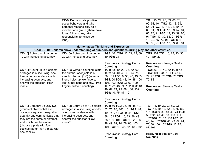|                                                                                                                                                                                                                                                                           | CD-9j Demonstrate positive<br>social behaviors and take<br>personal responsibility as a<br>member of a group (share, take<br>turns, follow rules, take<br>responsibility for classroom<br>jobs). |                                                                                                                                                                                                                                                                                                       | TG1: 13, 24, 26, 39, 65, 78,<br>90, 91, 104 TG2: 12, 13, 39,<br>65, 91TG3: 12, 13, 21, 39, 44,<br>65, 91, 99 TG4: 13, 39, 52, 64,<br>65, 73, 91 TG5: 12, 13, 39, 65,<br>91 TG6: 13, 39, 65, 91 TG7:<br>13, 39, 65, 73, 91 TG8: 8, 13,<br>39, 65, 91 TG9: 13, 39, 65, 91                        |
|---------------------------------------------------------------------------------------------------------------------------------------------------------------------------------------------------------------------------------------------------------------------------|--------------------------------------------------------------------------------------------------------------------------------------------------------------------------------------------------|-------------------------------------------------------------------------------------------------------------------------------------------------------------------------------------------------------------------------------------------------------------------------------------------------------|------------------------------------------------------------------------------------------------------------------------------------------------------------------------------------------------------------------------------------------------------------------------------------------------|
|                                                                                                                                                                                                                                                                           | <b>Mathematical Thinking and Expression</b>                                                                                                                                                      |                                                                                                                                                                                                                                                                                                       |                                                                                                                                                                                                                                                                                                |
|                                                                                                                                                                                                                                                                           | Goal CD-10: Children show understanding of numbers and quantities during play and other activities.                                                                                              |                                                                                                                                                                                                                                                                                                       |                                                                                                                                                                                                                                                                                                |
| CD-10j Rote count in order to<br>10 with increasing accuracy.                                                                                                                                                                                                             | CD-10n Rote count in order to<br>20 with increasing accuracy.                                                                                                                                    | TG5: 101 TG6: 10, 22, 23, 36,<br>49 TG9: 23                                                                                                                                                                                                                                                           | TG5: 101 TG6: 10, 22, 23, 36,<br>49 TG9: 23                                                                                                                                                                                                                                                    |
|                                                                                                                                                                                                                                                                           |                                                                                                                                                                                                  | Resources: Strategy Card -<br>Counting                                                                                                                                                                                                                                                                | Resources: Strategy Card -<br>Counting                                                                                                                                                                                                                                                         |
| CD-10k Count up to 5 objects<br>arranged in a line using one-<br>to-one correspondence with<br>increasing accuracy, and<br>answer the question "How<br>many?"                                                                                                             | CD-10o Without counting, state<br>the number of objects in a<br>small collection (1-3) (when a<br>friend holds up two fingers,<br>look at her hand and say, "Two<br>fingers" without counting).  | TG1: 18, 19, 22, 23, 62, 92<br>TG2: 14, 40, 48, 62, 74, 75,<br>88, 101 TG3: 9, 36, 48, 49, 74<br>TG4: 50 TG5: 48, 49, 88, 100,<br>101, 102 TG6: 23, 62, 100<br>TG7: 22, 48, 74, 102 TG8: 48,<br>49, 62, 74, 75, 88, 100, 102<br>TG9: 10, 75, 87, 101<br>Resources: Strategy Card -<br><b>Counting</b> | TG2: 36, 48, 49, 62 TG3: 48<br>TG4: 101 TG5: 101 TG6: 49,<br>74, 75 TG7: 75 TG8: 75 TG9:<br>75,88<br>Resources: Strategy Card -<br><b>Counting</b>                                                                                                                                             |
| CD-10I Compare visually two<br>groups of objects that are<br>obviously equal or unequal in<br>quantity and communicate that<br>they are the same or different,<br>and which one has more<br>(choose a plate with four<br>cookies rather than a plate with<br>one cookie). | CD-10p Count up to 10 objects<br>arranged in a line using one-to-<br>one correspondence with<br>increasing accuracy, and<br>answer the question "How<br>many?"                                   | TG1: 66 TG2: 36, 40, 48, 49,<br>62, 75, 88, 100, 101 TG3: 48,<br>49, 74, 75 TG5: 9, 48 TG6:<br>88, 101 TG7: 10, 23, 36, 49,<br>88, 100, 101 TG8: 10, 23, 36,<br>48, 49, 62, 74, 76, 88, 100,<br>101 TG9: 10, 36, 62, 100, 101<br>Resources: Strategy Card -                                           | TG1: 18, 19, 22, 23, 62, 92<br>TG2: 14, 40, 48, 62, 74, 75, 88,<br>101 TG3: 9, 36, 48, 49, 74 TG4:<br>50 TG5: 48, 49, 88, 100, 101,<br>102 TG6: 23, 62, 100 TG7: 22,<br>48, 74, 102 TG8: 48, 49, 62, 74,<br>75, 88, 100, 102 TG9: 10, 75,<br>87, 101<br>Resources: Strategy Card -<br>Counting |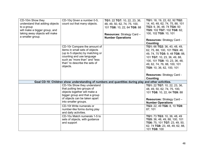| CD-10m Show they<br>understand that adding objects | CD-10q Given a number 0-5,<br>count out that many objects.                                          | TG1: 22 TG7: 10, 22, 23, 36,<br>48, 49, 50, 62, 74, 75, 100, | TG1: 18, 19, 22, 62, 92 TG2:<br>14, 40, 48, 62, 74, 75, 88, 101 |
|----------------------------------------------------|-----------------------------------------------------------------------------------------------------|--------------------------------------------------------------|-----------------------------------------------------------------|
| to a group                                         |                                                                                                     | 101 TG8: 10, 22, 64 TG9: 88                                  | TG3: 9, 36, 48, 74 TG4: 50                                      |
| will make a bigger group, and                      |                                                                                                     |                                                              | TG5: 102 TG7: 102 TG8: 62,                                      |
| taking away objects will make<br>a smaller group.  |                                                                                                     | <b>Resources: Strategy Card -</b>                            | 100, 102 TG9: 10, 101                                           |
|                                                    |                                                                                                     | <b>Number Operations</b>                                     | Resources: Strategy Card -                                      |
|                                                    |                                                                                                     |                                                              | Counting                                                        |
|                                                    | CD-10r Compare the amount of                                                                        |                                                              | TG1: 66 TG2: 36, 40, 48, 49,                                    |
|                                                    | items in small sets of objects                                                                      |                                                              | 62, 75, 88, 100, 101 TG3: 48,                                   |
|                                                    | (up to 5 objects) by matching or                                                                    |                                                              | 49, 74, 75 TG5: 9, 48 TG6: 88,                                  |
|                                                    | counting and use language<br>such as "more than" and "less                                          |                                                              | 101 TG7: 10, 23, 36, 49, 88,                                    |
|                                                    | than" to describe the sets of                                                                       |                                                              | 100, 101 TG8: 10, 23, 36, 48,                                   |
|                                                    | objects.                                                                                            |                                                              | 49, 62, 74, 76, 88, 100, 101                                    |
|                                                    |                                                                                                     |                                                              | TG9: 10, 36, 62, 100, 101                                       |
|                                                    |                                                                                                     |                                                              | Resources: Strategy Card -                                      |
|                                                    |                                                                                                     |                                                              | <b>Counting</b>                                                 |
|                                                    | Goal CD-10: Children show understanding of numbers and quantities during play and other activities. |                                                              |                                                                 |
|                                                    | CD-10s Show they understand                                                                         |                                                              | TG1: 22 TG7: 10, 22, 23, 36,                                    |
|                                                    | that putting two groups of                                                                          |                                                              | 48, 49, 50, 62, 74, 75, 100,                                    |
|                                                    | objects together will make a                                                                        |                                                              | 101 TG8: 10, 22, 64 TG9: 88                                     |
|                                                    | bigger group and that a group<br>of objects can be taken apart                                      |                                                              |                                                                 |
|                                                    | into smaller groups.                                                                                |                                                              | Resources: Strategy Card -                                      |
|                                                    | CD-10t Write numerals or                                                                            |                                                              | <b>Number Operations</b>                                        |
|                                                    | number-like forms during play                                                                       |                                                              | TG3: 22, 49 TG6: 8, 10 TG9:<br>87, 101                          |
|                                                    | and daily activities.                                                                               |                                                              |                                                                 |
|                                                    | CD-10u Match numerals 1-5 to                                                                        |                                                              | TG1: 73 TG3: 10, 36, 48, 49                                     |
|                                                    | sets of objects, with guidance                                                                      |                                                              | TG5: 36, 48, 49, 88, 100, 101                                   |
|                                                    | and support                                                                                         |                                                              | TG6: 75, 101 TG7: 23, 49, 50,                                   |
|                                                    |                                                                                                     |                                                              | 62, 74 TG8: 23, 48, 49, 62, 88,                                 |
|                                                    |                                                                                                     |                                                              | 101 TG9: 100                                                    |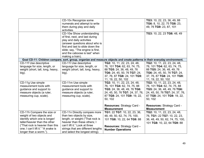|                                    | CD-10v Recognize some                                                                                                      |                                 | TG3: 10, 22, 23, 36, 49, 88      |
|------------------------------------|----------------------------------------------------------------------------------------------------------------------------|---------------------------------|----------------------------------|
|                                    | numerals and attempt to write                                                                                              |                                 | TG6: 8, 10, 22, 75 TG8: 23,      |
|                                    | them during play and daily                                                                                                 |                                 | 49, 76 TG9: 23, 87, 101          |
|                                    | activities.                                                                                                                |                                 |                                  |
|                                    | CD-10w Show understanding                                                                                                  |                                 | TG3: 10, 22, 23 TG6: 48, 49      |
|                                    | of first, next, and last during                                                                                            |                                 |                                  |
|                                    | play and daily activities                                                                                                  |                                 |                                  |
|                                    | (answer questions about who is                                                                                             |                                 |                                  |
|                                    | first and last to slide down the                                                                                           |                                 |                                  |
|                                    | slide; say, "The engine is first,                                                                                          |                                 |                                  |
|                                    | and the caboose is last" when                                                                                              |                                 |                                  |
|                                    | making a train).                                                                                                           |                                 |                                  |
|                                    | Goal CD-11: Children compare, sort, group, organize and measure objects and create patterns in their everyday environment. |                                 |                                  |
| CD-11f Use descriptive             | CD-11I Use descriptive                                                                                                     | TG2: 10, 11, 22, 23, 24, 48,    | TG2: 10, 11, 22, 23, 24, 48,     |
| language for size, length, or      | language for size, length, or                                                                                              | 76, 101 TG4: 62, 63, 74, 75,    | 76, 101 TG4: 62, 63, 74, 75,     |
| weight (short, tall, long, heavy,  | weight (short, tall, long, heavy,                                                                                          | 88 TG5: 24, 36, 48, 49, 76      | 88 TG5: 24, 36, 48, 49, 76       |
| big).                              | big).                                                                                                                      | TG6: 24, 45, 50, 76 TG7: 24,    | TG6: 24, 45, 50, 76 TG7: 24,     |
|                                    |                                                                                                                            | 37, 76, 87 TG8: 24, 101 TG9:    | 37, 76, 87 TG8: 24, 101 TG9:     |
|                                    |                                                                                                                            | 11, 19, 22, 50, 102             | 11, 19, 22, 50, 102              |
| CD-11g Use simple                  | CD-11m Use simple                                                                                                          | TG2: 10, 11, 22, 23, 24, 48,    | TG2: 10, 11, 22, 23, 24, 48,     |
| measurement tools with             | measurement tools with                                                                                                     | 76, 101 TG4: 62, 74, 75, 88     | 76, 101 TG4: 62, 74, 75, 88      |
| guidance and support to            | guidance and support to                                                                                                    | TG5: 24, 36, 48, 49, 76 TG6:    | TG5: 24, 36, 48, 49, 76 TG6:     |
| measure objects (a ruler,          | measure objects (a ruler,                                                                                                  | 24, 45, 50, 76 TG7: 24, 37, 76, | 24, 45, 50, 76 TG7: 24, 37, 76,  |
| measuring cup, scale).             | measuring cup, scale).                                                                                                     | 87 TG8: 24, 101 TG9: 19, 22,    | 87 TG8: 24, 101 TG9: 19, 22,     |
|                                    |                                                                                                                            | 50, 102                         | 50, 102                          |
|                                    |                                                                                                                            |                                 |                                  |
|                                    |                                                                                                                            | Resources: Strategy Card -      | Resources: Strategy Card -       |
|                                    |                                                                                                                            | <b>Measurement</b>              | <b>Measurement</b>               |
| CD-11h Compare the size or         | CD-11n Directly compare more                                                                                               | TG1: 22 TG7: 10, 22, 23, 36,    | TG2: 10, 11, 22, 23, 24, 48,     |
| weight of two objects and          | than two objects by size,                                                                                                  | 48, 49, 50, 62, 74, 75, 100,    | 76, TG1: 22 TG7: 10, 22, 23,     |
| identify which one is longer/      | length, or weight ("That rock is                                                                                           | 101 TG8: 10, 22, 64 TG9: 88     | 36, 48, 49, 50, 62, 74, 75, 100, |
| taller/heavier than the other      | heavier than these others; I                                                                                               |                                 | 101 TG8: 10, 22, 64 TG9: 88      |
| ("That rock is heavier than this   | can't lift it." Look at three                                                                                              | Resources: Strategy Card -      |                                  |
| one; I can't lift it." "A snake is | strings that are different lengths                                                                                         | <b>Number Operations</b>        |                                  |
| longer than a worm.").             | and select the longest string).                                                                                            |                                 |                                  |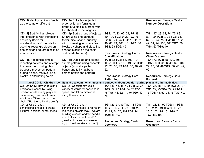| CD-11i Identify familiar objects<br>as the same or different.                                                                                                                                               | CD-11o Put a few objects in<br>order by length (arrange a<br>group of 3 blocks in order from<br>the shortest to the longest).                                                                                                         |                                                                                                                                                                                                          | <b>Resources: Strategy Card -</b><br><b>Number Operations</b>                                                                                                                                            |
|-------------------------------------------------------------------------------------------------------------------------------------------------------------------------------------------------------------|---------------------------------------------------------------------------------------------------------------------------------------------------------------------------------------------------------------------------------------|----------------------------------------------------------------------------------------------------------------------------------------------------------------------------------------------------------|----------------------------------------------------------------------------------------------------------------------------------------------------------------------------------------------------------|
| CD-11j Sort familiar objects<br>into categories with increasing<br>accuracy (tools for<br>woodworking and utensils for<br>cooking; rectangle blocks on<br>one shelf and square blocks on<br>another shelf). | CD-11p Sort a group of objects<br>(0-10) using one attribute<br>(color, size, shape, quantity)<br>with increasing accuracy (sort<br>blocks by shape and place like-<br>shaped blocks on the shelf;<br>sort beads by color).           | TG1: 17, 23, 62, 74, 75, 88,<br>89, 100 TG2: 9, 22 TG3: 61,<br>62, 69, 74, 75 TG4: 10, 11, 23,<br>49, 61, 74, 100, 101 TG7: 36<br>TG8: 63 TG9: 49<br>Resources: Strategy Card -<br><b>Classification</b> | TG1: 17, 23, 62, 74, 75, 88,<br>89, 100 TG2: 9, 22 TG3: 61,<br>62, 69, 74, 75 TG4: 10, 11, 23,<br>49, 61, 74, 100, 101 TG7: 36<br>TG8: 63 TG9: 49<br>Resources: Strategy Card -<br><b>Classification</b> |
| CD-11k Recognize simple<br>repeating patterns and attempt<br>to create them during play<br>(repeat a movement pattern<br>during a song, make a line of<br>blocks in alternating colors).                    | CD-11q Duplicate and extend<br>simple patterns using concrete<br>objects (look at a pattern of<br>beads and tell what bead<br>comes next in the pattern).                                                                             | TG1: 72 TG3: 88, 100, 101<br>TG5: 50 TG6: 36, 49, 62 TG8:<br>22, 23, 36, 49 TG9: 36, 48, 49,<br>62<br>Resources: Strategy Card -<br><b>Patterning</b>                                                    | TG1: 72 TG3: 88, 100, 101<br>TG5: 50 TG6: 36, 49, 62 TG8:<br>22, 23, 36, 49 TG9: 36, 48, 49,<br>62<br>Resources: Strategy Card -<br><b>Patterning</b>                                                    |
|                                                                                                                                                                                                             | Goal CD-12: Children identify and use common shapes and concepts about position during play and other activities.                                                                                                                     |                                                                                                                                                                                                          |                                                                                                                                                                                                          |
| CD-12h Show they understand<br>positions in space by using<br>position words during play and<br>by following directions from an<br>adult (say, "Stand behind the<br>chair." "Put the ball in the box.").    | CD-12k Consistently use a<br>variety of words for positions in<br>space, and follow directions<br>using these words.                                                                                                                  | TG1: 36, 48, 48, 49 TG2: 23, 37<br>TG3: 22, 23 TG4: 74, 75 TG5:<br>75 TG6: 48, 62, 74, 75 TG9: 49,<br>75                                                                                                 | TG1: 36, 48, 48, 49 TG2: 23, 37<br>TG3: 22, 23 TG4: 74, 75 TG5:<br>75 TG6: 48, 62, 74, 75 TG9: 49,<br>75                                                                                                 |
| CD-12i Use 2- and 3-<br>dimensional shapes to create<br>pictures, designs, or structures.                                                                                                                   | CD-12l Use 2- and 3-<br>dimensional shapes to represent<br>real-world objects (say, "We are<br>building a castle and we need a<br>round block for the tunnel." "I<br>glued a circle and a square on<br>my picture to make a house."). | TG1: 23, 37, 99 TG2: 11 TG4:<br>10, 22, 23, 49 TG5: 9, 10, 22,<br>23, 62, 74, 75, 101 TG8: 74<br>TG9: 88, 100<br>Resources: Strategy Card -<br><b>Geometry</b>                                           | TG1: 23, 37, 99 TG2: 11 TG4:<br>10, 22, 23, 49 TG5: 9, 10, 22,<br>23, 62, 74, 75, 101 TG8: 74<br>TG9: 88, 100<br>Resources: Strategy Card -<br><b>Geometry</b>                                           |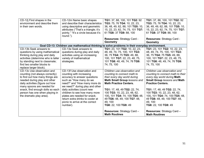| CD-12j Find shapes in the           | CD-12m Name basic shapes                                                                        | TG1: 37, 88, 100, 101 TG2: 92       | TG1: 37, 88, 100, 101 TG2: 92     |
|-------------------------------------|-------------------------------------------------------------------------------------------------|-------------------------------------|-----------------------------------|
| environment and describe them       | and describe their characteristics                                                              | TG3: 75, 76 TG4: 10, 22, 23,        | TG3: 75, 76 TG4: 10, 22, 23,      |
| in their own words.                 | using descriptive and geometric                                                                 | 36, 48, 49, 62, 88, 101 TG5: 10,    | 36, 48, 49, 62, 88, 101 TG5: 10,  |
|                                     | attributes ("That's a triangle; it's                                                            | 15, 22, 23, 62, 74, 75, 101 TG7:    | 15, 22, 23, 62, 74, 75, 101 TG7:  |
|                                     | pointy." "It's a circle because it's                                                            | 61 TG8: 37 TG9: 88, 100             | 61 TG8: 37 TG9: 88, 100           |
|                                     | round.").                                                                                       |                                     |                                   |
|                                     |                                                                                                 | Resources: Strategy Card -          | Resources: Strategy Card -        |
|                                     |                                                                                                 | Geometry                            | <b>Geometry</b>                   |
|                                     | Goal CD-13: Children use mathematical thinking to solve problems in their everyday environment. |                                     |                                   |
| CD-13b Seek answers to              | CD-13e Seek answers to                                                                          | TG1: 23, 101 TG2: 10, 22, 23,       | TG1: 23, 101 TG2: 10, 22, 23,     |
| questions by using mathematical     | questions during play and daily                                                                 | 48, 49, 74, 75, 100, 101 TG3:       | 48, 49, 74, 75, 100, 101 TG3:     |
| thinking during play and daily      | activities using an increasing                                                                  | 36, 75 TG4: 75 TG5: 49, 88,         | 36, 75 TG4: 75 TG5: 49, 88,       |
| activities (determine who is taller | variety of mathematical                                                                         | 100, 101 TG7: 22, 23, 48, 75,       | 100, 101 TG7: 22, 23, 48, 75,     |
| by standing next to classmate;      | strategies.                                                                                     | 101 TG8: 48, 49, 74, 76 TG9:        | 101 TG8: 48, 49, 74, 76 TG9:      |
| find two smaller blocks to          |                                                                                                 | 74, 75, 100                         | 74, 75, 100                       |
| replace larger block).              |                                                                                                 |                                     |                                   |
| CD-13c Use observation and          | CD-13f Use observation and                                                                      | Children use observation and        | Children use observation and      |
| counting (not always correctly)     | counting with increasing                                                                        | counting to connect math to         | counting to connect math to their |
| to find out how many things are     | accuracy to answer questions                                                                    | their every day world during        | every day world during Math       |
| needed during play and other        | such as "How many do we                                                                         | <b>Math Small Group lessons and</b> | Small Group lessons and Math      |
| daily activities (figure out how    | need?" and "How many more do                                                                    | <b>Math Practice Centers.</b>       | <b>Practice Centers.</b>          |
| many spoons are needed for          | we need?" during play and other                                                                 |                                     |                                   |
| snack, find enough dolls so each    | daily activities (count new                                                                     | TG1: 17, 48, 49 TG2: 22, 74,        | TG1: 17, 48, 49 TG2: 22, 74,      |
| person has one when playing in      | children to see how many more                                                                   | 100 TG3: 10, 22, 23, 48, 62,        | 100 TG3: 10, 22, 23, 48, 62,      |
| the dramatic play area).            | plates are needed for snack;                                                                    | 100, 101 TG4: 74, 100 TG5: 48,      | 100, 101 TG4: 74, 100 TG5: 48,    |
|                                     | return extra drinks to cooler at                                                                | 49 TG6: 48, 49, 100 TG7: 48,        | 49 TG6: 48, 49, 100 TG7: 48,      |
|                                     | picnic to arrive at the correct                                                                 | 49, 100                             | 49, 100                           |
|                                     | number).                                                                                        | TG8: 22, 100 TG9: 49                | TG8: 22, 100 TG9: 49              |
|                                     |                                                                                                 |                                     |                                   |
|                                     |                                                                                                 | <b>Resources: Strategy Card -</b>   | <b>Resources: Strategy Card -</b> |
|                                     |                                                                                                 | <b>Math Routines</b>                | <b>Math Routines</b>              |
|                                     |                                                                                                 |                                     |                                   |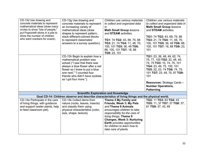| CD-13d Use drawing and<br>concrete materials to represent<br>mathematical ideas (draw many<br>circles to show "lots of people,"<br>put Popsicle® sticks in a pile to<br>show the number of children<br>who want crackers for snack). | CD-13g Use drawing and<br>concrete materials to represent<br>an increasing variety of<br>mathematical ideas (draw<br>shapes to represent pattern;<br>stack different-colored blocks<br>to represent classmates'<br>answers to a survey question).           | Children use various materials<br>to collect and organized data<br>in<br><b>Math Small Group lessons</b><br>and <b>STEAM</b> activities.<br>TG1: 74 TG2: 43, 69, 75, 88<br>TG3: 21, 74 TG4: 11, 48, 70,<br>100, 101 TG5: 36, 49 TG6:<br>88, 100, 101 TG7: 18, 88<br>TG9: 23, 101                 | Children use various materials<br>to collect and organized data in<br><b>Math Small Group lessons</b><br>and STEAM activities.<br>TG1: 74 TG2: 43, 69, 75, 88<br>TG3: 21, 74 TG4: 11, 48, 70,<br>100, 101 TG5: 36, 49 TG6: 88,<br>100, 101 TG7: 18, 88 TG9: 23,<br>101                  |
|--------------------------------------------------------------------------------------------------------------------------------------------------------------------------------------------------------------------------------------|-------------------------------------------------------------------------------------------------------------------------------------------------------------------------------------------------------------------------------------------------------------|--------------------------------------------------------------------------------------------------------------------------------------------------------------------------------------------------------------------------------------------------------------------------------------------------|-----------------------------------------------------------------------------------------------------------------------------------------------------------------------------------------------------------------------------------------------------------------------------------------|
|                                                                                                                                                                                                                                      | CD-13h Begin to explain how a<br>mathematical problem was<br>solved ("I saw that there was<br>always a blue flower after a red<br>flower so I knew to put a blue<br>one next." "I counted four<br>friends who didn't have cookies<br>so I got four more."). |                                                                                                                                                                                                                                                                                                  | TG1: 23, 36, 48, 49, 62, 74,<br>75, 77, 100 TG2: 22, 48, 49,<br>74, 75 TG3: 10, 74, 75, 101<br>TG4: 23, 49, 75, 100, 101<br>TG5: 22, 23, 74 TG6: 74, 75,<br>101 TG7: 23, 49, 75, 87 TG9:<br>101<br><b>Resources: Strategy Cards -</b><br><b>Number Operations,</b><br><b>Patterning</b> |
|                                                                                                                                                                                                                                      | <b>Scientific Exploration and Knowledge</b>                                                                                                                                                                                                                 |                                                                                                                                                                                                                                                                                                  |                                                                                                                                                                                                                                                                                         |
|                                                                                                                                                                                                                                      | Goal CD-14: Children observe and describe characteristics of living things and the physical world.                                                                                                                                                          |                                                                                                                                                                                                                                                                                                  |                                                                                                                                                                                                                                                                                         |
| CD-14e Participate in the care<br>of living things, with guidance<br>and support (water plants, help<br>to feed classroom pet).                                                                                                      | CD-14k Collect items from<br>nature (rocks, leaves, insects)<br>and classify them using<br>physical characteristics (color,<br>size, shape, texture).                                                                                                       | Theme 2 My Family and<br>Friends, Week 3: My Pets<br>and Theme 8 Animals<br>encourages children to take<br>responsibility for the care of<br>living things. Theme 9<br><b>Changes, Week 3: Nurturing</b><br>Earth provides opportunities<br>for children to learn how to<br>take care of plants. | TG2: 11 TG3: 63 TG4: 43<br>TG5: 11, 37 TG7: 37 TG8: 37,<br>61 TG9: 37, 43, 69                                                                                                                                                                                                           |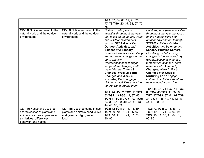|                                                                                      |                                                                                 | TG2: 62, 64, 68, 69, 71, 76,<br>77, 78 TG9: 20, 37, 38, 67, 70,<br>78                                                                                                                                                                                                                                                                                                                                                                                                                                                                                                                                                                                                                                         |                                                                                                                                                                                                                                                                                                                                                                                                                                                                                                                                                                                                                                                                                                                   |
|--------------------------------------------------------------------------------------|---------------------------------------------------------------------------------|---------------------------------------------------------------------------------------------------------------------------------------------------------------------------------------------------------------------------------------------------------------------------------------------------------------------------------------------------------------------------------------------------------------------------------------------------------------------------------------------------------------------------------------------------------------------------------------------------------------------------------------------------------------------------------------------------------------|-------------------------------------------------------------------------------------------------------------------------------------------------------------------------------------------------------------------------------------------------------------------------------------------------------------------------------------------------------------------------------------------------------------------------------------------------------------------------------------------------------------------------------------------------------------------------------------------------------------------------------------------------------------------------------------------------------------------|
| CD-14f Notice and react to the<br>natural world and the outdoor<br>environment.      | CD-14I Notice and react to the<br>natural world and the outdoor<br>environment. | Children participate in<br>activities throughout the year<br>that focus on the natural world<br>and outdoor environment<br>through STEAM activities,<br><b>Outdoor Activities, and</b><br><b>Science and Sensory</b><br><b>Practice Centers</b> - identifying<br>and observing changes in the<br>earth and sky,<br>weather/seasonal changes,<br>temperature changes, earth<br>materials, etc. Theme 9,<br>Changes, Week 2: Earth<br>Changes and Week 3:<br><b>Nurturing Earth engage</b><br>children in activities about the<br>natural world around them.<br>TG1: 44, 45, 71 TG2: 11 TG3:<br>63 TG4: 43 TG5: 11, 37, 63<br>TG7: 37 TG8: 37, 61, 97 TG9:<br>34, 35, 37, 38, 40, 41, 42, 43,<br>44, 45, 68, 69 | Children participate in activities<br>throughout the year that focus<br>on the natural world and<br>outdoor environment through<br><b>STEAM</b> activities, Outdoor<br><b>Activities, and Science and</b><br><b>Sensory Practice Centers -</b><br>identifying and observing<br>changes in the earth and sky,<br>weather/seasonal changes,<br>temperature changes, earth<br>materials, etc. Theme 9,<br><b>Changes, Week 2: Earth</b><br>Changes and Week 3:<br><b>Nurturing Earth engage</b><br>children in activities about the<br>natural world around them.<br>TG1: 44, 45, 71 TG2: 11 TG3:<br>63 TG4: 43 TG5: 11, 37, 63<br>TG7: 37 TG8: 37, 61, 97 TG9:<br>34, 35, 37, 38, 40, 41, 42, 43,<br>44, 45, 68, 69 |
| CD-14g Notice and describe<br>characteristics of plants and                          | CD-14m Describe some things<br>plants and animals need to live                  | TG2: 72 TG4: 9, 15, 18, 19<br>TG7: 19, 70, 71, 94, 96, 97                                                                                                                                                                                                                                                                                                                                                                                                                                                                                                                                                                                                                                                     | TG2: 72 TG4: 9, 15, 18, 19<br>TG7: 19, 70, 71, 94, 96, 97                                                                                                                                                                                                                                                                                                                                                                                                                                                                                                                                                                                                                                                         |
| animals, such as appearance,<br>similarities, differences,<br>behavior, and habitat. | and grow (sunlight, water,<br>food).                                            | TG9: 10, 11, 18, 41, 67, 70,<br>90, 96                                                                                                                                                                                                                                                                                                                                                                                                                                                                                                                                                                                                                                                                        | TG9: 10, 11, 18, 41, 67, 70,<br>90, 96                                                                                                                                                                                                                                                                                                                                                                                                                                                                                                                                                                                                                                                                            |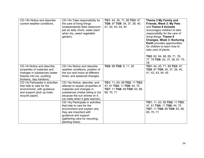| CD-14h Notice and describe<br>current weather conditions.                                                                                          | CD-14n Take responsibility for<br>the care of living things<br>(independently feed classroom<br>pet as daily chore, water plant<br>when dry, weed vegetable<br>garden).                               | TG1: 44, 45, 71, 88 TG3: 47<br>TG8: 97 TG9: 34, 37, 38, 40,<br>41, 42, 43, 44, 45                        | Theme 2 My Family and<br>Friends, Week 3: My Pets<br>and Theme 8 Animals<br>encourages children to take<br>responsibility for the care of<br>living things. Theme 9<br><b>Changes, Week 3: Nurturing</b><br>Earth provides opportunities<br>for children to learn how to<br>take care of plants.<br>TG2: 62, 64, 68, 69, 71, 76,<br>77, 78 TG9: 20, 37, 38, 67, 70,<br>78 |
|----------------------------------------------------------------------------------------------------------------------------------------------------|-------------------------------------------------------------------------------------------------------------------------------------------------------------------------------------------------------|----------------------------------------------------------------------------------------------------------|---------------------------------------------------------------------------------------------------------------------------------------------------------------------------------------------------------------------------------------------------------------------------------------------------------------------------------------------------------------------------|
| CD-14i Notice and describe<br>properties of materials and<br>changes in substances (water<br>freezes into ice, pudding<br>thickens, clay hardens). | CD-140 Notice and describe<br>weather conditions, position of<br>the sun and moon at different<br>times, and seasonal changes.                                                                        | TG5: 89 TG9: 9, 11, 35                                                                                   | TG1: 44, 45, 71, 88 TG3: 47<br>TG8: 97 TG9: 34, 37, 38, 40,<br>41, 42, 43, 44, 45                                                                                                                                                                                                                                                                                         |
| CD-14j Participate in activities<br>that help to care for the<br>environment, with guidance<br>and support (pick up trash,<br>recycle paper).      | CD-14p Notice, describe, and<br>attempt to explain properties of<br>materials and changes in<br>substances (metal railing is hot<br>because the sun shines on it;<br>ice melts when it gets warmer).  | TG1: 11, 63, 89 TG2: 11 TG3:<br>47, 61 TG4: 11 TG6: 44, 70<br>TG7: 11 TG8: 69 TG9: 63, 68,<br>69, 70, 71 |                                                                                                                                                                                                                                                                                                                                                                           |
|                                                                                                                                                    | CD-14q Participate in activities<br>that help to care for the<br>environment and explain why<br>they are important with<br>guidance and support<br>(gathering cans for recycling,<br>planting trees). |                                                                                                          | TG1: 11, 63, 89 TG2: 11 TG3:<br>47, 61 TG4: 11 TG6: 44, 70<br>TG7: 11 TG8: 69 TG9: 63, 68,<br>69, 70, 71                                                                                                                                                                                                                                                                  |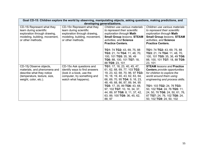| Goal CD-15: Children explore the world by observing, manipulating objects, asking questions, making predictions, and<br>developing generalizations. |                                                                                                                                              |                                                                                                                                                                                                                                                                                                                                                    |                                                                                                                                                                                                                                                                                                                                           |
|-----------------------------------------------------------------------------------------------------------------------------------------------------|----------------------------------------------------------------------------------------------------------------------------------------------|----------------------------------------------------------------------------------------------------------------------------------------------------------------------------------------------------------------------------------------------------------------------------------------------------------------------------------------------------|-------------------------------------------------------------------------------------------------------------------------------------------------------------------------------------------------------------------------------------------------------------------------------------------------------------------------------------------|
| CD-15i Represent what they<br>learn during scientific<br>exploration through drawing,<br>modeling, building, movement,<br>or other methods.         | CD-15n Represent what they<br>learn during scientific<br>exploration through drawing,<br>modeling, building, movement,<br>or other methods.  | Children use various materials<br>to represent their scientific<br>exploration through Math<br><b>Small Group /essons, STEAM</b><br>activities, and Science<br><b>Practice Centers.</b>                                                                                                                                                            | Children use various materials<br>to represent their scientific<br>exploration through Math<br><b>Small Group lessons, STEAM</b><br>activities, and Science<br><b>Practice Centers.</b>                                                                                                                                                   |
|                                                                                                                                                     |                                                                                                                                              | TG1: 74 TG2: 43, 69, 75, 88<br>TG3: 21, 74 TG4: 11, 48, 70,<br>100, 101 TG5: 35, 36, 49<br>TG6: 88, 100, 101 TG7: 18,<br>88 TG9: 23, 101                                                                                                                                                                                                           | TG1: 74 TG2: 43, 69, 75, 88<br>TG3: 21, 74 TG4: 11, 48, 70,<br>100, 101 TG5: 35, 36, 49 TG6:<br>88, 100, 101 TG7: 18, 88 TG9:<br>23, 101                                                                                                                                                                                                  |
| CD-15 Observe objects,<br>materials, and phenomena and<br>describe what they notice<br>(temperature, texture, size,<br>weight, color, etc.).        | CD-150 Ask questions and<br>identify ways to find answers<br>(look in a book, use the<br>computer, try something and<br>watch what happens). | TG1: 17, 18, 23, 40, 45, 47,<br>61, 62, 68, 69, 77, 103 TG2:<br>19, 23, 42, 68, 70, 96, 97 TG3:<br>16, 18, 19, 40, 43, 62, 63, 64,<br>66, 69, 70, 95 TG4: 9, 16, 23,<br>48, 49, 68, 86, 87, 89, 94, 95<br>TG5: 17, 35, 89 TG6: 43, 68,<br>97, 102 TG7: 10, 16, 34, 37,<br>44, 89, 97 TG8: 8, 11, 37, 42,<br>63, 89, 100 TG9: 36, 45, 62,<br>88, 97 | <b>STEAM</b> lessons and <b>Practice</b><br><b>Centers</b> provide opportunities<br>for children to explore the<br>world around them using<br>engineering and process skills.<br>TG1: 103 TG2: 24, 76 TG3:<br>50, 102 TG4: 24, 76 TG5: 11,<br>24, 50, 76 TG6: 24, 50, 61, 76,<br>87 TG7: 24, 76, 102 TG8: 24,<br>50, 102 TG9: 24, 50, 102 |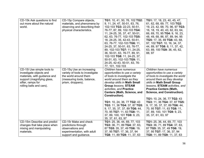| CD-15k Ask questions to find<br>out more about the natural<br>world.                                                                                                 | CD-15p Compare objects,<br>materials, and phenomena by<br>observing and describing their<br>physical characteristics.                   | TG1: 10, 41, 50, 76, 102 TG2:<br>9, 11, 24, 47, 50-51, 63, 76,<br>102-103 TG3: 22-23, 50-51,<br>76-77, 87, 89, 102-103 TG4:<br>11, 24-25, 35, 37, 47, 50-51,<br>62, 63, 76-77, 102-103 TG5:<br>18, 24-25, 35, 42-43, 50-51,<br>63, 76-77, 102-103 TG6: 11,<br>24-25, 37, 50-51, 63, 76-77,<br>89, 102-103 TG7: 11, 24-25,<br>36, 50-51, 63, 76-77, 89, 91,<br>102-103 TG8: 11, 24-25, 37,<br>50-51, 63, 102-103 TG9: 11,<br>24-25, 42-43, 50-51, 63, 76-<br>77, 101, 102-103 | TG1: 17, 18, 23, 40, 45, 47,<br>61, 62, 68, 69, 77, 103 TG2:<br>19, 23, 42, 68, 70, 96, 97 TG3:<br>16, 18, 19, 40, 43, 62, 63, 64,<br>66, 69, 70, 95 TG4: 9, 16, 23,<br>48, 49, 68, 86, 87, 89, 94, 95<br>TG5: 17, 35, 89 TG6: 43, 68,<br>97, 102 TG7: 10, 16, 34, 37,<br>44, 89, 97 TG8: 8, 11, 37, 42,<br>63, 89, 100 TG9: 36, 45, 62,<br>88, 97                                                                                                  |
|----------------------------------------------------------------------------------------------------------------------------------------------------------------------|-----------------------------------------------------------------------------------------------------------------------------------------|------------------------------------------------------------------------------------------------------------------------------------------------------------------------------------------------------------------------------------------------------------------------------------------------------------------------------------------------------------------------------------------------------------------------------------------------------------------------------|-----------------------------------------------------------------------------------------------------------------------------------------------------------------------------------------------------------------------------------------------------------------------------------------------------------------------------------------------------------------------------------------------------------------------------------------------------|
| CD-15I Use simple tools to<br>investigate objects and<br>materials, with guidance and<br>support (magnifying glass,<br>sifter, ramps for<br>rolling balls and cars). | CD-15q Use an increasing<br>variety of tools to investigate<br>the world around them<br>(measuring tools, balance,<br>prism, droppers). | Children have numerous<br>opportunities to use a variety<br>of tools to investigate the<br>world around them as they<br>develop skills in Math Small<br><b>Group lessons, STEAM</b><br>activities, and Practice<br><b>Centers (Math, Science, and</b><br>Construction).<br>TG1: 10, 24, 36, 77 TG2: 43<br>TG3: 11, 36 TG4: 37, 87 TG5:<br>9, 17, 35, 37, 37, 89 TG6: 44,<br>70, 95 TG7: 11, 63 TG8: 11,<br>37, 89, 100, 101 TG9: 9, 23,<br>35, 37, 61, 63, 97                | Children have numerous<br>opportunities to use a variety<br>of tools to investigate the world<br>around them as they develop<br>skills in Math Small Group<br>lessons, STEAM activities, and<br><b>Practice Centers (Math,</b><br>Science, and Construction).<br>TG1: 10, 24, 36, 77 TG2: 43<br>TG3: 11, 36 TG4: 37, 87 TG5:<br>9, 17, 35, 37, 37, 89 TG6: 44,<br>70, 95 TG7: 11, 63 TG8: 11,<br>37, 89, 100, 101 TG9: 9, 23,<br>35, 37, 61, 63, 97 |
| CD-15m Describe and predict                                                                                                                                          | CD-15r Make and check                                                                                                                   | TG1: 25, 36, 44, 69, 77, 103                                                                                                                                                                                                                                                                                                                                                                                                                                                 | TG1: 25, 36, 44, 69, 77, 103                                                                                                                                                                                                                                                                                                                                                                                                                        |
| changes that take place when                                                                                                                                         | predictions through                                                                                                                     | TG3: 36, 71, 89 TG4: 37, 63,                                                                                                                                                                                                                                                                                                                                                                                                                                                 | TG3: 36, 71, 89 TG4: 37, 63,                                                                                                                                                                                                                                                                                                                                                                                                                        |
| mixing and manipulating                                                                                                                                              | observations and                                                                                                                        | 87 TG5: 35, 37, 49 TG6: 19,                                                                                                                                                                                                                                                                                                                                                                                                                                                  | 87 TG5: 35, 37, 49 TG6: 19,                                                                                                                                                                                                                                                                                                                                                                                                                         |
| materials.                                                                                                                                                           | experimentation, with adult                                                                                                             | 37, 95 TG7: 17, 36, 37, 94                                                                                                                                                                                                                                                                                                                                                                                                                                                   | 37, 95 TG7: 17, 36, 37, 94                                                                                                                                                                                                                                                                                                                                                                                                                          |
|                                                                                                                                                                      | support and guidance.                                                                                                                   | TG8: 11, 89 TG9: 11, 37, 63                                                                                                                                                                                                                                                                                                                                                                                                                                                  | TG8: 11, 89 TG9: 11, 37, 63                                                                                                                                                                                                                                                                                                                                                                                                                         |